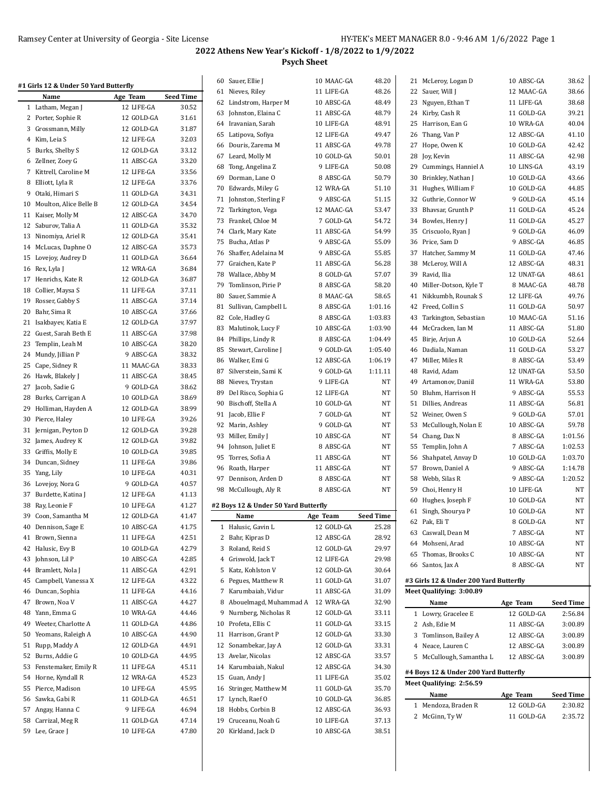|    | #1 Girls 12 & Under 50 Yard Butterfly |            |                  |    | 60 Sauer, Ellie J                    | 10 MAAC-GA | 48.20            | 21 McLeroy, Logan D                    | 10 ABSC-GA | 38.62            |
|----|---------------------------------------|------------|------------------|----|--------------------------------------|------------|------------------|----------------------------------------|------------|------------------|
|    | Name                                  | Age Team   | <b>Seed Time</b> |    | 61 Nieves, Riley                     | 11 LIFE-GA | 48.26            | 22 Sauer, Will J                       | 12 MAAC-GA | 38.66            |
|    | 1 Latham, Megan J                     | 12 LIFE-GA | 30.52            |    | 62 Lindstrom, Harper M               | 10 ABSC-GA | 48.49            | 23 Nguyen, Ethan T                     | 11 LIFE-GA | 38.68            |
|    | 2 Porter, Sophie R                    | 12 GOLD-GA | 31.61            |    | 63 Johnston, Elaina C                | 11 ABSC-GA | 48.79            | 24 Kirby, Cash R                       | 11 GOLD-GA | 39.21            |
|    | 3 Grossmann, Milly                    | 12 GOLD-GA | 31.87            |    | 64 Iravanian, Sarah                  | 10 LIFE-GA | 48.91            | 25 Harrison, Ean G                     | 10 WRA-GA  | 40.04            |
|    | 4 Kim, Leia S                         | 12 LIFE-GA | 32.03            |    | 65 Latipova, Sofiya                  | 12 LIFE-GA | 49.47            | 26 Thang, Van P                        | 12 ABSC-GA | 41.10            |
|    | 5 Burks, Shelby S                     | 12 GOLD-GA | 33.12            |    | 66 Douris, Zarema M                  | 11 ABSC-GA | 49.78            | 27 Hope, Owen K                        | 10 GOLD-GA | 42.42            |
|    | 6 Zellner, Zoey G                     | 11 ABSC-GA | 33.20            |    | 67 Leard, Molly M                    | 10 GOLD-GA | 50.01            | 28 Joy, Kevin                          | 11 ABSC-GA | 42.98            |
|    | 7 Kittrell, Caroline M                | 12 LIFE-GA | 33.56            |    | 68 Tong, Angelina Z                  | 9 LIFE-GA  | 50.08            | 29 Cummings, Hanniel A                 | 10 LINS-GA | 43.19            |
|    | 8 Elliott, Lyla R                     | 12 LIFE-GA | 33.76            |    | 69 Dorman, Lane O                    | 8 ABSC-GA  | 50.79            | 30 Brinkley, Nathan J                  | 10 GOLD-GA | 43.66            |
|    | 9 Otaki, Himari S                     | 11 GOLD-GA | 34.31            |    | 70 Edwards, Miley G                  | 12 WRA-GA  | 51.10            | 31 Hughes, William F                   | 10 GOLD-GA | 44.85            |
|    | 10 Moulton, Alice Belle B             | 12 GOLD-GA | 34.54            | 71 | Johnston, Sterling F                 | 9 ABSC-GA  | 51.15            | 32 Guthrie, Connor W                   | 9 GOLD-GA  | 45.14            |
|    | 11 Kaiser, Molly M                    | 12 ABSC-GA | 34.70            |    | 72 Tarkington, Vega                  | 12 MAAC-GA | 53.47            | 33 Bhavsar, Grunth P                   | 11 GOLD-GA | 45.24            |
|    | 12 Saburov, Talia A                   | 11 GOLD-GA | 35.32            |    | 73 Frankel, Chloe M                  | 7 GOLD-GA  | 54.72            | 34 Bowles, Henry J                     | 11 GOLD-GA | 45.27            |
|    | 13 Ninomiya, Ariel R                  | 12 GOLD-GA | 35.41            |    | 74 Clark, Mary Kate                  | 11 ABSC-GA | 54.99            | 35 Criscuolo, Ryan J                   | 9 GOLD-GA  | 46.09            |
|    | 14 McLucas, Daphne O                  | 12 ABSC-GA | 35.73            |    | 75 Bucha, Atlas P                    | 9 ABSC-GA  | 55.09            | 36 Price, Sam D                        | 9 ABSC-GA  | 46.85            |
|    | 15 Lovejoy, Audrey D                  | 11 GOLD-GA | 36.64            |    | 76 Shaffer, Adelaina M               | 9 ABSC-GA  | 55.85            | 37 Hatcher, Sammy M                    | 11 GOLD-GA | 47.46            |
|    | 16 Rex, Lyla J                        | 12 WRA-GA  | 36.84            |    | 77 Graichen, Kate P                  | 11 ABSC-GA | 56.28            | 38 McLeroy, Will A                     | 12 ABSC-GA | 48.31            |
|    | 17 Henrichs, Kate R                   | 12 GOLD-GA | 36.87            |    | 78 Wallace, Abby M                   | 8 GOLD-GA  | 57.07            | 39 Ravid, Ilia                         | 12 UNAT-GA | 48.61            |
| 18 | Collier, Maysa S                      | 11 LIFE-GA | 37.11            |    | 79 Tomlinson, Pirie P                | 8 ABSC-GA  | 58.20            | 40 Miller-Dotson, Kyle T               | 8 MAAC-GA  | 48.78            |
|    | 19 Rosser, Gabby S                    | 11 ABSC-GA | 37.14            |    | 80 Sauer, Sammie A                   | 8 MAAC-GA  | 58.65            | 41 Nikkumbh, Rounak S                  | 12 LIFE-GA | 49.76            |
|    | 20 Bahr, Sima R                       | 10 ABSC-GA | 37.66            |    | 81 Sullivan, Campbell L              | 8 ABSC-GA  | 1:01.16          | 42 Freed, Collin S                     | 11 GOLD-GA | 50.97            |
|    | 21 Isakbayev, Katia E                 | 12 GOLD-GA | 37.97            |    | 82 Cole, Hadley G                    | 8 ABSC-GA  | 1:03.83          | 43 Tarkington, Sebastian               | 10 MAAC-GA | 51.16            |
|    | 22 Guest, Sarah Beth E                | 11 ABSC-GA | 37.98            |    | 83 Malutinok, Lucy F                 | 10 ABSC-GA | 1:03.90          | 44 McCracken, Ian M                    | 11 ABSC-GA | 51.80            |
| 23 | Templin, Leah M                       | 10 ABSC-GA | 38.20            |    | 84 Phillips, Lindy R                 | 8 ABSC-GA  | 1:04.49          | 45 Birje, Arjun A                      | 10 GOLD-GA | 52.64            |
|    | 24 Mundy, Jillian P                   | 9 ABSC-GA  | 38.32            |    | 85 Stewart, Caroline J               | 9 GOLD-GA  | 1:05.40          | 46 Dadiala, Naman                      | 11 GOLD-GA | 53.27            |
| 25 | Cape, Sidney R                        | 11 MAAC-GA | 38.33            |    | 86 Walker, Emi G                     | 12 ABSC-GA | 1:06.19          | 47 Miller, Miles R                     | 8 ABSC-GA  | 53.49            |
|    | 26 Hawk, Blakely J                    | 11 ABSC-GA | 38.45            |    | 87 Silverstein, Sami K               | 9 GOLD-GA  | 1:11.11          | 48 Ravid, Adam                         | 12 UNAT-GA | 53.50            |
|    | 27 Jacob, Sadie G                     | 9 GOLD-GA  | 38.62            |    | 88 Nieves, Trystan                   | 9 LIFE-GA  | NT               | 49 Artamonov, Daniil                   | 11 WRA-GA  | 53.80            |
|    | 28 Burks, Carrigan A                  | 10 GOLD-GA | 38.69            |    | 89 Del Risco, Sophia G               | 12 LIFE-GA | NT               | 50 Bluhm, Harrison H                   | 9 ABSC-GA  | 55.53            |
|    | 29 Holliman, Hayden A                 | 12 GOLD-GA | 38.99            |    | 90 Bischoff, Stella A                | 10 GOLD-GA | NT               | 51 Dillies, Andreas                    | 11 ABSC-GA | 56.81            |
|    | 30 Pierce, Haley                      | 10 LIFE-GA | 39.26            |    | 91 Jacob, Ellie F                    | 7 GOLD-GA  | NT               | 52<br>Weiner, Owen S                   | 9 GOLD-GA  | 57.01            |
|    | 31 Jernigan, Peyton D                 | 12 GOLD-GA | 39.28            |    | 92 Marin, Ashley                     | 9 GOLD-GA  | NT               | 53 McCullough, Nolan E                 | 10 ABSC-GA | 59.78            |
|    | 32 James, Audrey K                    | 12 GOLD-GA | 39.82            |    | 93 Miller, Emily J                   | 10 ABSC-GA | NT               | 54 Chang, Dax N                        | 8 ABSC-GA  | 1:01.56          |
|    | 33 Griffis, Molly E                   | 10 GOLD-GA | 39.85            |    | 94 Johnson, Juliet E                 | 8 ABSC-GA  | NT               | 55 Templin, John A                     | 7 ABSC-GA  | 1:02.53          |
|    | 34 Duncan, Sidney                     | 11 LIFE-GA | 39.86            |    | 95 Torres, Sofia A                   | 11 ABSC-GA | NT               | 56 Shahpatel, Anvay D                  | 10 GOLD-GA | 1:03.70          |
|    | 35 Yang, Lily                         | 10 LIFE-GA | 40.31            |    | 96 Roath, Harper                     | 11 ABSC-GA | NT               | 57 Brown, Daniel A                     | 9 ABSC-GA  | 1:14.78          |
|    | 36 Lovejoy, Nora G                    | 9 GOLD-GA  | 40.57            |    | 97 Dennison, Arden D                 | 8 ABSC-GA  | NT               | 58 Webb, Silas R                       | 9 ABSC-GA  | 1:20.52          |
|    | 37 Burdette, Katina J                 | 12 LIFE-GA | 41.13            |    | 98 McCullough, Aly R                 | 8 ABSC-GA  | NT               | 59 Choi, Henry H                       | 10 LIFE-GA | <b>NT</b>        |
|    | 38 Ray, Leonie F                      | 10 LIFE-GA | 41.27            |    | #2 Boys 12 & Under 50 Yard Butterfly |            |                  | 60 Hughes, Joseph F                    | 10 GOLD-GA | <b>NT</b>        |
|    | 39 Coon, Samantha M                   | 12 GOLD-GA | 41.47            |    | Name                                 | Age Team   | <b>Seed Time</b> | 61 Singh, Shourya P                    | 10 GOLD-GA | <b>NT</b>        |
|    | 40 Dennison, Sage E                   | 10 ABSC-GA | 41.75            |    | 1 Halusic, Gavin L                   | 12 GOLD-GA | 25.28            | 62 Pak, Eli T                          | 8 GOLD-GA  | $\rm{NT}$        |
|    | 41 Brown, Sienna                      | 11 LIFE-GA | 42.51            |    | 2 Bahr, Kipras D                     | 12 ABSC-GA | 28.92            | 63 Caswall, Dean M                     | 7 ABSC-GA  | NT               |
|    | 42 Halusic, Evy B                     | 10 GOLD-GA | 42.79            |    | 3 Roland, Reid S                     | 12 GOLD-GA | 29.97            | 64 Mohseni, Arad                       | 10 ABSC-GA | NT               |
|    | 43 Johnson, Lil P                     | 10 ABSC-GA | 42.85            |    | 4 Griswold, Jack T                   | 12 LIFE-GA | 29.98            | 65 Thomas, Brooks C                    | 10 ABSC-GA | NT               |
|    | 44 Bramlett, Nola J                   | 11 ABSC-GA | 42.91            |    | 5 Katz, Kohlston V                   | 12 GOLD-GA | 30.64            | 66 Santos, Jax A                       | 8 ABSC-GA  | NT               |
| 45 | Campbell, Vanessa X                   | 12 LIFE-GA | 43.22            | 6  | Pegues, Matthew R                    | 11 GOLD-GA | 31.07            | #3 Girls 12 & Under 200 Yard Butterfly |            |                  |
|    | 46 Duncan, Sophia                     | 11 LIFE-GA | 44.16            |    | 7 Karumbaiah, Vidur                  | 11 ABSC-GA | 31.09            | Meet Qualifying: 3:00.89               |            |                  |
|    | 47 Brown, Noa V                       | 11 ABSC-GA | 44.27            | 8  | Abouelmagd, Muhammad A               | 12 WRA-GA  | 32.90            | Name                                   | Age Team   | <b>Seed Time</b> |
|    | 48 Yann, Emma G                       | 10 WRA-GA  | 44.46            |    | 9 Nurnberg, Nicholas R               | 12 GOLD-GA | 33.11            | 1 Lowry, Gracelee E                    | 12 GOLD-GA | 2:56.84          |
| 49 | Weeter, Charlotte A                   | 11 GOLD-GA | 44.86            |    | 10 Profeta, Ellis C                  | 11 GOLD-GA | 33.15            | 2 Ash, Edie M                          | 11 ABSC-GA | 3:00.89          |
|    | 50 Yeomans, Raleigh A                 | 10 ABSC-GA | 44.90            |    | 11 Harrison, Grant P                 | 12 GOLD-GA | 33.30            | 3 Tomlinson, Bailey A                  | 12 ABSC-GA | 3:00.89          |
|    | 51 Rupp, Maddy A                      | 12 GOLD-GA | 44.91            |    | 12 Sonambekar, Jay A                 | 12 GOLD-GA | 33.31            | 4 Neace, Lauren C                      | 12 ABSC-GA | 3:00.89          |
|    | 52 Burns, Addie G                     | 10 GOLD-GA | 44.95            |    | 13 Avelar, Nicolas                   | 12 ABSC-GA | 33.57            | 5 McCullough, Samantha L               | 12 ABSC-GA | 3:00.89          |
|    | 53 Fenstemaker, Emily R               | 11 LIFE-GA | 45.11            |    | 14 Karumbaiah, Nakul                 | 12 ABSC-GA | 34.30            |                                        |            |                  |
|    | 54 Horne, Kyndall R                   | 12 WRA-GA  | 45.23            |    | 15 Guan, Andy J                      | 11 LIFE-GA | 35.02            | #4 Boys 12 & Under 200 Yard Butterfly  |            |                  |
|    | 55 Pierce, Madison                    | 10 LIFE-GA | 45.95            |    | 16 Stringer, Matthew M               | 11 GOLD-GA | 35.70            | Meet Qualifying: 2:56.59               |            |                  |
|    | 56 Sawka, Gabi R                      | 11 GOLD-GA | 46.51            |    | 17 Lynch, Raef O                     | 10 GOLD-GA | 36.85            | Name                                   | Age Team   | Seed Time        |
|    | 57 Angay, Hanna C                     | 9 LIFE-GA  | 46.94            |    | 18 Hobbs, Corbin B                   | 12 ABSC-GA | 36.93            | 1 Mendoza, Braden R                    | 12 GOLD-GA | 2:30.82          |
|    | 58 Carrizal, Meg R                    | 11 GOLD-GA | 47.14            |    | 19 Cruceanu, Noah G                  | 10 LIFE-GA | 37.13            | 2 McGinn, Ty W                         | 11 GOLD-GA | 2:35.72          |
|    | 59 Lee, Grace J                       | 10 LIFE-GA | 47.80            |    | 20 Kirkland, Jack D                  | 10 ABSC-GA | 38.51            |                                        |            |                  |
|    |                                       |            |                  |    |                                      |            |                  |                                        |            |                  |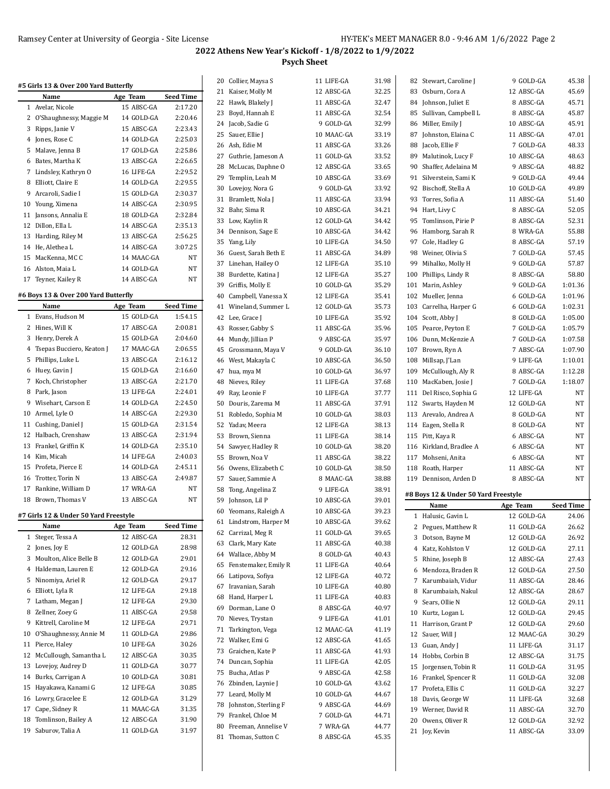| #5 Girls 13 & Over 200 Yard Butterfly         |                          |                  |    | 20 Collier, Maysa S    | 11 LIFE-GA | 31.98 | 82 Stewart, Caroline J               | 9 GOLD-GA                | 45.38            |
|-----------------------------------------------|--------------------------|------------------|----|------------------------|------------|-------|--------------------------------------|--------------------------|------------------|
| Name                                          | Age Team                 | <b>Seed Time</b> |    | 21 Kaiser, Molly M     | 12 ABSC-GA | 32.25 | 83 Osburn, Cora A                    | 12 ABSC-GA               | 45.69            |
| 1 Avelar, Nicole                              | 15 ABSC-GA               | 2:17.20          |    | 22 Hawk, Blakely J     | 11 ABSC-GA | 32.47 | 84 Johnson, Juliet E                 | 8 ABSC-GA                | 45.71            |
| 2 O'Shaughnessy, Maggie M                     | 14 GOLD-GA               | 2:20.46          |    | 23 Boyd, Hannah E      | 11 ABSC-GA | 32.54 | 85 Sullivan, Campbell L              | 8 ABSC-GA                | 45.87            |
| 3 Ripps, Janie V                              | 15 ABSC-GA               | 2:23.43          |    | 24 Jacob, Sadie G      | 9 GOLD-GA  | 32.99 | 86 Miller, Emily J                   | 10 ABSC-GA               | 45.91            |
| 4 Jones, Rose C                               | 14 GOLD-GA               | 2:25.03          |    | 25 Sauer, Ellie J      | 10 MAAC-GA | 33.19 | 87 Johnston, Elaina C                | 11 ABSC-GA               | 47.01            |
| 5 Malave, Jenna B                             | 17 GOLD-GA               | 2:25.86          |    | 26 Ash, Edie M         | 11 ABSC-GA | 33.26 | 88 Jacob, Ellie F                    | 7 GOLD-GA                | 48.33            |
| 6 Bates, Martha K                             | 13 ABSC-GA               | 2:26.65          |    | 27 Guthrie, Jameson A  | 11 GOLD-GA | 33.52 | 89 Malutinok, Lucy F                 | 10 ABSC-GA               | 48.63            |
| 7 Lindsley, Kathryn O                         | 16 LIFE-GA               | 2:29.52          |    | 28 McLucas, Daphne O   | 12 ABSC-GA | 33.65 | 90 Shaffer, Adelaina M               | 9 ABSC-GA                | 48.82            |
| 8 Elliott, Claire E                           | 14 GOLD-GA               | 2:29.55          | 29 | Templin, Leah M        | 10 ABSC-GA | 33.69 | 91 Silverstein, Sami K               | 9 GOLD-GA                | 49.44            |
| 9 Arcaroli, Sadie I                           | 15 GOLD-GA               | 2:30.37          |    | 30 Lovejoy, Nora G     | 9 GOLD-GA  | 33.92 | 92 Bischoff, Stella A                | 10 GOLD-GA               | 49.89            |
|                                               |                          | 2:30.95          |    | 31 Bramlett, Nola J    | 11 ABSC-GA | 33.94 | 93 Torres, Sofia A                   | 11 ABSC-GA               | 51.40            |
| 10 Young, Ximena                              | 14 ABSC-GA               |                  |    | 32 Bahr, Sima R        | 10 ABSC-GA | 34.21 | 94 Hart, Livy C                      | 8 ABSC-GA                | 52.05            |
| 11 Jansons, Annalia E                         | 18 GOLD-GA               | 2:32.84          |    | 33 Low, Kaylin R       | 12 GOLD-GA | 34.42 | 95 Tomlinson, Pirie P                | 8 ABSC-GA                | 52.31            |
| 12 Dillon, Ella L                             | 14 ABSC-GA               | 2:35.13          |    | 34 Dennison, Sage E    | 10 ABSC-GA | 34.42 | 96 Hamborg, Sarah R                  | 8 WRA-GA                 | 55.88            |
| 13 Harding, Riley M                           | 13 ABSC-GA               | 2:56.25          | 35 | Yang, Lily             | 10 LIFE-GA | 34.50 | 97 Cole, Hadley G                    | 8 ABSC-GA                | 57.19            |
| 14 He, Alethea L                              | 14 ABSC-GA               | 3:07.25          | 36 | Guest, Sarah Beth E    | 11 ABSC-GA | 34.89 | 98 Weiner, Olivia S                  | 7 GOLD-GA                | 57.45            |
| 15 MacKenna, MC C                             | 14 MAAC-GA               | NT               |    | 37 Linehan, Hailey O   | 12 LIFE-GA | 35.10 | 99 Mihalko, Molly H                  | 9 GOLD-GA                | 57.87            |
| 16 Alston, Maia L                             | 14 GOLD-GA               | <b>NT</b>        | 38 | Burdette, Katina J     | 12 LIFE-GA | 35.27 | 100 Phillips, Lindy R                | 8 ABSC-GA                | 58.80            |
| 17 Teyner, Kailey R                           | 14 ABSC-GA               | NT               | 39 | Griffis, Molly E       | 10 GOLD-GA | 35.29 | 101 Marin, Ashley                    | 9 GOLD-GA                | 1:01.36          |
| #6 Boys 13 & Over 200 Yard Butterfly          |                          |                  | 40 | Campbell, Vanessa X    | 12 LIFE-GA | 35.41 | 102 Mueller, Jenna                   | 6 GOLD-GA                | 1:01.96          |
| Name                                          | Age Team                 | <b>Seed Time</b> |    | 41 Wineland, Summer L  | 12 GOLD-GA | 35.73 | 103 Carrelha, Harper G               | 6 GOLD-GA                | 1:02.31          |
| 1 Evans, Hudson M                             | 15 GOLD-GA               | 1:54.15          |    | 42 Lee, Grace J        | 10 LIFE-GA | 35.92 | 104 Scott, Abby J                    | 8 GOLD-GA                | 1:05.00          |
| 2 Hines, Will K                               | 17 ABSC-GA               | 2:00.81          | 43 | Rosser, Gabby S        | 11 ABSC-GA | 35.96 | 105 Pearce, Peyton E                 | 7 GOLD-GA                | 1:05.79          |
| 3 Henry, Derek A                              | 15 GOLD-GA               | 2:04.60          |    | 44 Mundy, Jillian P    | 9 ABSC-GA  | 35.97 | 106 Dunn, McKenzie A                 | 7 GOLD-GA                | 1:07.58          |
| 4 Tsepas Bucciero, Keaton J                   | 17 MAAC-GA               | 2:06.55          | 45 | Grossmann, Maya V      | 9 GOLD-GA  | 36.10 | 107 Brown, Ryn A                     | 7 ABSC-GA                | 1:07.90          |
| 5 Phillips, Luke L                            | 13 ABSC-GA               | 2:16.12          |    | 46 West, Makayla C     | 10 ABSC-GA | 36.50 | 108 Millsap, J'Lan                   | 9 LIFE-GA                | 1:10.01          |
| 6 Huey, Gavin J                               | 15 GOLD-GA               | 2:16.60          |    | 47 hua, mya M          | 10 GOLD-GA | 36.97 | 109 McCullough, Aly R                | 8 ABSC-GA                | 1:12.28          |
| 7 Koch, Christopher                           | 13 ABSC-GA               | 2:21.70          | 48 | Nieves, Riley          | 11 LIFE-GA | 37.68 | 110 MacKaben, Josie J                | 7 GOLD-GA                | 1:18.07          |
| 8 Park, Jason                                 | 13 LIFE-GA               | 2:24.01          | 49 | Ray, Leonie F          | 10 LIFE-GA | 37.77 | 111 Del Risco, Sophia G              | 12 LIFE-GA               | <b>NT</b>        |
| 9 Wisehart, Carson E                          | 14 GOLD-GA               | 2:24.50          | 50 | Douris, Zarema M       | 11 ABSC-GA | 37.91 | 112 Swarts, Hayden M                 | 12 GOLD-GA               | NT               |
| 10 Armel, Lyle O                              | 14 ABSC-GA               | 2:29.30          |    | 51 Robledo, Sophia M   | 10 GOLD-GA | 38.03 | 113 Arevalo, Andrea A                | 8 GOLD-GA                | NT               |
| 11 Cushing, Daniel J                          | 15 GOLD-GA               | 2:31.54          |    | 52 Yadav, Meera        | 12 LIFE-GA | 38.13 |                                      | 8 GOLD-GA                | NT               |
| 12 Halbach, Crenshaw                          | 13 ABSC-GA               | 2:31.94          |    | 53 Brown, Sienna       | 11 LIFE-GA | 38.14 | 114 Eagen, Stella R                  | 6 ABSC-GA                | <b>NT</b>        |
| 13 Frankel, Griffin K                         | 14 GOLD-GA               | 2:35.10          |    |                        |            |       | 115 Pitt, Kaya R                     |                          | <b>NT</b>        |
| 14 Kim, Micah                                 | 14 LIFE-GA               | 2:40.03          |    | 54 Sawyer, Hadley R    | 10 GOLD-GA | 38.20 | 116 Kirkland, Bradlee A              | 6 ABSC-GA                |                  |
| 15 Profeta, Pierce E                          |                          | 2:45.11          | 55 | Brown, Noa V           | 11 ABSC-GA | 38.22 | 117 Mohseni, Anita                   | 6 ABSC-GA                | NT               |
|                                               | 14 GOLD-GA               |                  |    | 56 Owens, Elizabeth C  | 10 GOLD-GA | 38.50 | 118 Roath, Harper                    | 11 ABSC-GA               | <b>NT</b>        |
| 16 Trotter, Torin N                           | 13 ABSC-GA<br>17 WRA-GA  | 2:49.87          |    | 57 Sauer, Sammie A     | 8 MAAC-GA  | 38.88 | 119 Dennison, Arden D                | 8 ABSC-GA                | NT               |
| 17 Rankine, William D                         |                          |                  |    |                        |            |       |                                      |                          |                  |
| 18 Brown, Thomas V                            |                          | NT               | 58 | Tong, Angelina Z       | 9 LIFE-GA  | 38.91 | #8 Boys 12 & Under 50 Yard Freestyle |                          |                  |
|                                               | 13 ABSC-GA               | NT               | 59 | Johnson, Lil P         | 10 ABSC-GA | 39.01 | Name                                 | Age Team                 | <b>Seed Time</b> |
| #7 Girls 12 & Under 50 Yard Freestyle         |                          |                  |    | 60 Yeomans, Raleigh A  | 10 ABSC-GA | 39.23 | 1 Halusic. Gavin L                   | 12 GOLD-GA               | 24.06            |
| Name                                          |                          | <b>Seed Time</b> |    | 61 Lindstrom, Harper M | 10 ABSC-GA | 39.62 |                                      |                          |                  |
| 1 Steger, Tessa A                             | Age Team<br>12 ABSC-GA   | 28.31            |    | 62 Carrizal, Meg R     | 11 GOLD-GA | 39.65 | 2 Pegues, Matthew R                  | 11 GOLD-GA               | 26.62            |
| 2 Jones, Joy E                                | 12 GOLD-GA               | 28.98            | 63 | Clark, Mary Kate       | 11 ABSC-GA | 40.38 | 3 Dotson, Bayne M                    | 12 GOLD-GA               | 26.92            |
| 3 Moulton, Alice Belle B                      |                          | 29.01            | 64 | Wallace, Abby M        | 8 GOLD-GA  | 40.43 | 4 Katz, Kohlston V                   | 12 GOLD-GA               | 27.11            |
|                                               | 12 GOLD-GA               |                  | 65 | Fenstemaker, Emily R   | 11 LIFE-GA | 40.64 | 5 Rhine, Joseph B                    | 12 ABSC-GA               | 27.43            |
| 4 Haldeman, Lauren E                          | 12 GOLD-GA               | 29.16            |    | 66 Latipova, Sofiya    | 12 LIFE-GA | 40.72 | 6 Mendoza, Braden R                  | 12 GOLD-GA               | 27.50            |
| 5 Ninomiya, Ariel R                           | 12 GOLD-GA               | 29.17            |    | 67 Iravanian, Sarah    | 10 LIFE-GA | 40.80 | 7 Karumbaiah, Vidur                  | 11 ABSC-GA               | 28.46            |
| 6 Elliott, Lyla R                             | 12 LIFE-GA               | 29.18            | 68 | Hand, Harper L         | 11 LIFE-GA | 40.83 | 8 Karumbaiah, Nakul                  | 12 ABSC-GA               | 28.67            |
| 7 Latham, Megan J                             | 12 LIFE-GA               | 29.30            | 69 | Dorman, Lane O         | 8 ABSC-GA  | 40.97 | 9 Sears, Ollie N                     | 12 GOLD-GA               | 29.11            |
| 8 Zellner, Zoey G                             | 11 ABSC-GA               | 29.58            | 70 | Nieves, Trystan        | 9 LIFE-GA  | 41.01 | 10 Kurtz, Logan L                    | 12 GOLD-GA               | 29.45            |
| 9 Kittrell, Caroline M                        | 12 LIFE-GA               | 29.71            |    | 71 Tarkington, Vega    | 12 MAAC-GA | 41.19 | 11 Harrison, Grant P                 | 12 GOLD-GA               | 29.60            |
| 10 O'Shaughnessy, Annie M                     | 11 GOLD-GA               | 29.86            |    | 72 Walker, Emi G       | 12 ABSC-GA | 41.65 | 12 Sauer, Will J                     | 12 MAAC-GA               | 30.29            |
| 11 Pierce, Haley                              | 10 LIFE-GA               | 30.26            |    | 73 Graichen, Kate P    | 11 ABSC-GA | 41.93 | 13 Guan, Andy J                      | 11 LIFE-GA               | 31.17            |
| 12 McCullough, Samantha L                     | 12 ABSC-GA               | 30.35            | 74 | Duncan, Sophia         | 11 LIFE-GA | 42.05 | 14 Hobbs, Corbin B                   | 12 ABSC-GA               | 31.75            |
| 13 Lovejoy, Audrey D                          | 11 GOLD-GA               | 30.77            | 75 | Bucha, Atlas P         | 9 ABSC-GA  | 42.58 | 15 Jorgensen, Tobin R                | 11 GOLD-GA               | 31.95            |
| 14 Burks, Carrigan A                          | 10 GOLD-GA               | 30.81            |    | 76 Zbinden, Laynie J   | 10 GOLD-GA | 43.62 | 16 Frankel, Spencer R                | 11 GOLD-GA               | 32.08            |
| 15 Hayakawa, Kanami G                         | 12 LIFE-GA               | 30.85            |    | 77 Leard, Molly M      | 10 GOLD-GA | 44.67 | 17 Profeta, Ellis C                  | 11 GOLD-GA               | 32.27            |
| 16 Lowry, Gracelee E                          | 12 GOLD-GA               | 31.29            | 78 | Johnston, Sterling F   | 9 ABSC-GA  | 44.69 | 18 Davis, George W                   | 11 LIFE-GA               | 32.68            |
| 17 Cape, Sidney R                             | 11 MAAC-GA               | 31.35            | 79 | Frankel, Chloe M       | 7 GOLD-GA  | 44.71 | 19 Werner, David R                   | 11 ABSC-GA               | 32.70            |
| 18 Tomlinson, Bailey A<br>19 Saburov, Talia A | 12 ABSC-GA<br>11 GOLD-GA | 31.90<br>31.97   | 80 | Freeman, Annelise V    | 7 WRA-GA   | 44.77 | 20 Owens, Oliver R<br>21 Joy, Kevin  | 12 GOLD-GA<br>11 ABSC-GA | 32.92<br>33.09   |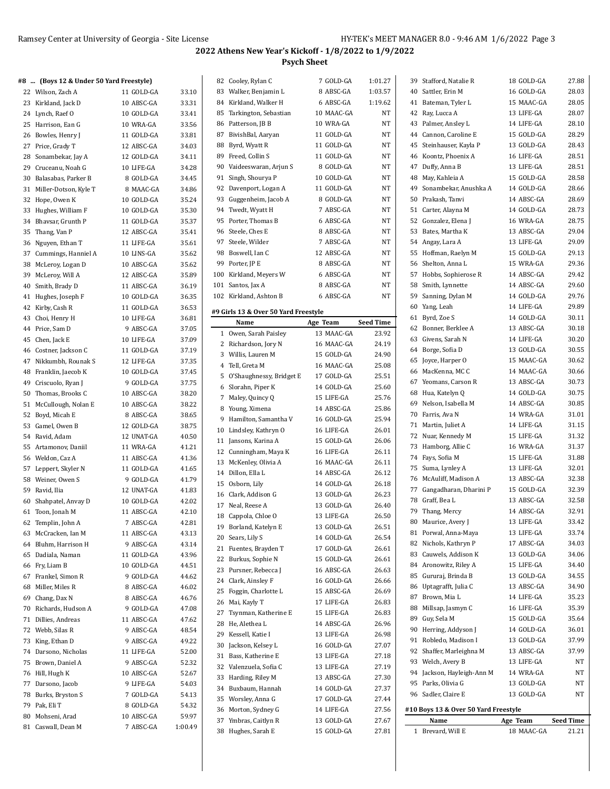### **#8 ... (Boys 12 & Under 50 Yard Freestyle)**

|    | $\sim$ (boys iz & onder 50 ratu ricestyle) |            |         |
|----|--------------------------------------------|------------|---------|
|    | 22 Wilson, Zach A                          | 11 GOLD-GA | 33.10   |
|    | 23 Kirkland, Jack D                        | 10 ABSC-GA | 33.31   |
|    | 24 Lynch, Raef O                           | 10 GOLD-GA | 33.41   |
|    | 25 Harrison, Ean G                         | 10 WRA-GA  | 33.56   |
|    | 26 Bowles, Henry J                         | 11 GOLD-GA | 33.81   |
| 27 | Price, Grady T                             | 12 ABSC-GA | 34.03   |
| 28 | Sonambekar, Jay A                          | 12 GOLD-GA | 34.11   |
| 29 | Cruceanu, Noah G                           | 10 LIFE-GA | 34.28   |
| 30 | Balasabas, Parker B                        | 8 GOLD-GA  | 34.45   |
| 31 | Miller-Dotson, Kyle T                      | 8 MAAC-GA  | 34.86   |
| 32 | Hope, Owen K                               | 10 GOLD-GA | 35.24   |
| 33 | Hughes, William F                          | 10 GOLD-GA | 35.30   |
| 34 | Bhavsar, Grunth P                          | 11 GOLD-GA | 35.37   |
|    |                                            |            |         |
|    | 35 Thang, Van P                            | 12 ABSC-GA | 35.41   |
| 36 | Nguyen, Ethan T                            | 11 LIFE-GA | 35.61   |
| 37 | Cummings, Hanniel A                        | 10 LINS-GA | 35.62   |
| 38 | McLeroy, Logan D                           | 10 ABSC-GA | 35.62   |
| 39 | McLeroy, Will A                            | 12 ABSC-GA | 35.89   |
| 40 | Smith, Brady D                             | 11 ABSC-GA | 36.19   |
| 41 | Hughes, Joseph F                           | 10 GOLD-GA | 36.35   |
| 42 | Kirby, Cash R                              | 11 GOLD-GA | 36.53   |
| 43 | Choi, Henry H                              | 10 LIFE-GA | 36.81   |
|    | 44 Price, Sam D                            | 9 ABSC-GA  | 37.05   |
|    | 45 Chen, Jack E                            | 10 LIFE-GA | 37.09   |
|    | 46 Costner, Jackson C                      | 11 GOLD-GA | 37.19   |
| 47 | Nikkumbh, Rounak S                         | 12 LIFE-GA | 37.35   |
| 48 | Franklin, Jaecob K                         | 10 GOLD-GA | 37.45   |
| 49 | Criscuolo, Ryan J                          | 9 GOLD-GA  | 37.75   |
| 50 | Thomas, Brooks C                           | 10 ABSC-GA | 38.20   |
| 51 | McCullough, Nolan E                        | 10 ABSC-GA | 38.22   |
| 52 | Boyd, Micah E                              | 8 ABSC-GA  | 38.65   |
| 53 | Gamel, Owen B                              | 12 GOLD-GA | 38.75   |
| 54 | Ravid, Adam                                | 12 UNAT-GA | 40.50   |
|    | 55 Artamonov, Daniil                       | 11 WRA-GA  | 41.21   |
|    | 56 Weldon, Caz A                           | 11 ABSC-GA | 41.36   |
| 57 | Leppert, Skyler N                          | 11 GOLD-GA | 41.65   |
| 58 | Weiner, Owen S                             | 9 GOLD-GA  | 41.79   |
| 59 | Ravid, Ilia                                | 12 UNAT-GA | 41.83   |
| 60 | Shahpatel, Anvay D                         | 10 GOLD-GA | 42.02   |
| 61 | Toon, Jonah M                              | 11 ABSC-GA | 42.10   |
| 62 | Templin, John A                            | 7 ABSC-GA  | 42.81   |
| 63 | McCracken, Ian M                           | 11 ABSC-GA | 43.13   |
| 64 | Bluhm, Harrison H                          | 9 ABSC-GA  | 43.14   |
|    | 65 Dadiala, Naman                          | 11 GOLD-GA | 43.96   |
|    | 66 Fry, Liam B                             | 10 GOLD-GA | 44.51   |
| 67 | Frankel, Simon R                           | 9 GOLD-GA  | 44.62   |
| 68 | Miller, Miles R                            | 8 ABSC-GA  | 46.02   |
| 69 | Chang, Dax N                               | 8 ABSC-GA  | 46.76   |
|    |                                            | 9 GOLD-GA  |         |
| 70 | Richards, Hudson A                         |            | 47.08   |
| 71 | Dillies, Andreas                           | 11 ABSC-GA | 47.62   |
| 72 | Webb, Silas R                              | 9 ABSC-GA  | 48.54   |
| 73 | King, Ethan D                              | 9 ABSC-GA  | 49.22   |
| 74 | Darsono, Nicholas                          | 11 LIFE-GA | 52.00   |
| 75 | Brown, Daniel A                            | 9 ABSC-GA  | 52.32   |
|    | 76 Hill, Hugh K                            | 10 ABSC-GA | 52.67   |
| 77 | Darsono, Jacob                             | 9 LIFE-GA  | 54.03   |
| 78 | Burks, Bryston S                           | 7 GOLD-GA  | 54.13   |
| 79 | Pak, Eli T                                 | 8 GOLD-GA  | 54.32   |
| 80 | Mohseni, Arad                              | 10 ABSC-GA | 59.97   |
|    | 81 Caswall, Dean M                         | 7 ABSC-GA  | 1:00.49 |

|              | 82 Cooley, Rylan C                   | 7 GOLD-GA  | 1:01.27          |
|--------------|--------------------------------------|------------|------------------|
|              | 83 Walker, Benjamin L                | 8 ABSC-GA  | 1:03.57          |
| 84           | Kirkland, Walker H                   | 6 ABSC-GA  | 1:19.62          |
| 85           | Tarkington, Sebastian                | 10 MAAC-GA | NT               |
| 86           | Patterson, JB B                      | 10 WRA-GA  | NT               |
| 87           | BivishBal, Aaryan                    | 11 GOLD-GA | NΤ               |
| 88           | Byrd, Wyatt R                        | 11 GOLD-GA | NΤ               |
| 89           | Freed, Collin S                      | 11 GOLD-GA | NT               |
| 90           | Vaideeswaran, Arjun S                | 8 GOLD-GA  | NΤ               |
| 91           | Singh, Shourya P                     | 10 GOLD-GA | NT               |
| 92           | Davenport, Logan A                   | 11 GOLD-GA | NΤ               |
|              | 93 Guggenheim, Jacob A               | 8 GOLD-GA  | NΤ               |
| 94           | Twedt, Wyatt H                       | 7 ABSC-GA  | NT               |
| 95           | Porter, Thomas B                     | 6 ABSC-GA  | NΤ               |
| 96           | Steele, Ches E                       | 8 ABSC-GA  | NΤ               |
| 97           |                                      | 7 ABSC-GA  |                  |
|              | Steele, Wilder                       | 12 ABSC-GA | NΤ               |
|              | 98 Boswell, Ian C                    |            | NΤ               |
| 99           | Porter, JP E                         | 8 ABSC-GA  | NΤ               |
|              | 100 Kirkland, Meyers W               | 6 ABSC-GA  | NΤ               |
| 101          | Santos, Jax A                        | 8 ABSC-GA  | NΤ               |
|              | 102 Kirkland, Ashton B               | 6 ABSC-GA  | NT               |
|              | #9 Girls 13 & Over 50 Yard Freestyle |            |                  |
|              | Name                                 | Age Team   | <b>Seed Time</b> |
| $\mathbf{1}$ | Owen, Sarah Paisley                  | 13 MAAC-GA | 23.92            |
| 2            | Richardson, Jory N                   | 16 MAAC-GA | 24.19            |
|              | 3 Willis, Lauren M                   | 15 GOLD-GA | 24.90            |
| 4            | Tell, Greta M                        | 16 MAAC-GA | 25.08            |
| 5            | O'Shaughnessy, Bridget E             | 17 GOLD-GA | 25.51            |
| 6            | Slorahn, Piper K                     | 14 GOLD-GA | 25.60            |
| 7            | Maley, Quincy Q                      | 15 LIFE-GA | 25.76            |
| 8            | Young, Ximena                        | 14 ABSC-GA | 25.86            |
| 9            | Hamilton, Samantha V                 | 16 GOLD-GA | 25.94            |
| 10           | Lindsley, Kathryn O                  | 16 LIFE-GA | 26.01            |
| 11           | Jansons, Karina A                    | 15 GOLD-GA | 26.06            |
|              | 12 Cunningham, Maya K                | 16 LIFE-GA | 26.11            |
| 13           | McKenley, Olivia A                   | 16 MAAC-GA | 26.11            |
|              | 14 Dillon, Ella L                    |            |                  |
|              |                                      |            |                  |
|              |                                      | 14 ABSC-GA | 26.12            |
|              | 15 Osborn, Lily                      | 14 GOLD-GA | 26.18            |
|              | 16 Clark, Addison G                  | 13 GOLD-GA | 26.23            |
|              | 17 Neal, Reese A                     | 13 GOLD-GA | 26.40            |
|              | 18 Cappola, Chloe O                  | 13 LIFE-GA | 26.50            |
| 19           | Borland, Katelyn E                   | 13 GOLD-GA | 26.51            |
| 20           | Sears, Lily S                        | 14 GOLD-GA | 26.54            |
| 21           | Fuentes, Brayden T                   | 17 GOLD-GA | 26.61            |
| 22           | Burkus, Sophie N                     | 15 GOLD-GA | 26.61            |
| 23           | Pursner, Rebecca J                   | 16 ABSC-GA | 26.63            |
| 24           | Clark, Ainsley F                     | 16 GOLD-GA | 26.66            |
| 25           | Foggin, Charlotte L                  | 15 ABSC-GA | 26.69            |
| 26           | Mai, Kayly T                         | 17 LIFE-GA | 26.83            |
| 27           | Tsynman, Katherine E                 | 15 LIFE-GA | 26.83            |
| 28           | He, Alethea L                        | 14 ABSC-GA | 26.96            |
| 29           | Kessell, Katie I                     | 13 LIFE-GA | 26.98            |
| 30           | Jackson, Kelsey L                    | 16 GOLD-GA | 27.07            |
| 31           | Bass, Katherine E                    | 13 LIFE-GA | 27.18            |
| 32           | Valenzuela, Sofia C                  | 13 LIFE-GA | 27.19            |
| 33           | Harding, Riley M                     | 13 ABSC-GA | 27.30            |
| 34           | Buxbaum, Hannah                      | 14 GOLD-GA | 27.37            |
| 35           | Worsley, Anna G                      | 17 GOLD-GA | 27.44            |
| 36           | Morton, Sydney G                     | 14 LIFE-GA | 27.56            |
| 37           | Ymbras, Caitlyn R                    | 13 GOLD-GA | 27.67            |
| 38           | Hughes, Sarah E                      | 15 GOLD-GA | 27.81            |

| 1  | Brevard, Will E                      | 18 MAAC-GA | 21.21     |
|----|--------------------------------------|------------|-----------|
|    | Name                                 | Age Team   | Seed Time |
|    | #10 Boys 13 & Over 50 Yard Freestyle |            |           |
|    |                                      |            |           |
|    | 96 Sadler, Claire E                  | 13 GOLD-GA | NΤ        |
|    | 95 Parks, Olivia G                   | 13 GOLD-GA | NT        |
|    | 94 Jackson, Hayleigh-Ann M           | 14 WRA-GA  | NΤ        |
|    | 93 Welch, Avery B                    | 13 LIFE-GA | NT        |
| 92 | Shaffer, Marleighna M                | 13 ABSC-GA | 37.99     |
| 91 | Robledo, Madison I                   | 13 GOLD-GA | 37.99     |
|    | 90 Herring, Addyson J                | 14 GOLD-GA | 36.01     |
| 89 | Guy, Sela M                          | 15 GOLD-GA | 35.64     |
|    | 88 Millsap, Jasmyn C                 | 16 LIFE-GA | 35.39     |
| 87 | Brown, Mia L                         | 14 LIFE-GA | 35.23     |
| 86 | Uptagrafft, Julia C                  | 13 ABSC-GA | 34.90     |
|    | 85 Gururaj, Brinda B                 | 13 GOLD-GA | 34.55     |
|    | 84 Aronowitz, Riley A                | 15 LIFE-GA | 34.40     |
| 83 | Cauwels, Addison K                   | 13 GOLD-GA | 34.06     |
| 82 | Nichols, Kathryn P                   | 17 ABSC-GA | 34.03     |
|    | 81 Porwal, Anna-Maya                 | 13 LIFE-GA | 33.74     |
|    | 80 Maurice, Avery J                  | 13 LIFE-GA | 33.42     |
|    | 79 Thang, Mercy                      | 14 ABSC-GA | 32.91     |
| 78 | Graff, Bea L                         | 13 ABSC-GA | 32.58     |
| 77 | Gangadharan, Dharini P               | 15 GOLD-GA | 32.39     |
| 76 | McAuliff, Madison A                  | 13 ABSC-GA | 32.38     |
| 75 | Suma, Lynley A                       | 13 LIFE-GA | 32.01     |
| 74 | Fays, Sofia M                        | 15 LIFE-GA | 31.88     |
| 73 | Hamborg, Allie C                     | 16 WRA-GA  | 31.37     |
| 72 | Nuar, Kennedy M                      | 15 LIFE-GA | 31.32     |
| 71 | Martin, Juliet A                     | 14 LIFE-GA | 31.15     |
| 70 | Farris, Ava N                        | 14 WRA-GA  | 31.01     |
| 69 | Nelson, Isabella M                   | 14 ABSC-GA | 30.85     |
| 68 | Hua, Katelyn Q                       | 14 GOLD-GA | 30.75     |
| 67 | Yeomans, Carson R                    | 13 ABSC-GA | 30.73     |
| 66 | MacKenna, MC C                       | 14 MAAC-GA | 30.66     |
| 65 | Joyce, Harper O                      | 15 MAAC-GA | 30.62     |
|    | 64 Borge, Sofia D                    | 13 GOLD-GA | 30.55     |
| 63 | Givens, Sarah N                      | 14 LIFE-GA | 30.20     |
| 62 | Bonner, Berklee A                    | 13 ABSC-GA | 30.18     |
| 61 | Byrd, Zoe S                          | 14 GOLD-GA | 30.11     |
|    | 60 Yang, Leah                        | 14 LIFE-GA | 29.89     |
| 59 | Sanning, Dylan M                     | 14 GOLD-GA | 29.76     |
| 58 | Smith, Lynnette                      | 14 ABSC-GA | 29.60     |
| 57 | Hobbs, Sophierose R                  | 14 ABSC-GA | 29.42     |
| 56 | Shelton, Anna L                      | 15 WRA-GA  | 29.36     |
| 55 | Hoffman, Raelyn M                    | 15 GOLD-GA | 29.13     |
|    | 54 Angay, Lara A                     | 13 LIFE-GA | 29.09     |
| 53 | Bates, Martha K                      | 13 ABSC-GA | 29.04     |
| 52 | Gonzalez, Elena J                    | 16 WRA-GA  | 28.75     |
| 51 | Carter, Alayna M                     | 14 GOLD-GA | 28.73     |
| 50 | Prakash, Tanvi                       | 14 ABSC-GA | 28.69     |
| 49 | Sonambekar, Anushka A                | 14 GOLD-GA | 28.66     |
| 48 | May, Kahleia A                       | 15 GOLD-GA | 28.58     |
| 47 | Duffy, Anna B                        | 13 LIFE-GA | 28.51     |
| 46 | Koontz, Phoenix A                    | 16 LIFE-GA | 28.51     |
| 45 | Steinhauser, Kayla P                 | 13 GOLD-GA | 28.43     |
| 44 | Cannon, Caroline E                   | 15 GOLD-GA | 28.29     |
| 43 | Palmer, Ansley L                     | 14 LIFE-GA | 28.10     |
| 42 | Ray, Lucca A                         | 13 LIFE-GA | 28.07     |
| 41 | Bateman, Tyler L                     | 15 MAAC-GA | 28.05     |
| 40 | Sattler, Erin M                      | 16 GOLD-GA | 28.03     |
| 39 | Stafford, Natalie R                  | 18 GOLD-GA | 27.88     |
|    |                                      |            |           |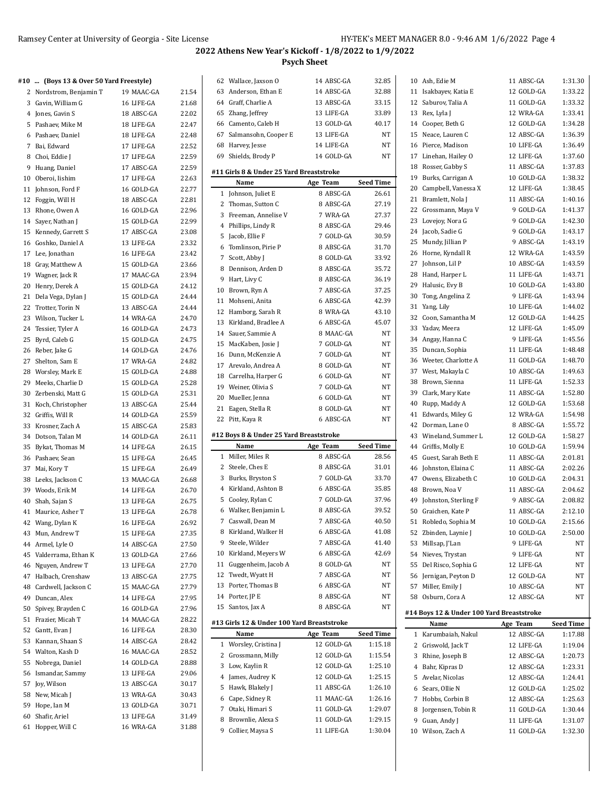22.47 22.48 22.52 22.59 22.59 22.63 22.77

24.82 24.88

25.31 25.44 25.59 25.83 26.11  $26.15$ 

26.92 27.35 27.50 27.66 27.70 27.75

27.96

# **2022 Athens New Year's Kickoff - 1/8/2022 to 1/9/2022 Psych Sheet**

### **#10 ... (Boys 13 & Over 50 Yard Freestyle)**

|          | 10  (Boys 15 & Over 50 faid ricestyle) |                         |                |
|----------|----------------------------------------|-------------------------|----------------|
|          | 2 Nordstrom, Benjamin T                | 19 MAAC-GA              | 21.54          |
|          | 3 Gavin, William G                     | 16 LIFE-GA              | 21.68          |
|          | 4 Jones, Gavin S                       | 18 ABSC-GA              | 22.02          |
|          | 5 Pashaev, Mike M                      | 18 LIFE-GA              | 22.47          |
| 6        | Pashaev, Daniel                        | 18 LIFE-GA              | 22.48          |
|          | 7 Bai, Edward                          | 17 LIFE-GA              | 22.52          |
| 8        | Choi, Eddie J                          | 17 LIFE-GA              | 22.59          |
| 9        | Huang, Daniel                          | 17 ABSC-GA              | 22.59          |
| 10       | Oberoi, Iishim                         | 17 LIFE-GA              | 22.63          |
|          | 11 Johnson, Ford F                     | 16 GOLD-GA              | 22.77          |
|          | 12 Foggin, Will H                      | 18 ABSC-GA              | 22.81          |
|          | 13 Rhone, Owen A                       | 16 GOLD-GA              | 22.96          |
|          | 14 Sayer, Nathan J                     | 15 GOLD-GA              | 22.99          |
| 15       | Kennedy, Garrett S                     | 17 ABSC-GA              | 23.08          |
| 16       | Goshko, Daniel A                       | 13 LIFE-GA              | 23.32          |
|          | 17 Lee, Jonathan                       | 16 LIFE-GA              | 23.42          |
| 18       | Gray, Matthew A                        | 15 GOLD-GA              | 23.66          |
|          | 19 Wagner, Jack R                      | 17 MAAC-GA              | 23.94          |
|          | 20 Henry, Derek A                      | 15 GOLD-GA              | 24.12          |
|          | 21 Dela Vega, Dylan J                  | 15 GOLD-GA              | 24.44          |
|          | 22 Trotter, Torin N                    | 13 ABSC-GA              | 24.44          |
|          | 23 Wilson, Tucker L                    | 14 WRA-GA               | 24.70          |
|          | 24 Tessier, Tyler A                    | 16 GOLD-GA              | 24.73          |
|          | 25 Byrd, Caleb G                       | 15 GOLD-GA              | 24.75          |
|          | 26 Reber, Jake G                       | 14 GOLD-GA              | 24.76          |
|          | 27 Shelton, Sam E                      | 17 WRA-GA               | 24.82          |
|          | 28 Worsley, Mark E                     | 15 GOLD-GA              | 24.88          |
|          | 29 Meeks, Charlie D                    | 15 GOLD-GA              | 25.28          |
| 30       | Zerbenski, Matt G                      | 15 GOLD-GA              | 25.31          |
|          | 31 Koch, Christopher                   | 13 ABSC-GA              | 25.44          |
|          | 32 Griffis, Will R                     | 14 GOLD-GA              | 25.59          |
| 33       | Krosner, Zach A                        | 15 ABSC-GA              | 25.83          |
|          | 34 Dotson, Talan M                     | 14 GOLD-GA              | 26.11          |
| 35       | Bykat, Thomas M                        | 14 LIFE-GA              | 26.15          |
|          | 36 Pashaev, Sean                       | 15 LIFE-GA              | 26.45          |
|          | 37 Mai, Kory T                         | 15 LIFE-GA              | 26.49          |
|          | 38 Leeks, Jackson C                    | 13 MAAC-GA              | 26.68          |
|          | 39 Woods, Erik M                       | 14 LIFE-GA              | 26.70          |
|          | 40 Shah, Sajan S                       | 13 LIFE-GA              | 26.75          |
| 41       | Maurice, Asher T                       | 13 LIFE-GA              | 26.78          |
| 42       | Wang, Dylan K                          | 16 LIFE-GA              | 26.92          |
| 43       | Mun, Andrew T                          | 15 LIFE-GA              | 27.35          |
| 44       | Armel, Lyle O                          | 14 ABSC-GA              | 27.50          |
| 45       | Valderrama, Ethan K                    | 13 GOLD-GA              | 27.66          |
| 46       | Nguyen, Andrew T                       | 13 LIFE-GA              | 27.70          |
| 47       | Halbach, Crenshaw                      | 13 ABSC-GA              | 27.75          |
| 48       | Cardwell, Jackson C                    | 15 MAAC-GA              | 27.79          |
| 49       | Duncan, Alex                           | 14 LIFE-GA              | 27.95          |
| 50       | Spivey, Brayden C                      | 16 GOLD-GA              | 27.96          |
| 51       | Frazier, Micah T                       | 14 MAAC-GA              | 28.22          |
| 52       | Gantt, Evan J                          | 16 LIFE-GA              | 28.30          |
| 53       | Kannan, Shaan S                        | 14 ABSC-GA              | 28.42          |
|          | 54 Walton, Kash D                      | 16 MAAC-GA              | 28.52          |
| 55       | Nobrega, Daniel                        | 14 GOLD-GA              | 28.88          |
| 56       | Ismandar, Sammy                        | 13 LIFE-GA              | 29.06          |
| 57<br>58 | Joy, Wilson<br>New, Micah J            | 13 ABSC-GA<br>13 WRA-GA | 30.17<br>30.43 |
| 59       | Hope, Ian M                            | 13 GOLD-GA              | 30.71          |
| 60       | Shafir, Ariel                          | 13 LIFE-GA              | 31.49          |
| 61       | Hopper, Will C                         | 16 WRA-GA               | 31.88          |
|          |                                        |                         |                |

|    | 62 Wallace, Jaxson O                       | 14 ABSC-GA | 32.85            |    | 10 Ash, Edie M      |
|----|--------------------------------------------|------------|------------------|----|---------------------|
|    | 63 Anderson, Ethan E                       | 14 ABSC-GA | 32.88            |    | 11 Isakbayev, Katia |
|    | 64 Graff, Charlie A                        | 13 ABSC-GA | 33.15            |    | 12 Saburov, Talia A |
|    | 65 Zhang, Jeffrey                          | 13 LIFE-GA | 33.89            |    | 13 Rex, Lyla J      |
|    | 66 Camento, Caleb H                        | 13 GOLD-GA | 40.17            |    | 14 Cooper, Beth G   |
|    | 67 Salmansohn, Cooper E                    | 13 LIFE-GA | <b>NT</b>        |    | 15 Neace, Lauren (  |
|    | 68 Harvey, Jesse                           | 14 LIFE-GA | NT               |    | 16 Pierce, Madison  |
|    | 69 Shields, Brody P                        | 14 GOLD-GA | NT               |    | 17 Linehan, Hailey  |
|    |                                            |            |                  |    | 18 Rosser, Gabby S  |
|    | #11 Girls 8 & Under 25 Yard Breaststroke   |            |                  | 19 | Burks, Carrigan     |
|    | Name                                       | Age Team   | <b>Seed Time</b> |    | 20 Campbell, Vane:  |
|    | 1 Johnson, Juliet E                        | 8 ABSC-GA  | 26.61            |    | 21 Bramlett, Nola J |
|    | 2 Thomas, Sutton C                         | 8 ABSC-GA  | 27.19            |    | 22 Grossmann, Ma    |
|    | 3 Freeman, Annelise V                      | 7 WRA-GA   | 27.37            |    | 23 Lovejoy, Nora G  |
|    | 4 Phillips, Lindy R                        | 8 ABSC-GA  | 29.46            |    | 24 Jacob, Sadie G   |
|    | 5 Jacob, Ellie F                           | 7 GOLD-GA  | 30.59            |    | 25 Mundy, Jillian P |
|    | 6 Tomlinson, Pirie P                       | 8 ABSC-GA  | 31.70            |    | 26 Horne, Kyndall   |
|    | 7 Scott, Abby J                            | 8 GOLD-GA  | 33.92            |    | 27 Johnson, Lil P   |
|    | 8 Dennison, Arden D                        | 8 ABSC-GA  | 35.72            |    | 28 Hand, Harper L   |
|    | 9 Hart, Livy C                             | 8 ABSC-GA  | 36.19            |    | 29 Halusic, Evy B   |
|    | 10 Brown, Ryn A                            | 7 ABSC-GA  | 37.25            |    | 30 Tong, Angelina   |
|    | 11 Mohseni, Anita                          | 6 ABSC-GA  | 42.39            |    | 31 Yang, Lily       |
|    | 12 Hamborg, Sarah R                        | 8 WRA-GA   | 43.10            |    | 32 Coon, Samantha   |
|    | 13 Kirkland, Bradlee A                     | 6 ABSC-GA  | 45.07            |    | 33 Yadav, Meera     |
|    | 14 Sauer, Sammie A                         | 8 MAAC-GA  | NΤ               |    | 34 Angay, Hanna C   |
|    | 15 MacKaben, Josie J                       | 7 GOLD-GA  | NT               |    | 35 Duncan, Sophia   |
|    | 16 Dunn, McKenzie A                        | 7 GOLD-GA  | NT               |    | 36 Weeter, Charlot  |
|    | 17 Arevalo, Andrea A                       | 8 GOLD-GA  | NT               |    |                     |
|    | 18 Carrelha, Harper G                      | 6 GOLD-GA  | NT               |    | 37 West, Makayla (  |
|    | 19 Weiner, Olivia S                        | 7 GOLD-GA  | NT               |    | 38 Brown, Sienna    |
|    | 20 Mueller, Jenna                          | 6 GOLD-GA  | NT               | 39 | Clark, Mary Kat     |
|    | 21 Eagen, Stella R                         | 8 GOLD-GA  | NT               |    | 40 Rupp, Maddy A    |
|    |                                            |            |                  |    | 41 Edwards, Miley   |
|    | 22 Pitt, Kaya R                            | 6 ABSC-GA  | NT               |    |                     |
|    |                                            |            |                  |    | 42 Dorman, Lane C   |
|    | #12 Boys 8 & Under 25 Yard Breaststroke    |            |                  |    | 43 Wineland, Sumi   |
|    | Name                                       | Age Team   | <b>Seed Time</b> |    | 44 Griffis, Molly E |
|    | 1 Miller, Miles R                          | 8 ABSC-GA  | 28.56            |    | 45 Guest, Sarah Be  |
|    | 2 Steele, Ches E                           | 8 ABSC-GA  | 31.01            |    | 46 Johnston, Elaina |
|    | 3 Burks, Bryston S                         | 7 GOLD-GA  | 33.70            |    | 47 Owens, Elizabet  |
|    | 4 Kirkland, Ashton B                       | 6 ABSC-GA  | 35.85            |    | 48 Brown, Noa V     |
|    | 5 Cooley, Rylan C                          | 7 GOLD-GA  | 37.96            | 49 | Johnston, Sterli    |
|    | 6 Walker, Benjamin L                       | 8 ABSC-GA  | 39.52            |    | 50 Graichen, Kate I |
|    | 7 Caswall, Dean M                          | 7 ABSC-GA  | 40.50            |    | 51 Robledo, Sophia  |
|    | 8 Kirkland, Walker H                       | 6 ABSC-GA  | 41.08            |    | 52 Zbinden, Laynie  |
|    | 9 Steele, Wilder                           | 7 ABSC-GA  | 41.40            | 53 | Millsap, J'Lan      |
|    | 10 Kirkland, Meyers W                      | 6 ABSC-GA  | 42.69            |    | 54 Nieves, Trystan  |
|    | 11 Guggenheim, Jacob A                     | 8 GOLD-GA  | NΤ               | 55 | Del Risco, Sophi    |
|    | 12 Twedt, Wyatt H                          | 7 ABSC-GA  | NT               |    | 56 Jernigan, Peytor |
|    | 13 Porter, Thomas B                        | 6 ABSC-GA  | NΤ               |    | 57 Miller, Emily J  |
|    | 14 Porter, JP E                            | 8 ABSC-GA  | NΤ               |    | 58 Osburn, Cora A   |
| 15 | Santos, Jax A                              | 8 ABSC-GA  | NΤ               |    |                     |
|    |                                            |            |                  |    | #14 Boys 12 & Unde  |
|    | #13 Girls 12 & Under 100 Yard Breaststroke |            |                  |    | Name                |
|    | Name                                       | Age Team   | <b>Seed Time</b> |    | 1 Karumbaiah, Na    |
|    | 1 Worsley, Cristina J                      | 12 GOLD-GA | 1:15.18          |    | 2 Griswold, Jack T  |
|    | 2 Grossmann, Milly                         | 12 GOLD-GA | 1:15.54          | 3  | Rhine, Joseph B     |
|    | 3 Low, Kaylin R                            | 12 GOLD-GA | 1:25.10          |    | 4 Bahr, Kipras D    |
|    | 4 James, Audrey K                          | 12 GOLD-GA | 1:25.15          |    | 5 Avelar, Nicolas   |
|    | 5 Hawk, Blakely J                          | 11 ABSC-GA | 1:26.10          |    | 6 Sears, Ollie N    |
|    | 6 Cape, Sidney R                           | 11 MAAC-GA | 1:26.16          | 7  | Hobbs, Corbin I     |
|    | 7 Otaki, Himari S                          | 11 GOLD-GA | 1:29.07          | 8  | Jorgensen, Tobi     |
|    | 8 Brownlie, Alexa S                        | 11 GOLD-GA | 1:29.15          | 9. | Guan, Andy J        |
|    | 9 Collier, Maysa S                         | 11 LIFE-GA | 1:30.04          |    | 10 Wilson, Zach A   |

|    | 10 Ash, Edie M                            | 11 ABSC-GA | 1:31.30          |
|----|-------------------------------------------|------------|------------------|
| 11 | Isakbayev, Katia E                        | 12 GOLD-GA | 1:33.22          |
|    | 12 Saburov, Talia A                       | 11 GOLD-GA | 1:33.32          |
|    |                                           | 12 WRA-GA  | 1:33.41          |
|    | 13 Rex, Lyla J                            |            |                  |
|    | 14 Cooper, Beth G                         | 12 GOLD-GA | 1:34.28          |
|    | 15 Neace, Lauren C                        | 12 ABSC-GA | 1:36.39          |
|    | 16 Pierce, Madison                        | 10 LIFE-GA | 1:36.49          |
|    | 17 Linehan, Hailey O                      | 12 LIFE-GA | 1:37.60          |
| 18 | Rosser, Gabby S                           | 11 ABSC-GA | 1:37.83          |
| 19 | Burks, Carrigan A                         | 10 GOLD-GA | 1:38.32          |
|    | 20 Campbell, Vanessa X                    | 12 LIFE-GA | 1:38.45          |
| 21 | Bramlett, Nola J                          | 11 ABSC-GA | 1:40.16          |
|    | 22 Grossmann, Maya V                      | 9 GOLD-GA  | 1:41.37          |
|    | 23 Lovejoy, Nora G                        | 9 GOLD-GA  | 1:42.30          |
| 24 | Jacob, Sadie G                            | 9 GOLD-GA  | 1:43.17          |
| 25 | Mundy, Jillian P                          | 9 ABSC-GA  | 1:43.19          |
| 26 | Horne, Kyndall R                          | 12 WRA-GA  | 1:43.59          |
| 27 | Johnson, Lil P                            | 10 ABSC-GA | 1:43.59          |
| 28 | Hand, Harper L                            | 11 LIFE-GA | 1:43.71          |
| 29 | Halusic, Evy B                            | 10 GOLD-GA | 1:43.80          |
| 30 | Tong, Angelina Z                          | 9 LIFE-GA  | 1:43.94          |
| 31 | Yang, Lily                                | 10 LIFE-GA | 1:44.02          |
|    | 32 Coon, Samantha M                       | 12 GOLD-GA | 1:44.25          |
|    |                                           | 12 LIFE-GA |                  |
|    | 33 Yadav, Meera                           |            | 1:45.09          |
|    | 34 Angay, Hanna C                         | 9 LIFE-GA  | 1:45.56          |
| 35 | Duncan, Sophia                            | 11 LIFE-GA | 1:48.48          |
|    | 36 Weeter, Charlotte A                    | 11 GOLD-GA | 1:48.70          |
|    | 37 West, Makayla C                        | 10 ABSC-GA | 1:49.63          |
| 38 | Brown, Sienna                             | 11 LIFE-GA | 1:52.33          |
|    | 39 Clark, Mary Kate                       | 11 ABSC-GA | 1:52.80          |
| 40 | Rupp, Maddy A                             | 12 GOLD-GA | 1:53.68          |
| 41 | Edwards, Miley G                          | 12 WRA-GA  | 1:54.98          |
| 42 | Dorman, Lane O                            | 8 ABSC-GA  | 1:55.72          |
| 43 | Wineland, Summer L                        | 12 GOLD-GA | 1:58.27          |
|    | 44 Griffis, Molly E                       | 10 GOLD-GA | 1:59.94          |
| 45 | Guest, Sarah Beth E                       | 11 ABSC-GA | 2:01.81          |
| 46 | Johnston, Elaina C                        | 11 ABSC-GA | 2:02.26          |
| 47 | Owens, Elizabeth C                        | 10 GOLD-GA | 2:04.31          |
| 48 | Brown, Noa V                              | 11 ABSC-GA | 2:04.62          |
| 49 | Johnston, Sterling F                      | 9 ABSC-GA  | 2:08.82          |
|    | 50 Graichen, Kate P                       | 11 ABSC-GA | 2:12.10          |
|    | 51 Robledo, Sophia M                      | 10 GOLD-GA | 2:15.66          |
|    | 52 Zbinden, Laynie J                      | 10 GOLD-GA | 2:50.00          |
|    | 53 Millsap, J'Lan                         | 9 LIFE-GA  | NΤ               |
|    | 54 Nieves, Trystan                        | 9 LIFE-GA  |                  |
|    |                                           |            | NT               |
|    | 55 Del Risco, Sophia G                    | 12 LIFE-GA | NΤ               |
|    | 56 Jernigan, Peyton D                     | 12 GOLD-GA | NΤ               |
| 57 | Miller, Emily J                           | 10 ABSC-GA | NΤ               |
|    | 58 Osburn, Cora A                         | 12 ABSC-GA | NΤ               |
|    | #14 Boys 12 & Under 100 Yard Breaststroke |            |                  |
|    | Name                                      | Age Team   | <b>Seed Time</b> |
| 1  | Karumbaiah, Nakul                         | 12 ABSC-GA | 1:17.88          |
| 2  | Griswold, Jack T                          | 12 LIFE-GA | 1:19.04          |
| 3  | Rhine, Joseph B                           | 12 ABSC-GA | 1:20.73          |
|    | 4 Bahr, Kipras D                          | 12 ABSC-GA | 1:23.31          |
|    | 5 Avelar, Nicolas                         | 12 ABSC-GA | 1:24.41          |
|    | 6 Sears, Ollie N                          | 12 GOLD-GA | 1:25.02          |
| 7  | Hobbs, Corbin B                           | 12 ABSC-GA | 1:25.63          |
| 8  |                                           |            |                  |
|    |                                           |            |                  |
|    | Jorgensen, Tobin R                        | 11 GOLD-GA | 1:30.44          |
|    | 9 Guan, Andy J                            | 11 LIFE-GA | 1:31.07          |
|    | 10 Wilson, Zach A                         | 11 GOLD-GA | 1:32.30          |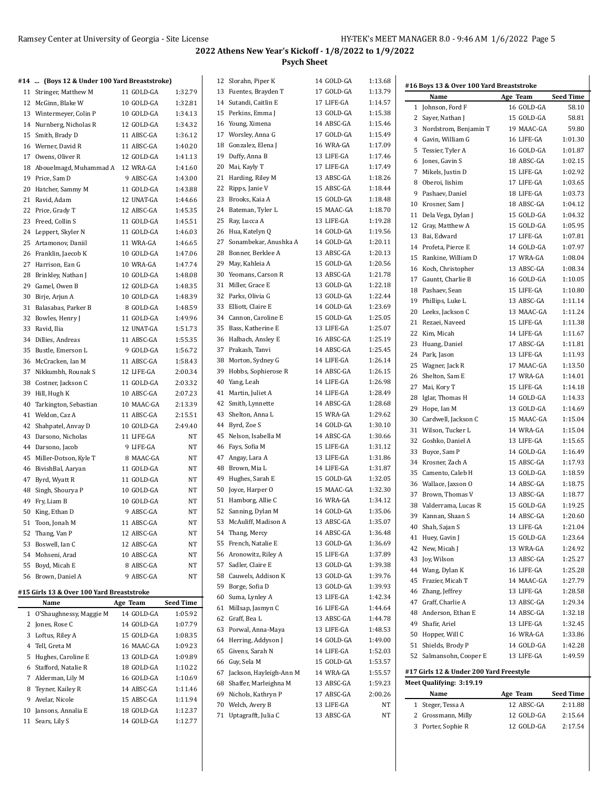| #14 … | (Boys 12 & Under 100 Yard Breaststroke)   |            |                  | 12 Slorahn, Piper K                     | 14 GOLD-GA               | 1:13.68            | #16 Boys 13 & Over 100 Yard Breaststroke |                          |                  |
|-------|-------------------------------------------|------------|------------------|-----------------------------------------|--------------------------|--------------------|------------------------------------------|--------------------------|------------------|
|       | 11 Stringer, Matthew M                    | 11 GOLD-GA | 1:32.79          | 13 Fuentes, Brayden T                   | 17 GOLD-GA               | 1:13.79            | Name                                     | Age Team                 | <b>Seed Time</b> |
|       | 12 McGinn, Blake W                        | 10 GOLD-GA | 1:32.81          | 14 Sutandi, Caitlin E                   | 17 LIFE-GA               | 1:14.57            | 1 Johnson, Ford F                        | 16 GOLD-GA               | 58.10            |
|       | 13 Wintermeyer, Colin P                   | 10 GOLD-GA | 1:34.13          | 15 Perkins, Emma J                      | 13 GOLD-GA               | 1:15.38            | 2 Sayer, Nathan J                        | 15 GOLD-GA               | 58.81            |
|       | 14 Nurnberg, Nicholas R                   | 12 GOLD-GA | 1:34.32          | 16 Young, Ximena                        | 14 ABSC-GA               | 1:15.46            |                                          | 19 MAAC-GA               | 59.80            |
|       | 15 Smith, Brady D                         | 11 ABSC-GA | 1:36.12          | 17 Worsley, Anna G                      | 17 GOLD-GA               | 1:15.49            | 3 Nordstrom, Benjamin T                  |                          |                  |
|       | 16 Werner, David R                        | 11 ABSC-GA | 1:40.20          | 18 Gonzalez, Elena J                    | 16 WRA-GA                | 1:17.09            | 4 Gavin, William G                       | 16 LIFE-GA               | 1:01.30          |
|       | 17 Owens, Oliver R                        | 12 GOLD-GA | 1:41.13          | 19 Duffy, Anna B                        | 13 LIFE-GA               | 1:17.46            | 5 Tessier, Tyler A                       | 16 GOLD-GA               | 1:01.87          |
|       | 18 Abouelmagd, Muhammad A 12 WRA-GA       |            | 1:41.60          | 20 Mai, Kayly T                         | 17 LIFE-GA               | 1:17.49            | 6 Jones, Gavin S                         | 18 ABSC-GA               | 1:02.15          |
|       | 19 Price, Sam D                           | 9 ABSC-GA  | 1:43.00          | 21 Harding, Riley M                     | 13 ABSC-GA               | 1:18.26            | 7 Mikels, Justin D                       | 15 LIFE-GA               | 1:02.92          |
|       | 20 Hatcher, Sammy M                       | 11 GOLD-GA | 1:43.88          | 22 Ripps, Janie V                       | 15 ABSC-GA               | 1:18.44            | 8 Oberoi, Iishim                         | 17 LIFE-GA               | 1:03.65          |
|       | 21 Ravid, Adam                            | 12 UNAT-GA | 1:44.66          | 23 Brooks, Kaia A                       | 15 GOLD-GA               | 1:18.48            | 9 Pashaev, Daniel                        | 18 LIFE-GA               | 1:03.73          |
|       | 22 Price, Grady T                         | 12 ABSC-GA | 1:45.35          | 24 Bateman, Tyler L                     | 15 MAAC-GA               | 1:18.70            | 10 Krosner, Sam J                        | 18 ABSC-GA               | 1:04.12          |
|       | 23 Freed, Collin S                        | 11 GOLD-GA | 1:45.51          | 25 Ray, Lucca A                         | 13 LIFE-GA               | 1:19.28            | 11 Dela Vega, Dylan J                    | 15 GOLD-GA               | 1:04.32          |
|       | 24 Leppert, Skyler N                      | 11 GOLD-GA | 1:46.03          | 26 Hua, Katelyn Q                       | 14 GOLD-GA               | 1:19.56            | 12 Gray, Matthew A                       | 15 GOLD-GA               | 1:05.95          |
|       | 25 Artamonov, Daniil                      | 11 WRA-GA  | 1:46.65          | 27 Sonambekar, Anushka A                | 14 GOLD-GA               | 1:20.11            | 13 Bai, Edward                           | 17 LIFE-GA               | 1:07.81          |
|       | 26 Franklin, Jaecob K                     | 10 GOLD-GA | 1:47.06          | 28 Bonner, Berklee A                    | 13 ABSC-GA               | 1:20.13            | 14 Profeta, Pierce E                     | 14 GOLD-GA               | 1:07.97          |
|       | 27 Harrison, Ean G                        | 10 WRA-GA  | 1:47.74          | 29 May, Kahleia A                       | 15 GOLD-GA               | 1:20.56            | 15 Rankine, William D                    | 17 WRA-GA                | 1:08.04          |
|       | 28 Brinkley, Nathan J                     |            |                  | 30 Yeomans, Carson R                    | 13 ABSC-GA               | 1:21.78            | 16 Koch, Christopher                     | 13 ABSC-GA               | 1:08.34          |
|       |                                           | 10 GOLD-GA | 1:48.08          | 31 Miller, Grace E                      | 13 GOLD-GA               | 1:22.18            | Gauntt, Charlie B<br>17                  | 16 GOLD-GA               | 1:10.05          |
|       | 29 Gamel, Owen B                          | 12 GOLD-GA | 1:48.35          |                                         |                          |                    | 18<br>Pashaev, Sean                      | 15 LIFE-GA               | 1:10.80          |
|       | 30 Birje, Arjun A                         | 10 GOLD-GA | 1:48.39          | 32 Parks, Olivia G                      | 13 GOLD-GA               | 1:22.44            | 19 Phillips, Luke L                      | 13 ABSC-GA               | 1:11.14          |
|       | 31 Balasabas, Parker B                    | 8 GOLD-GA  | 1:48.59          | 33 Elliott, Claire E                    | 14 GOLD-GA               | 1:23.69            | 20 Leeks, Jackson C                      | 13 MAAC-GA               | 1:11.24          |
|       | 32 Bowles, Henry                          | 11 GOLD-GA | 1:49.96          | 34 Cannon, Caroline E                   | 15 GOLD-GA               | 1:25.05            | 21 Rezaei, Naveed                        | 15 LIFE-GA               | 1:11.38          |
|       | 33 Ravid, Ilia                            | 12 UNAT-GA | 1:51.73          | 35 Bass, Katherine E                    | 13 LIFE-GA               | 1:25.07            | 22<br>Kim, Micah                         | 14 LIFE-GA               | 1:11.67          |
|       | 34 Dillies, Andreas                       | 11 ABSC-GA | 1:55.35          | 36 Halbach, Ansley E                    | 16 ABSC-GA               | 1:25.19            | 23<br>Huang, Daniel                      | 17 ABSC-GA               | 1:11.81          |
|       | 35 Bustle, Emerson L                      | 9 GOLD-GA  | 1:56.72          | 37 Prakash, Tanvi                       | 14 ABSC-GA               | 1:25.45            | 24 Park, Jason                           | 13 LIFE-GA               | 1:11.93          |
|       | 36 McCracken, Ian M                       | 11 ABSC-GA | 1:58.43          | 38 Morton, Sydney G                     | 14 LIFE-GA               | 1:26.14            | 25 Wagner, Jack R                        | 17 MAAC-GA               | 1:13.50          |
|       | 37 Nikkumbh, Rounak S                     | 12 LIFE-GA | 2:00.34          | 39 Hobbs, Sophierose R                  | 14 ABSC-GA               | 1:26.15            | 26 Shelton, Sam E                        | 17 WRA-GA                | 1:14.01          |
|       | 38 Costner, Jackson C                     | 11 GOLD-GA | 2:03.32          | 40 Yang, Leah                           | 14 LIFE-GA               | 1:26.98            | 27<br>Mai, Kory T                        | 15 LIFE-GA               | 1:14.18          |
|       | 39 Hill, Hugh K                           | 10 ABSC-GA | 2:07.23          | 41 Martin, Juliet A                     | 14 LIFE-GA               | 1:28.49            | 28<br>Iglar, Thomas H                    | 14 GOLD-GA               | 1:14.33          |
|       | 40 Tarkington, Sebastian                  | 10 MAAC-GA | 2:13.39          | 42 Smith, Lynnette                      | 14 ABSC-GA               | 1:28.68            | Hope, Ian M<br>29                        | 13 GOLD-GA               | 1:14.69          |
|       | 41 Weldon, Caz A                          | 11 ABSC-GA | 2:15.51          | 43 Shelton, Anna L                      | 15 WRA-GA                | 1:29.62            | Cardwell, Jackson C<br>30                | 15 MAAC-GA               | 1:15.04          |
|       | 42 Shahpatel, Anvay D                     | 10 GOLD-GA | 2:49.40          | 44 Byrd, Zoe S                          | 14 GOLD-GA               | 1:30.10            | 31 Wilson, Tucker L                      | 14 WRA-GA                | 1:15.04          |
|       | 43 Darsono, Nicholas                      | 11 LIFE-GA | NT               | 45 Nelson, Isabella M                   | 14 ABSC-GA               | 1:30.66            | 32<br>Goshko, Daniel A                   | 13 LIFE-GA               | 1:15.65          |
|       | 44 Darsono, Jacob                         | 9 LIFE-GA  | NT               | 46 Fays, Sofia M                        | 15 LIFE-GA               | 1:31.12            | 33<br>Buyce, Sam P                       | 14 GOLD-GA               | 1:16.49          |
|       | 45 Miller-Dotson, Kyle T                  | 8 MAAC-GA  | NT               | 47 Angay, Lara A                        | 13 LIFE-GA               | 1:31.86            | 34 Krosner, Zach A                       | 15 ABSC-GA               | 1:17.93          |
|       | 46 BivishBal, Aaryan                      | 11 GOLD-GA | NT               | 48 Brown, Mia L                         | 14 LIFE-GA               | 1:31.87            | 35 Camento, Caleb H                      | 13 GOLD-GA               | 1:18.59          |
|       | 47 Byrd, Wyatt R                          | 11 GOLD-GA | NT               | 49 Hughes, Sarah E                      | 15 GOLD-GA               | 1:32.05            | 36 Wallace, Jaxson O                     |                          | 1:18.75          |
|       | 48 Singh, Shourya P                       | 10 GOLD-GA | NT               | 50 Joyce, Harper O                      | 15 MAAC-GA               | 1:32.30            | Brown, Thomas V                          | 14 ABSC-GA<br>13 ABSC-GA |                  |
|       | 49 Fry, Liam B                            | 10 GOLD-GA | NT               | 51 Hamborg, Allie C                     | 16 WRA-GA                | 1:34.12            | 37                                       |                          | 1:18.77          |
|       | 50 King, Ethan D                          | 9 ABSC-GA  | NT               | 52 Sanning, Dylan M                     | 14 GOLD-GA               | 1:35.06            | 38 Valderrama, Lucas R                   | 15 GOLD-GA               | 1:19.25          |
|       | 51 Toon, Jonah M                          | 11 ABSC-GA | NT               | 53 McAuliff, Madison A                  | 13 ABSC-GA               | 1:35.07            | 39 Kannan, Shaan S                       | 14 ABSC-GA               | 1:20.60          |
|       | 52 Thang, Van P                           | 12 ABSC-GA | NT               | 54 Thang, Mercy                         | 14 ABSC-GA               | 1:36.48            | 40 Shah, Sajan S                         | 13 LIFE-GA               | 1:21.04          |
|       | 53 Boswell, Ian C                         | 12 ABSC-GA | NT               | 55 French, Natalie E                    | 13 GOLD-GA               | 1:36.69            | 41 Huey, Gavin J                         | 15 GOLD-GA               | 1:23.64          |
|       | 54 Mohseni, Arad                          | 10 ABSC-GA | NT               | 56 Aronowitz, Riley A                   | 15 LIFE-GA               | 1:37.89            | 42 New, Micah J                          | 13 WRA-GA                | 1:24.92          |
|       | 55 Boyd, Micah E                          | 8 ABSC-GA  | NT               | 57 Sadler, Claire E                     | 13 GOLD-GA               | 1.39.38            | Joy, Wilson<br>43                        | 13 ABSC-GA               | 1:25.27          |
|       | 56 Brown, Daniel A                        | 9 ABSC-GA  | NT               | 58 Cauwels, Addison K                   | 13 GOLD-GA               | 1.39.76            | 44 Wang, Dylan K                         | 16 LIFE-GA               | 1:25.28          |
|       |                                           |            |                  | 59 Borge, Sofia D                       | 13 GOLD-GA               | 1:39.93            | 45 Frazier, Micah T                      | 14 MAAC-GA               | 1:27.79          |
|       | #15 Girls 13 & Over 100 Yard Breaststroke |            |                  | 60 Suma, Lynley A                       | 13 LIFE-GA               | 1:42.34            | 46 Zhang, Jeffrey                        | 13 LIFE-GA               | 1:28.58          |
|       | Name                                      | Age Team   | <b>Seed Time</b> |                                         |                          |                    | Graff, Charlie A<br>47                   | 13 ABSC-GA               | 1:29.34          |
|       | 1 O'Shaughnessy, Maggie M                 | 14 GOLD-GA | 1:05.92          | 61 Millsap, Jasmyn C<br>62 Graff, Bea L | 16 LIFE-GA<br>13 ABSC-GA | 1:44.64<br>1:44.78 | Anderson, Ethan E<br>48                  | 14 ABSC-GA               | 1:32.18          |
|       | 2 Jones, Rose C                           | 14 GOLD-GA | 1:07.79          |                                         |                          |                    | Shafir, Ariel<br>49                      | 13 LIFE-GA               | 1:32.45          |
|       | 3 Loftus, Riley A                         | 15 GOLD-GA | 1:08.35          | 63 Porwal, Anna-Maya                    | 13 LIFE-GA               | 1:48.53            | 50 Hopper, Will C                        | 16 WRA-GA                | 1:33.86          |
|       | 4 Tell, Greta M                           | 16 MAAC-GA | 1:09.23          | 64 Herring, Addyson J                   | 14 GOLD-GA               | 1:49.00            | 51 Shields, Brody P                      | 14 GOLD-GA               | 1:42.28          |
|       | 5 Hughes, Caroline E                      | 13 GOLD-GA | 1:09.89          | 65 Givens, Sarah N                      | 14 LIFE-GA               | 1:52.03            | 52 Salmansohn, Cooper E                  | 13 LIFE-GA               | 1:49.59          |
|       | 6 Stafford, Natalie R                     | 18 GOLD-GA | 1:10.22          | 66 Guy, Sela M                          | 15 GOLD-GA               | 1:53.57            |                                          |                          |                  |
|       | 7 Alderman, Lily M                        | 16 GOLD-GA | 1:10.69          | 67 Jackson, Hayleigh-Ann M              | 14 WRA-GA                | 1:55.57            | #17 Girls 12 & Under 200 Yard Freestyle  |                          |                  |
|       | 8 Teyner, Kailey R                        | 14 ABSC-GA | 1:11.46          | 68 Shaffer, Marleighna M                | 13 ABSC-GA               | 1:59.23            | Meet Qualifying: 3:19.19                 |                          |                  |
|       | 9 Avelar, Nicole                          | 15 ABSC-GA | 1:11.94          | 69 Nichols, Kathryn P                   | 17 ABSC-GA               | 2:00.26            | Name                                     | Age Team                 | <b>Seed Time</b> |
|       | 10 Jansons, Annalia E                     | 18 GOLD-GA | 1:12.37          | 70 Welch, Avery B                       | 13 LIFE-GA               | NT                 | 1 Steger, Tessa A                        | 12 ABSC-GA               | 2:11.88          |
|       | 11 Sears, Lily S                          | 14 GOLD-GA | 1:12.77          | 71 Uptagrafft, Julia C                  | 13 ABSC-GA               | NT                 | 2 Grossmann, Milly                       | 12 GOLD-GA               | 2:15.64          |
|       |                                           |            |                  |                                         |                          |                    | 3 Porter, Sophie R                       | 12 GOLD-GA               | 2:17.54          |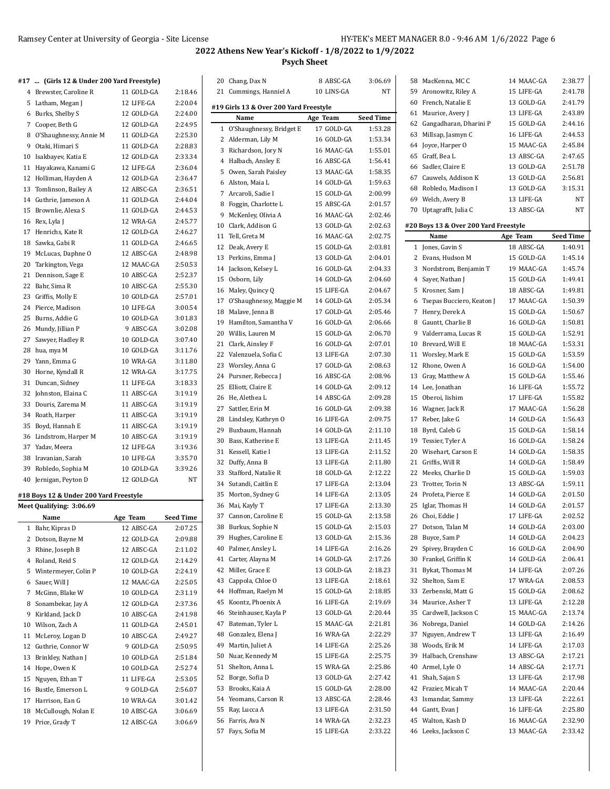MacKenna, MC C 14 MAAC-GA 2:38.77 Aronowitz, Riley A 15 LIFE-GA 2:41.78

# **2022 Athens New Year's Kickoff - 1/8/2022 to 1/9/2022 Psych Sheet**

20 Chang, Dax N 8 ABSC-GA 3:06.69 21 Cummings, Hanniel A 10 LINS-GA NT

**#19 Girls 13 & Over 200 Yard Freestyle**

### **#17 ... (Girls 12 & Under 200 Yard Freestyle)**

| 1  | Bahr, Kipras D                         | 12 ABSC-GA | 2:07.25          |
|----|----------------------------------------|------------|------------------|
|    | Name                                   | Age Team   | <b>Seed Time</b> |
|    | Meet Qualifying: 3:06.69               |            |                  |
|    | #18 Boys 12 & Under 200 Yard Freestyle |            |                  |
| 40 | Jernigan, Peyton D                     | 12 GOLD-GA | NT               |
| 39 | Robledo, Sophia M                      | 10 GOLD-GA | 3:39.26          |
| 38 | Iravanian, Sarah                       | 10 LIFE-GA | 3:35.70          |
| 37 | Yadav, Meera                           | 12 LIFE-GA | 3:19.36          |
| 36 | Lindstrom, Harper M                    | 10 ABSC-GA | 3:19.19          |
| 35 | Boyd, Hannah E                         | 11 ABSC-GA | 3:19.19          |
| 34 | Roath, Harper                          | 11 ABSC-GA | 3:19.19          |
| 33 | Douris, Zarema M                       | 11 ABSC-GA | 3:19.19          |
| 32 | Johnston, Elaina C                     | 11 ABSC-GA | 3:19.19          |
| 31 | Duncan, Sidney                         | 11 LIFE-GA | 3:18.33          |
| 30 | Horne, Kyndall R                       | 12 WRA-GA  | 3:17.75          |
| 29 | Yann, Emma G                           | 10 WRA-GA  | 3:11.80          |
| 28 | hua, mya M                             | 10 GOLD-GA | 3:11.76          |
| 27 | Sawyer, Hadley R                       | 10 GOLD-GA | 3:07.40          |
| 26 | Mundy, Jillian P                       | 9 ABSC-GA  | 3:02.08          |
|    | Burns, Addie G                         | 10 GOLD-GA | 3:01.83          |
| 25 |                                        |            |                  |
|    | 24 Pierce, Madison                     | 10 LIFE-GA | 3:00.54          |
|    | 23 Griffis, Molly E                    | 10 GOLD-GA | 2:57.01          |
| 22 | Bahr, Sima R                           | 10 ABSC-GA | 2:55.30          |
| 21 | Dennison, Sage E                       | 10 ABSC-GA | 2:52.37          |
| 20 | Tarkington, Vega                       | 12 MAAC-GA | 2:50.53          |
| 19 | McLucas, Daphne O                      | 12 ABSC-GA | 2:48.98          |
| 18 | Sawka, Gabi R                          | 11 GOLD-GA | 2:46.65          |
| 17 | Henrichs, Kate R                       | 12 GOLD-GA | 2:46.27          |
| 16 | Rex, Lyla J                            | 12 WRA-GA  | 2:45.77          |
| 15 | Brownlie, Alexa S                      | 11 GOLD-GA | 2:44.53          |
|    | 14 Guthrie, Jameson A                  | 11 GOLD-GA | 2:44.04          |
| 13 | Tomlinson, Bailey A                    | 12 ABSC-GA | 2:36.51          |
| 12 | Holliman, Hayden A                     | 12 GOLD-GA | 2:36.47          |
| 11 | Hayakawa, Kanami G                     | 12 LIFE-GA | 2:36.04          |
| 10 | Isakbayev, Katia E                     | 12 GOLD-GA | 2:33.34          |
| 9  | Otaki, Himari S                        | 11 GOLD-GA | 2:28.83          |
| 8  | O'Shaughnessy, Annie M                 | 11 GOLD-GA | 2:25.30          |
|    | 7 Cooper, Beth G                       | 12 GOLD-GA | 2:24.95          |
|    | 6 Burks, Shelby S                      | 12 GOLD-GA | 2:24.00          |
| 5  | Latham, Megan J                        | 12 LIFE-GA | 2:20.04          |
|    | 4 Brewster, Caroline R                 | 11 GOLD-GA | 2:18.46          |
|    |                                        |            |                  |

|    | $D$ as $N$ , $D$ is $D$ , $V$                |            |           |    | Name                       | Age Team   | Seed Time |              |
|----|----------------------------------------------|------------|-----------|----|----------------------------|------------|-----------|--------------|
|    | 7 Cooper, Beth G                             | 12 GOLD-GA | 2:24.95   |    | 1 O'Shaughnessy, Bridget E | 17 GOLD-GA | 1:53.28   | 62           |
|    | 8 O'Shaughnessy, Annie M                     | 11 GOLD-GA | 2:25.30   |    | 2 Alderman, Lily M         | 16 GOLD-GA | 1.53.34   | 63           |
| 9  | Otaki, Himari S                              | 11 GOLD-GA | 2:28.83   | 3  | Richardson, Jory N         | 16 MAAC-GA | 1:55.01   | 64           |
|    | 10 Isakbayev, Katia E                        | 12 GOLD-GA | 2:33.34   | 4  | Halbach, Ansley E          | 16 ABSC-GA | 1.56.41   | 65           |
| 11 | Hayakawa, Kanami G                           | 12 LIFE-GA | 2:36.04   | 5  | Owen, Sarah Paisley        | 13 MAAC-GA | 1:58.35   | 66           |
|    | 12 Holliman, Hayden A                        | 12 GOLD-GA | 2:36.47   | 6  | Alston, Maia L             | 14 GOLD-GA | 1:59.63   | 67           |
| 13 | Tomlinson, Bailey A                          | 12 ABSC-GA | 2:36.51   | 7  | Arcaroli, Sadie I          | 15 GOLD-GA | 2:00.99   | 68           |
|    | 14 Guthrie, Jameson A                        | 11 GOLD-GA | 2:44.04   | 8  | Foggin, Charlotte L        | 15 ABSC-GA | 2:01.57   | 69           |
|    | 15 Brownlie, Alexa S                         | 11 GOLD-GA | 2:44.53   | 9  | McKenley, Olivia A         | 16 MAAC-GA | 2:02.46   | 70           |
|    | 16 Rex, Lyla J                               | 12 WRA-GA  | 2:45.77   | 10 | Clark, Addison G           | 13 GOLD-GA | 2:02.63   | #20 I        |
|    | 17 Henrichs, Kate R                          | 12 GOLD-GA | 2:46.27   |    | Tell, Greta M              | 16 MAAC-GA |           |              |
| 18 | Sawka, Gabi R                                | 11 GOLD-GA | 2:46.65   | 11 |                            |            | 2:02.75   |              |
| 19 | McLucas, Daphne O                            | 12 ABSC-GA | 2:48.98   | 12 | Deak, Avery E              | 15 GOLD-GA | 2:03.81   | $\mathbf{1}$ |
| 20 | Tarkington, Vega                             | 12 MAAC-GA | 2:50.53   | 13 | Perkins, Emma J            | 13 GOLD-GA | 2:04.01   | 2            |
|    | 21 Dennison, Sage E                          | 10 ABSC-GA | 2:52.37   | 14 | Jackson, Kelsey L          | 16 GOLD-GA | 2:04.33   | 3            |
|    | 22 Bahr, Sima R                              | 10 ABSC-GA | 2:55.30   |    | 15 Osborn, Lily            | 14 GOLD-GA | 2:04.60   | 4            |
| 23 | Griffis, Molly E                             | 10 GOLD-GA | 2:57.01   |    | 16 Maley, Quincy Q         | 15 LIFE-GA | 2:04.67   | 5            |
|    | 24 Pierce, Madison                           | 10 LIFE-GA | 3:00.54   | 17 | O'Shaughnessy, Maggie M    | 14 GOLD-GA | 2.05.34   | 6            |
|    | 25 Burns, Addie G                            | 10 GOLD-GA | 3:01.83   | 18 | Malave, Jenna B            | 17 GOLD-GA | 2:05.46   | 7            |
|    | 26 Mundy, Jillian P                          | 9 ABSC-GA  | 3:02.08   | 19 | Hamilton, Samantha V       | 16 GOLD-GA | 2:06.66   | 8            |
|    | 27 Sawyer, Hadley R                          | 10 GOLD-GA | 3:07.40   | 20 | Willis, Lauren M           | 15 GOLD-GA | 2:06.70   | 9            |
|    | 28 hua, mya M                                | 10 GOLD-GA | 3:11.76   | 21 | Clark, Ainsley F           | 16 GOLD-GA | 2:07.01   | 10           |
|    | 29 Yann, Emma G                              | 10 WRA-GA  | 3:11.80   | 22 | Valenzuela, Sofia C        | 13 LIFE-GA | 2:07.30   | 11           |
|    | 30 Horne, Kyndall R                          | 12 WRA-GA  | 3:17.75   | 23 | Worsley, Anna G            | 17 GOLD-GA | 2:08.63   | 12           |
|    | Duncan, Sidney                               |            |           | 24 | Pursner, Rebecca J         | 16 ABSC-GA | 2:08.96   | 13           |
| 31 |                                              | 11 LIFE-GA | 3:18.33   | 25 | Elliott, Claire E          | 14 GOLD-GA | 2:09.12   | 14           |
|    | 32 Johnston, Elaina C<br>33 Douris, Zarema M | 11 ABSC-GA | 3:19.19   | 26 | He, Alethea L              | 14 ABSC-GA | 2:09.28   | 15           |
|    |                                              | 11 ABSC-GA | 3:19.19   | 27 | Sattler, Erin M            | 16 GOLD-GA | 2:09.38   | 16           |
|    | 34 Roath, Harper                             | 11 ABSC-GA | 3:19.19   | 28 | Lindsley, Kathryn O        | 16 LIFE-GA | 2:09.75   | 17           |
|    | 35 Boyd, Hannah E                            | 11 ABSC-GA | 3:19.19   | 29 | Buxbaum, Hannah            | 14 GOLD-GA | 2:11.10   | 18           |
|    | 36 Lindstrom, Harper M                       | 10 ABSC-GA | 3:19.19   | 30 | Bass, Katherine E          | 13 LIFE-GA | 2:11.45   | 19           |
|    | 37 Yadav, Meera                              | 12 LIFE-GA | 3:19.36   | 31 | Kessell, Katie I           | 13 LIFE-GA | 2:11.52   | 20           |
|    | 38 Iravanian, Sarah                          | 10 LIFE-GA | 3:35.70   | 32 | Duffy, Anna B              | 13 LIFE-GA | 2:11.80   | 21           |
| 39 | Robledo, Sophia M                            | 10 GOLD-GA | 3:39.26   | 33 | Stafford, Natalie R        | 18 GOLD-GA | 2:12.22   | 22           |
|    | 40 Jernigan, Peyton D                        | 12 GOLD-GA | NT        | 34 | Sutandi, Caitlin E         | 17 LIFE-GA | 2:13.04   | 23           |
|    | 18 Boys 12 & Under 200 Yard Freestyle        |            |           | 35 | Morton, Sydney G           | 14 LIFE-GA | 2:13.05   | 24           |
|    | leet Qualifying: 3:06.69                     |            |           | 36 | Mai, Kayly T               | 17 LIFE-GA | 2:13.30   | 25           |
|    | Name                                         | Age Team   | Seed Time | 37 | Cannon, Caroline E         | 15 GOLD-GA | 2:13.58   | 26           |
|    | 1 Bahr, Kipras D                             | 12 ABSC-GA | 2:07.25   | 38 | Burkus, Sophie N           | 15 GOLD-GA | 2:15.03   | 27           |
|    | 2 Dotson, Bayne M                            | 12 GOLD-GA | 2:09.88   | 39 | Hughes, Caroline E         | 13 GOLD-GA | 2:15.36   | 28           |
|    | 3 Rhine, Joseph B                            | 12 ABSC-GA | 2:11.02   | 40 | Palmer, Ansley L           | 14 LIFE-GA | 2:16.26   | 29           |
|    | 4 Roland, Reid S                             | 12 GOLD-GA | 2:14.29   | 41 | Carter, Alayna M           | 14 GOLD-GA | 2:17.26   | 30           |
|    | 5 Wintermeyer, Colin P                       | 10 GOLD-GA | 2:24.19   |    | 42 Miller, Grace E         | 13 GOLD-GA | 2:18.23   | 31           |
| 6  | Sauer, Will J                                | 12 MAAC-GA | 2:25.05   | 43 | Cappola, Chloe O           | 13 LIFE-GA | 2:18.61   | 32           |
| 7  | McGinn, Blake W                              | 10 GOLD-GA | 2:31.19   | 44 | Hoffman, Raelyn M          | 15 GOLD-GA | 2:18.85   | 33           |
| 8  | Sonambekar, Jay A                            | 12 GOLD-GA | 2:37.36   | 45 | Koontz, Phoenix A          | 16 LIFE-GA | 2:19.69   | 34           |
| 9  | Kirkland, Jack D                             | 10 ABSC-GA | 2:41.98   | 46 | Steinhauser, Kayla P       | 13 GOLD-GA | 2:20.44   | 35           |
| 10 | Wilson, Zach A                               | 11 GOLD-GA | 2:45.01   | 47 | Bateman, Tyler L           | 15 MAAC-GA | 2:21.81   | 36           |
| 11 | McLeroy, Logan D                             | 10 ABSC-GA | 2:49.27   | 48 | Gonzalez, Elena J          | 16 WRA-GA  | 2:22.29   | 37           |
| 12 | Guthrie, Connor W                            | 9 GOLD-GA  | 2:50.95   | 49 | Martin, Juliet A           | 14 LIFE-GA | 2.25.26   | 38           |
| 13 | Brinkley, Nathan J                           | 10 GOLD-GA | 2:51.84   | 50 | Nuar, Kennedy M            | 15 LIFE-GA | 2:25.75   | 39           |
|    | 14 Hope, Owen K                              | 10 GOLD-GA | 2:52.74   | 51 | Shelton, Anna L            | 15 WRA-GA  | 2:25.86   | 40           |
| 15 | Nguyen, Ethan T                              | 11 LIFE-GA | 2:53.05   | 52 | Borge, Sofia D             | 13 GOLD-GA | 2:27.42   | 41           |
| 16 | Bustle, Emerson L                            | 9 GOLD-GA  | 2:56.07   | 53 | Brooks, Kaia A             | 15 GOLD-GA | 2.28.00   | 42           |
| 17 | Harrison, Ean G                              | 10 WRA-GA  | 3:01.42   | 54 | Yeomans, Carson R          | 13 ABSC-GA | 2.28.46   | 43           |
| 18 | McCullough, Nolan E                          | 10 ABSC-GA | 3:06.69   | 55 | Ray, Lucca A               | 13 LIFE-GA | 2:31.50   | 44           |
|    | 19 Price, Grady T                            | 12 ABSC-GA | 3:06.69   | 56 | Farris, Ava N              | 14 WRA-GA  | 2:32.23   | 45           |
|    |                                              |            |           | 57 | Fays, Sofia M              | 15 LIFE-GA | 2:33.22   | 46           |
|    |                                              |            |           |    |                            |            |           |              |
|    |                                              |            |           |    |                            |            |           |              |

| 60             | French, Natalie E                     | 13 GOLD-GA               | 2:41.79            |
|----------------|---------------------------------------|--------------------------|--------------------|
| 61             | Maurice, Avery J                      | 13 LIFE-GA               | 2:43.89            |
|                | 62 Gangadharan, Dharini P             | 15 GOLD-GA               | 2:44.16            |
| 63             | Millsap, Jasmyn C                     | 16 LIFE-GA               | 2:44.53            |
| 64             | Joyce, Harper O                       | 15 MAAC-GA               | 2:45.84            |
|                | 65 Graff, Bea L                       | 13 ABSC-GA               | 2:47.65            |
|                | 66 Sadler, Claire E                   | 13 GOLD-GA               | 2:51.78            |
|                | 67 Cauwels, Addison K                 | 13 GOLD-GA               | 2:56.81            |
|                | 68 Robledo, Madison I                 | 13 GOLD-GA               | 3:15.31            |
|                | 69 Welch, Avery B                     | 13 LIFE-GA               | NT                 |
|                | 70 Uptagrafft, Julia C                | 13 ABSC-GA               | NT                 |
|                |                                       |                          |                    |
|                | #20 Boys 13 & Over 200 Yard Freestyle |                          |                    |
|                | Name                                  | Age Team                 | <b>Seed Time</b>   |
|                | 1 Jones, Gavin S                      | 18 ABSC-GA               | 1:40.91            |
|                | 2 Evans, Hudson M                     | 15 GOLD-GA               | 1:45.14            |
|                | 3 Nordstrom, Benjamin T               | 19 MAAC-GA               | 1:45.74            |
|                | 4 Sayer, Nathan J                     | 15 GOLD-GA               | 1:49.41            |
|                | 5 Krosner, Sam J                      | 18 ABSC-GA               | 1:49.81            |
| 6              | Tsepas Bucciero, Keaton J             | 17 MAAC-GA               | 1:50.39            |
| $\overline{7}$ | Henry, Derek A                        | 15 GOLD-GA               | 1:50.67            |
|                | 8 Gauntt, Charlie B                   | 16 GOLD-GA               | 1:50.81            |
|                | 9 Valderrama, Lucas R                 | 15 GOLD-GA               | 1:52.91            |
|                | 10 Brevard, Will E                    | 18 MAAC-GA               | 1:53.31            |
|                | 11 Worsley, Mark E                    | 15 GOLD-GA               | 1:53.59            |
|                | 12 Rhone, Owen A                      | 16 GOLD-GA               | 1:54.00            |
|                | 13 Gray, Matthew A                    | 15 GOLD-GA               | 1:55.46            |
|                | 14 Lee, Jonathan                      | 16 LIFE-GA               | 1:55.72            |
| 15             | Oberoi, Iishim                        | 17 LIFE-GA               | 1:55.82            |
|                | 16 Wagner, Jack R                     | 17 MAAC-GA               | 1:56.28            |
| 17             | Reber, Jake G                         | 14 GOLD-GA               | 1:56.43            |
|                | 18 Byrd, Caleb G                      | 15 GOLD-GA               | 1:58.14            |
|                | 19 Tessier, Tyler A                   | 16 GOLD-GA               | 1:58.24            |
|                | 20 Wisehart, Carson E                 | 14 GOLD-GA               | 1:58.35            |
| 21             | Griffis, Will R                       | 14 GOLD-GA               | 1:58.49            |
|                | 22 Meeks, Charlie D                   | 15 GOLD-GA               | 1:59.03            |
|                | 23 Trotter, Torin N                   | 13 ABSC-GA               | 1:59.11            |
|                | 24 Profeta, Pierce E                  | 14 GOLD-GA               | 2:01.50            |
|                | 25 Iglar, Thomas H                    | 14 GOLD-GA               | 2:01.57            |
|                | 26 Choi, Eddie J                      | 17 LIFE-GA               | 2:02.52            |
| 27             | Dotson, Talan M                       | 14 GOLD-GA               | 2:03.00            |
|                | 28 Buyce, Sam P                       | 14 GOLD-GA               | 2:04.23            |
|                | 29 Spivey, Brayden C                  | 16 GOLD-GA               | 2:04.90            |
|                | 30 Frankel, Griffin K                 | 14 GOLD-GA               | 2:06.41            |
| 31             | Bykat, Thomas M                       | 14 LIFE-GA               | 2:07.26            |
| 32             | Shelton, Sam E                        | 17 WRA-GA                | 2:08.53            |
|                | 33 Zerbenski, Matt G                  | 15 GOLD-GA               | 2:08.62            |
|                | 34 Maurice, Asher T                   | 13 LIFE-GA               | 2:12.28            |
| 35             | Cardwell, Jackson C                   | 15 MAAC-GA               | 2:13.74            |
| 36             | Nobrega, Daniel                       | 14 GOLD-GA               | 2:14.26            |
| 37             | Nguyen, Andrew T                      | 13 LIFE-GA               | 2:16.49            |
|                | 38 Woods, Erik M                      |                          |                    |
| 39             | Halbach, Crenshaw                     | 14 LIFE-GA<br>13 ABSC-GA | 2:17.03<br>2:17.21 |
|                |                                       |                          |                    |
|                | 40 Armel, Lyle O                      | 14 ABSC-GA               | 2:17.71            |
| 41             | Shah, Sajan S                         | 13 LIFE-GA               | 2:17.98            |
| 42             | Frazier, Micah T                      | 14 MAAC-GA               | 2:20.44            |
|                | 43 Ismandar, Sammy                    | 13 LIFE-GA               | 2:22.61            |
|                | 44 Gantt, Evan J                      | 16 LIFE-GA               | 2:25.80            |
|                | 45 Walton, Kash D                     | 16 MAAC-GA               | 2:32.90            |
| 46             | Leeks, Jackson C                      | 13 MAAC-GA               | 2:33.42            |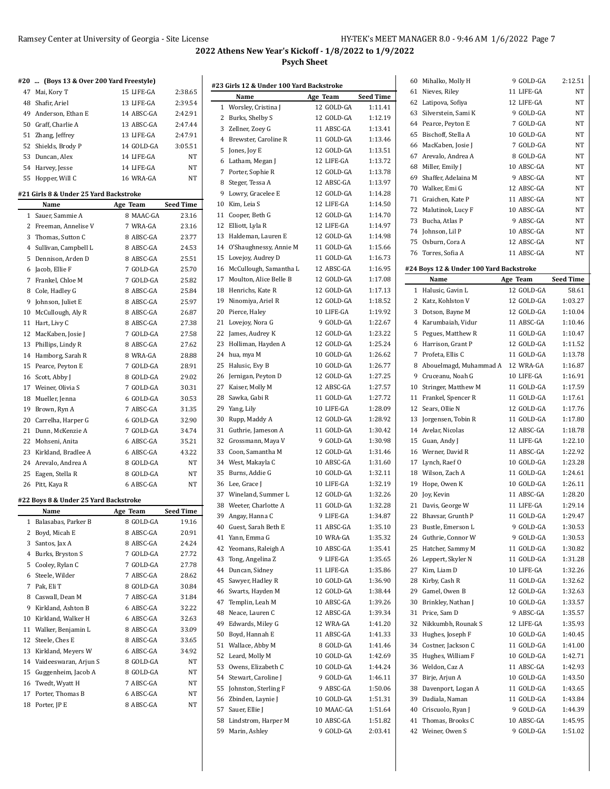$\overline{\phantom{0}}$ 

| #20 | (Boys 13 & Over 200 Yard Freestyle)            |            |                  |
|-----|------------------------------------------------|------------|------------------|
| 47  | Mai, Kory T                                    | 15 LIFE-GA | 2:38.65          |
|     | 48 Shafir, Ariel                               | 13 LIFE-GA | 2:39.54          |
|     | 49 Anderson, Ethan E                           | 14 ABSC-GA | 2:42.91          |
|     | 50 Graff, Charlie A                            | 13 ABSC-GA | 2:47.44          |
|     | 51 Zhang, Jeffrey                              | 13 LIFE-GA | 2:47.91          |
|     | 52 Shields, Brody P                            | 14 GOLD-GA | 3:05.51          |
| 53  | Duncan, Alex                                   | 14 LIFE-GA | NT               |
|     | 54 Harvey, Jesse                               | 14 LIFE-GA | NT               |
|     | 55 Hopper, Will C                              | 16 WRA-GA  | NT               |
|     |                                                |            |                  |
|     | #21 Girls 8 & Under 25 Yard Backstroke<br>Name | Age Team   | <b>Seed Time</b> |
| 1   | Sauer, Sammie A                                | 8 MAAC-GA  | 23.16            |
| 2   | Freeman, Annelise V                            | 7 WRA-GA   | 23.16            |
|     | 3 Thomas, Sutton C                             | 8 ABSC-GA  | 23.77            |
|     | 4 Sullivan, Campbell L                         | 8 ABSC-GA  | 24.53            |
| 5   | Dennison, Arden D                              | 8 ABSC-GA  | 25.51            |
| 6   | Jacob, Ellie F                                 | 7 GOLD-GA  | 25.70            |
|     | 7 Frankel, Chloe M                             | 7 GOLD-GA  | 25.82            |
|     | 8 Cole, Hadley G                               | 8 ABSC-GA  | 25.84            |
| 9   | Johnson, Juliet E                              | 8 ABSC-GA  | 25.97            |
| 10  | McCullough, Aly R                              | 8 ABSC-GA  | 26.87            |
|     | 11 Hart, Livy C                                | 8 ABSC-GA  | 27.38            |
| 12  | MacKaben, Josie J                              | 7 GOLD-GA  | 27.58            |
| 13  | Phillips, Lindy R                              | 8 ABSC-GA  | 27.62            |
|     | 14 Hamborg, Sarah R                            | 8 WRA-GA   | 28.88            |
| 15  | Pearce, Peyton E                               | 7 GOLD-GA  | 28.91            |
| 16  | Scott, Abby J                                  | 8 GOLD-GA  | 29.02            |
|     | 17 Weiner, Olivia S                            | 7 GOLD-GA  | 30.31            |
| 18  | Mueller, Jenna                                 | 6 GOLD-GA  | 30.53            |
| 19  | Brown, Ryn A                                   | 7 ABSC-GA  | 31.35            |
|     | 20 Carrelha, Harper G                          | 6 GOLD-GA  | 32.90            |
|     | 21 Dunn, McKenzie A                            | 7 GOLD-GA  | 34.74            |
|     | 22 Mohseni, Anita                              | 6 ABSC-GA  | 35.21            |
|     | 23 Kirkland, Bradlee A                         | 6 ABSC-GA  | 43.22            |
|     | 24 Arevalo, Andrea A                           | 8 GOLD-GA  | NΤ               |
| 25  | Eagen, Stella R                                | 8 GOLD-GA  | NT               |
| 26  | Pitt, Kaya R                                   | 6 ABSC-GA  | NT               |
|     | #22 Boys 8 & Under 25 Yard Backstroke          |            |                  |
|     | Name                                           | Age Team   | <b>Seed Time</b> |
|     | 1 Balasabas, Parker B                          | 8 GOLD-GA  | 19.16            |
|     | 2 Boyd, Micah E                                | 8 ABSC-GA  | 20.91            |
| 3   | Santos, Jax A                                  | 8 ABSC-GA  | 24.24            |
|     | 4 Burks, Bryston S                             | 7 GOLD-GA  | 27.72            |
|     | 5 Cooley, Rylan C                              | 7 GOLD-GA  | 27.78            |
|     | 6 Steele, Wilder                               | 7 ABSC-GA  | 28.62            |
| 7   | Pak, Eli T                                     | 8 GOLD-GA  | 30.84            |
| 8   | Caswall, Dean M                                | 7 ABSC-GA  | 31.84            |
| 9   |                                                |            |                  |
|     | Kirkland, Ashton B                             | 6 ABSC-GA  | 32.22            |
| 10  | Kirkland, Walker H                             | 6 ABSC-GA  | 32.63            |
| 11  | Walker, Benjamin L                             | 8 ABSC-GA  | 33.09            |
| 12  | Steele, Ches E                                 | 8 ABSC-GA  | 33.65            |
| 13  | Kirkland, Meyers W                             | 6 ABSC-GA  | 34.92            |
|     | 14 Vaideeswaran, Arjun S                       | 8 GOLD-GA  | NΤ               |
| 15  | Guggenheim, Jacob A                            | 8 GOLD-GA  | NΤ               |
| 16  | Twedt, Wyatt H                                 | 7 ABSC-GA  | NΤ               |
| 17  | Porter, Thomas B                               | 6 ABSC-GA  | NΤ               |

|          | #23 Girls 12 & Under 100 Yard Backstroke |                         |                    | 60 M               |
|----------|------------------------------------------|-------------------------|--------------------|--------------------|
|          | Name                                     | Age Team                | <b>Seed Time</b>   | 61<br>N            |
|          | 1 Worsley, Cristina J                    | 12 GOLD-GA              | 1:11.41            | 62 L               |
| 2        | Burks, Shelby S                          | 12 GOLD-GA              | 1:12.19            | 63<br>Si           |
| 3        | Zellner, Zoey G                          | 11 ABSC-GA              | 1:13.41            | 64 P               |
| $^{4}$   | Brewster, Caroline R                     | 11 GOLD-GA              | 1:13.46            | 65 B               |
|          | 5 Jones, Joy E                           | 12 GOLD-GA              | 1:13.51            | 66 M               |
|          | 6 Latham, Megan J                        | 12 LIFE-GA              | 1:13.72            | 67<br>A            |
|          | 7 Porter, Sophie R                       | 12 GOLD-GA              | 1:13.78            | 68 M               |
|          | 8 Steger, Tessa A                        | 12 ABSC-GA              | 1:13.97            | 69 SI              |
| 9        | Lowry, Gracelee E                        | 12 GOLD-GA              | 1:14.28            | 70 W               |
|          | 10 Kim, Leia S                           | 12 LIFE-GA              | 1:14.50            | 71<br>G            |
| 11       | Cooper, Beth G                           | 12 GOLD-GA              | 1:14.70            | 72<br>M            |
|          | 12 Elliott, Lyla R                       | 12 LIFE-GA              | 1:14.97            | 73<br>B            |
| 13       | Haldeman, Lauren E                       | 12 GOLD-GA              | 1:14.98            | 74 Jo              |
|          | 14 O'Shaughnessy, Annie M                | 11 GOLD-GA              | 1:15.66            | 75 0               |
|          | 15 Lovejoy, Audrey D                     | 11 GOLD-GA              | 1:16.73            | 76 T               |
|          | 16 McCullough, Samantha L                | 12 ABSC-GA              | 1:16.95            | #24 Bo             |
| 17       | Moulton, Alice Belle B                   | 12 GOLD-GA              | 1:17.08            |                    |
|          | 18 Henrichs, Kate R                      | 12 GOLD-GA              | 1:17.13            | 1 H                |
| 19       | Ninomiya, Ariel R                        | 12 GOLD-GA              | 1:18.52            | 2 K                |
|          | 20 Pierce, Haley                         | 10 LIFE-GA              | 1:19.92            | 3 D                |
| 21       | Lovejoy, Nora G                          | 9 GOLD-GA               | 1:22.67            | 4 K                |
|          | 22 James, Audrey K                       | 12 GOLD-GA              | 1:23.22            | 5 P                |
| 23       | Holliman, Hayden A                       | 12 GOLD-GA              | 1:25.24            | 6 H                |
|          | 24 hua, mya M                            | 10 GOLD-GA              | 1:26.62            | 7 P                |
| 25       | Halusic, Evy B                           | 10 GOLD-GA              | 1:26.77            | 8 A                |
|          | 26 Jernigan, Peyton D                    | 12 GOLD-GA              | 1:27.25            | 9 C                |
| 27       | Kaiser, Molly M                          | 12 ABSC-GA              | 1:27.57            | 10 St              |
| 28       | Sawka, Gabi R                            | 11 GOLD-GA              | 1:27.72            | 11 F               |
|          | 29 Yang, Lily                            | 10 LIFE-GA              | 1:28.09            | 12<br>$S_0$        |
| 30       | Rupp, Maddy A                            | 12 GOLD-GA              | 1:28.92            | 13 Jc              |
| 31       | Guthrie, Jameson A                       | 11 GOLD-GA              | 1:30.42            | 14 A               |
|          | 32 Grossmann, Maya V                     | 9 GOLD-GA               | 1:30.98            | 15 G               |
| 33       | Coon, Samantha M                         | 12 GOLD-GA              | 1:31.46            | 16 W               |
|          | 34 West, Makayla C                       | 10 ABSC-GA              | 1:31.60            | 17<br>Ŀ            |
|          | 35 Burns, Addie G                        | 10 GOLD-GA              | 1:32.11            | 18 W               |
|          | 36 Lee, Grace I                          | 10 LIFE-GA              | 1:32.19            | 19 H               |
|          | 37 Wineland, Summer L                    | 12 GOLD-GA              | 1:32.26            | 20 Jc              |
|          | 38 Weeter, Charlotte A                   | 11 GOLD-GA              | 1:32.28            | 21 D               |
|          | 39 Angay, Hanna C                        | 9 LIFE-GA               | 1:34.87            | 22 B               |
|          | 40 Guest, Sarah Beth E                   | 11 ABSC-GA              | 1:35.10            | 23 B               |
| 41       | Yann, Emma G                             | 10 WRA-GA               | 1:35.32            | 24<br>G            |
| 42       | Yeomans, Raleigh A                       | 10 ABSC-GA              | 1:35.41            | 25 H               |
| 43       | Tong, Angelina Z                         | 9 LIFE-GA               | 1:35.65            | 26 L               |
| 44       | Duncan, Sidney                           | 11 LIFE-GA              | 1:35.86            | 27<br>K            |
| 45       | Sawyer, Hadley R                         | 10 GOLD-GA              | 1:36.90            | 28 K               |
|          |                                          | 12 GOLD-GA              | 1:38.44            |                    |
| 46<br>47 | Swarts, Hayden M                         | 10 ABSC-GA              | 1:39.26            | 29<br>G<br>30 B    |
| 48       | Templin, Leah M<br>Neace, Lauren C       | 12 ABSC-GA              | 1:39.34            | 31<br>$\mathbf{P}$ |
|          |                                          | 12 WRA-GA               | 1:41.20            |                    |
| 49       | Edwards, Miley G                         |                         |                    | 32 N               |
| 50       | Boyd, Hannah E                           | 11 ABSC-GA              | 1:41.33            | 33 H               |
| 51<br>52 | Wallace, Abby M<br>Leard, Molly M        | 8 GOLD-GA<br>10 GOLD-GA | 1:41.46<br>1:42.69 | 34 C<br>35 H       |
|          |                                          |                         |                    |                    |
| 53       | Owens, Elizabeth C                       | 10 GOLD-GA              | 1:44.24            | 36 W               |
| 54       | Stewart, Caroline J                      | 9 GOLD-GA               | 1:46.11            | 37<br>B            |
| 55       | Johnston, Sterling F                     | 9 ABSC-GA               | 1:50.06            | 38 D               |
| 56       | Zbinden, Laynie J                        | 10 GOLD-GA              | 1:51.31            | 39 D               |
| 57       | Sauer, Ellie J                           | 10 MAAC-GA              | 1:51.64            | 40 C               |
| 58       | Lindstrom, Harper M                      | 10 ABSC-GA              | 1:51.82            | 41<br>T            |
| 59       | Marin, Ashley                            | 9 GOLD-GA               | 2:03.41            | 42 W               |
|          |                                          |                         |                    |                    |

| 60 | Mihalko, Molly H                        | 9 GOLD-GA  | 2:12.51          |
|----|-----------------------------------------|------------|------------------|
| 61 | Nieves, Riley                           | 11 LIFE-GA | NT               |
|    | 62 Latipova, Sofiya                     | 12 LIFE-GA | NΤ               |
|    | 63 Silverstein, Sami K                  | 9 GOLD-GA  | <b>NT</b>        |
|    | 64 Pearce, Peyton E                     | 7 GOLD-GA  | NT               |
| 65 | Bischoff, Stella A                      | 10 GOLD-GA | NT               |
|    | 66 MacKaben, Josie J                    | 7 GOLD-GA  | NT               |
| 67 | Arevalo, Andrea A                       | 8 GOLD-GA  | NΤ               |
|    |                                         | 10 ABSC-GA | NT               |
|    | 68 Miller, Emily J                      |            |                  |
|    | 69 Shaffer, Adelaina M                  | 9 ABSC-GA  | NT.              |
|    | 70 Walker, Emi G                        | 12 ABSC-GA | NT               |
|    | 71 Graichen, Kate P                     | 11 ABSC-GA | NΤ               |
|    | 72 Malutinok, Lucy F                    | 10 ABSC-GA | NΤ               |
|    | 73 Bucha, Atlas P                       | 9 ABSC-GA  | NΤ               |
|    | 74 Johnson, Lil P                       | 10 ABSC-GA | NT               |
| 75 | Osburn, Cora A                          | 12 ABSC-GA | NΤ               |
|    | 76 Torres, Sofia A                      | 11 ABSC-GA | NT               |
|    | #24 Boys 12 & Under 100 Yard Backstroke |            |                  |
|    | Name                                    | Age Team   | <b>Seed Time</b> |
|    | 1 Halusic, Gavin L                      | 12 GOLD-GA | 58.61            |
|    | 2 Katz, Kohlston V                      | 12 GOLD-GA | 1:03.27          |
|    | 3 Dotson, Bayne M                       | 12 GOLD-GA | 1:10.04          |
|    |                                         |            |                  |
|    | 4 Karumbaiah, Vidur                     | 11 ABSC-GA | 1:10.46          |
|    | 5 Pegues, Matthew R                     | 11 GOLD-GA | 1:10.47          |
|    | 6 Harrison, Grant P                     | 12 GOLD-GA | 1:11.52          |
|    | 7 Profeta, Ellis C                      | 11 GOLD-GA | 1:13.78          |
|    | 8 Abouelmagd, Muhammad A                | 12 WRA-GA  | 1:16.87          |
|    | 9 Cruceanu, Noah G                      | 10 LIFE-GA | 1:16.91          |
|    | 10 Stringer, Matthew M                  | 11 GOLD-GA | 1:17.59          |
|    | 11 Frankel, Spencer R                   | 11 GOLD-GA | 1:17.61          |
| 12 | Sears, Ollie N                          | 12 GOLD-GA | 1:17.76          |
| 13 | Jorgensen, Tobin R                      | 11 GOLD-GA | 1:17.80          |
| 14 | Avelar, Nicolas                         | 12 ABSC-GA | 1:18.78          |
| 15 | Guan, Andy J                            | 11 LIFE-GA | 1:22.10          |
|    | 16 Werner, David R                      | 11 ABSC-GA | 1:22.92          |
| 17 | Lynch, Raef O                           | 10 GOLD-GA | 1:23.28          |
|    | 18 Wilson, Zach A                       | 11 GOLD-GA | 1:24.61          |
|    | 19 Hope, Owen K                         | 10 GOLD-GA | 1:26.11          |
| 20 | Joy, Kevin                              | 11 ABSC-GA | 1:28.20          |
| 21 | Davis, George W                         | 11 LIFE-GA | 1:29.14          |
|    | 22 Bhavsar, Grunth P                    | 11 GOLD-GA | 1:29.47          |
| 23 | Bustle, Emerson L                       | 9 GOLD-GA  | 1:30.53          |
|    | 24 Guthrie, Connor W                    | 9 GOLD-GA  | 1:30.53          |
| 25 | Hatcher, Sammy M                        | 11 GOLD-GA | 1:30.82          |
| 26 | Leppert, Skyler N                       | 11 GOLD-GA | 1:31.28          |
| 27 | Kim, Liam D                             | 10 LIFE-GA | 1:32.26          |
|    |                                         |            |                  |
| 28 | Kirby, Cash R                           | 11 GOLD-GA | 1:32.62          |
| 29 | Gamel, Owen B                           | 12 GOLD-GA | 1:32.63          |
| 30 | Brinkley, Nathan J                      | 10 GOLD-GA | 1:33.57          |
| 31 | Price, Sam D                            | 9 ABSC-GA  | 1:35.57          |
| 32 | Nikkumbh, Rounak S                      | 12 LIFE-GA | 1:35.93          |
| 33 | Hughes, Joseph F                        | 10 GOLD-GA | 1:40.45          |
| 34 | Costner, Jackson C                      | 11 GOLD-GA | 1:41.00          |
| 35 | Hughes, William F                       | 10 GOLD-GA | 1:42.71          |
| 36 | Weldon, Caz A                           | 11 ABSC-GA | 1:42.93          |
| 37 | Birje, Arjun A                          | 10 GOLD-GA | 1:43.50          |
| 38 | Davenport, Logan A                      | 11 GOLD-GA | 1:43.65          |
| 39 | Dadiala, Naman                          | 11 GOLD-GA | 1:43.84          |
| 40 | Criscuolo, Ryan J                       | 9 GOLD-GA  | 1:44.39          |
| 41 | Thomas, Brooks C                        | 10 ABSC-GA | 1:45.95          |
| 42 | Weiner, Owen S                          | 9 GOLD-GA  | 1:51.02          |
|    |                                         |            |                  |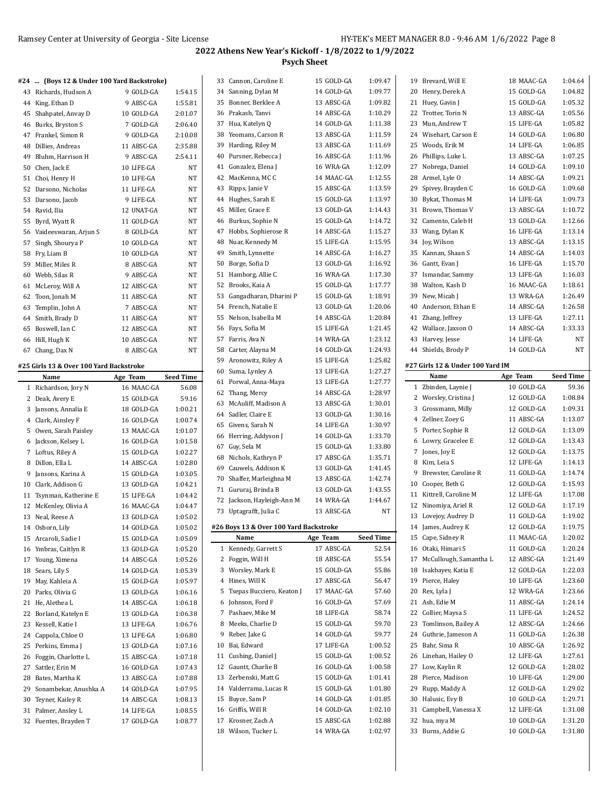Burns, Addie G 10 GOLD-GA 1:31.80

# **2022 Athens New Year's Kickoff - 1/8/2022 to 1/9/2022 Psych Sheet**

|    | #24  (Boys 12 & Under 100 Yard Backstroke) |            |                  |    |                                        |            |                  |                                  |            |                  |
|----|--------------------------------------------|------------|------------------|----|----------------------------------------|------------|------------------|----------------------------------|------------|------------------|
|    |                                            |            |                  |    | 33 Cannon, Caroline E                  | 15 GOLD-GA | 1:09.47          | 19 Brevard, Will E               | 18 MAAC-GA | 1:04.64          |
|    | 43 Richards, Hudson A                      | 9 GOLD-GA  | 1:54.15          |    | 34 Sanning, Dylan M                    | 14 GOLD-GA | 1:09.77          | 20 Henry, Derek A                | 15 GOLD-GA | 1:04.82          |
|    | 44 King, Ethan D                           | 9 ABSC-GA  | 1:55.81          |    | 35 Bonner, Berklee A                   | 13 ABSC-GA | 1:09.82          | 21 Huey, Gavin J                 | 15 GOLD-GA | 1:05.32          |
|    | 45 Shahpatel, Anvay D                      | 10 GOLD-GA | 2:01.07          |    | 36 Prakash, Tanvi                      | 14 ABSC-GA | 1:10.29          | 22 Trotter, Torin N              | 13 ABSC-GA | 1:05.56          |
|    | 46 Burks, Bryston S                        | 7 GOLD-GA  | 2:06.40          |    | 37 Hua, Katelyn Q                      | 14 GOLD-GA | 1:11.38          | 23 Mun, Andrew T                 | 15 LIFE-GA | 1:05.82          |
|    | 47 Frankel, Simon R                        | 9 GOLD-GA  | 2:10.08          |    | 38 Yeomans, Carson R                   | 13 ABSC-GA | 1:11.59          | 24 Wisehart, Carson E            | 14 GOLD-GA | 1:06.80          |
|    | 48 Dillies, Andreas                        | 11 ABSC-GA | 2:35.88          |    | 39 Harding, Riley M                    | 13 ABSC-GA | 1:11.69          | 25 Woods, Erik M                 | 14 LIFE-GA | 1:06.85          |
|    | 49 Bluhm, Harrison H                       | 9 ABSC-GA  | 2:54.11          |    | 40 Pursner, Rebecca J                  | 16 ABSC-GA | 1:11.96          | 26 Phillips, Luke L              | 13 ABSC-GA | 1:07.25          |
|    | 50 Chen, Jack E                            | 10 LIFE-GA | NT               |    | 41 Gonzalez, Elena J                   | 16 WRA-GA  | 1:12.09          | 27 Nobrega, Daniel               | 14 GOLD-GA | 1:09.10          |
|    | 51 Choi, Henry H                           | 10 LIFE-GA | NT               |    | 42 MacKenna, MC C                      | 14 MAAC-GA | 1:12.55          | 28 Armel, Lyle O                 | 14 ABSC-GA | 1:09.21          |
|    | 52 Darsono, Nicholas                       | 11 LIFE-GA | NT               |    | 43 Ripps, Janie V                      | 15 ABSC-GA | 1:13.59          | 29 Spivey, Brayden C             | 16 GOLD-GA | 1:09.68          |
|    | 53 Darsono, Jacob                          | 9 LIFE-GA  | NT               |    | 44 Hughes, Sarah E                     | 15 GOLD-GA | 1:13.97          | 30 Bykat, Thomas M               | 14 LIFE-GA | 1:09.73          |
|    | 54 Ravid, Ilia                             | 12 UNAT-GA | NT               |    | 45 Miller, Grace E                     | 13 GOLD-GA | 1:14.43          | 31 Brown, Thomas V               | 13 ABSC-GA | 1:10.72          |
|    | 55 Byrd, Wyatt R                           | 11 GOLD-GA | NT               |    | 46 Burkus, Sophie N                    | 15 GOLD-GA | 1:14.72          | 32 Camento, Caleb H              | 13 GOLD-GA | 1:12.66          |
|    |                                            | 8 GOLD-GA  | NT               |    | 47 Hobbs, Sophierose R                 | 14 ABSC-GA | 1:15.27          | 33 Wang, Dylan K                 | 16 LIFE-GA | 1:13.14          |
|    | 56 Vaideeswaran, Arjun S                   |            | NT               | 48 | Nuar, Kennedy M                        | 15 LIFE-GA | 1:15.95          | 34 Joy, Wilson                   | 13 ABSC-GA | 1:13.15          |
|    | 57 Singh, Shourya P                        | 10 GOLD-GA |                  |    | 49 Smith, Lynnette                     | 14 ABSC-GA | 1:16.27          | 35 Kannan, Shaan S               | 14 ABSC-GA | 1:14.03          |
|    | 58 Fry, Liam B                             | 10 GOLD-GA | NT               |    | 50 Borge, Sofia D                      | 13 GOLD-GA | 1:16.92          | 36 Gantt, Evan J                 | 16 LIFE-GA | 1:15.70          |
|    | 59 Miller, Miles R                         | 8 ABSC-GA  | NT               |    |                                        |            |                  |                                  |            |                  |
|    | 60 Webb, Silas R                           | 9 ABSC-GA  | NT               |    | 51 Hamborg, Allie C                    | 16 WRA-GA  | 1:17.30          | 37 Ismandar, Sammy               | 13 LIFE-GA | 1:16.03          |
|    | 61 McLeroy, Will A                         | 12 ABSC-GA | NT               |    | 52 Brooks, Kaia A                      | 15 GOLD-GA | 1:17.77          | 38 Walton, Kash D                | 16 MAAC-GA | 1:18.61          |
|    | 62 Toon, Jonah M                           | 11 ABSC-GA | NT               |    | 53 Gangadharan, Dharini P              | 15 GOLD-GA | 1:18.91          | 39 New, Micah J                  | 13 WRA-GA  | 1:26.49          |
|    | 63 Templin, John A                         | 7 ABSC-GA  | ΝT               |    | 54 French, Natalie E                   | 13 GOLD-GA | 1:20.06          | 40 Anderson, Ethan E             | 14 ABSC-GA | 1:26.58          |
|    | 64 Smith, Brady D                          | 11 ABSC-GA | NT               |    | 55 Nelson, Isabella M                  | 14 ABSC-GA | 1:20.84          | 41 Zhang, Jeffrey                | 13 LIFE-GA | 1:27.11          |
|    | 65 Boswell, Ian C                          | 12 ABSC-GA | NT               |    | 56 Fays, Sofia M                       | 15 LIFE-GA | 1:21.45          | 42 Wallace, Jaxson O             | 14 ABSC-GA | 1:33.33          |
|    | 66 Hill, Hugh K                            | 10 ABSC-GA | NT               |    | 57 Farris, Ava N                       | 14 WRA-GA  | 1:23.12          | 43 Harvey, Jesse                 | 14 LIFE-GA | <b>NT</b>        |
|    | 67 Chang, Dax N                            | 8 ABSC-GA  | NT               |    | 58 Carter, Alayna M                    | 14 GOLD-GA | 1:24.93          | 44 Shields, Brody P              | 14 GOLD-GA | <b>NT</b>        |
|    | #25 Girls 13 & Over 100 Yard Backstroke    |            |                  |    | 59 Aronowitz, Riley A                  | 15 LIFE-GA | 1:25.82          | #27 Girls 12 & Under 100 Yard IM |            |                  |
|    | Name                                       | Age Team   | <b>Seed Time</b> |    | 60 Suma, Lynley A                      | 13 LIFE-GA | 1:27.27          | Name                             | Age Team   | <b>Seed Time</b> |
|    |                                            |            |                  |    | 61 Porwal, Anna-Maya                   | 13 LIFE-GA | 1:27.77          |                                  |            |                  |
|    |                                            |            |                  |    |                                        |            |                  |                                  |            |                  |
|    | 1 Richardson, Jory N                       | 16 MAAC-GA | 56.08            |    | 62 Thang, Mercy                        | 14 ABSC-GA | 1:28.97          | 1 Zbinden, Laynie J              | 10 GOLD-GA | 59.36            |
|    | 2 Deak, Avery E                            | 15 GOLD-GA | 59.16            |    | 63 McAuliff, Madison A                 | 13 ABSC-GA | 1:30.01          | 2 Worsley, Cristina J            | 12 GOLD-GA | 1:08.84          |
|    | 3 Jansons, Annalia E                       | 18 GOLD-GA | 1:00.21          |    | 64 Sadler, Claire E                    | 13 GOLD-GA | 1:30.16          | 3 Grossmann, Milly               | 12 GOLD-GA | 1:09.31          |
|    | 4 Clark, Ainsley F                         | 16 GOLD-GA | 1:00.74          |    | 65 Givens, Sarah N                     | 14 LIFE-GA | 1:30.97          | 4 Zellner, Zoey G                | 11 ABSC-GA | 1:13.07          |
|    | 5 Owen, Sarah Paisley                      | 13 MAAC-GA | 1:01.07          |    | 66 Herring, Addyson J                  | 14 GOLD-GA | 1:33.70          | 5 Porter, Sophie R               | 12 GOLD-GA | 1:13.09          |
|    | 6 Jackson, Kelsey L                        | 16 GOLD-GA | 1:01.58          |    | 67 Guy, Sela M                         | 15 GOLD-GA | 1:33.80          | 6 Lowry, Gracelee E              | 12 GOLD-GA | 1:13.43          |
|    | 7 Loftus, Riley A                          | 15 GOLD-GA | 1:02.27          |    | 68 Nichols, Kathryn P                  | 17 ABSC-GA | 1:35.71          | 7 Jones, Joy E                   | 12 GOLD-GA | 1:13.75          |
|    | 8 Dillon, Ella L                           | 14 ABSC-GA | 1:02.80          |    | 69 Cauwels, Addison K                  | 13 GOLD-GA | 1:41.45          | 8 Kim, Leia S                    | 12 LIFE-GA | 1:14.13          |
| 9  | Jansons, Karina A                          | 15 GOLD-GA | 1:03.05          |    | 70 Shaffer, Marleighna M               | 13 ABSC-GA | 1:42.74          | 9 Brewster, Caroline R           | 11 GOLD-GA | 1:14.74          |
|    | 10 Clark, Addison G                        | 13 GOLD-GA | 1:04.21          |    | 71 Gururaj, Brinda B                   | 13 GOLD-GA | 1:43.55          | 10 Cooper, Beth G                | 12 GOLD-GA | 1:15.93          |
|    | 11 Tsynman, Katherine E                    | 15 LIFE-GA | 1:04.42          |    | 72 Jackson, Hayleigh-Ann M             | 14 WRA-GA  | 1:44.67          | 11 Kittrell, Caroline M          | 12 LIFE-GA | 1:17.08          |
|    | 12 McKenley, Olivia A                      | 16 MAAC-GA | 1:04.47          |    | 73 Uptagrafft, Julia C                 | 13 ABSC-GA | NT               | 12 Ninomiya, Ariel R             | 12 GOLD-GA | 1:17.19          |
|    | 13 Neal, Reese A                           | 13 GOLD-GA | 1:05.02          |    |                                        |            |                  | 13 Lovejoy, Audrey D             | 11 GOLD-GA | 1:19.02          |
|    | 14 Osborn, Lily                            | 14 GOLD-GA | 1:05.02          |    | #26 Boys 13 & Over 100 Yard Backstroke |            |                  | 14 James, Audrey K               | 12 GOLD-GA | 1:19.75          |
|    | 15 Arcaroli, Sadie I                       | 15 GOLD-GA | 1:05.09          |    | Name                                   | Age Team   | <b>Seed Time</b> | 15 Cape, Sidney R                | 11 MAAC-GA | 1:20.02          |
|    | 16 Ymbras, Caitlyn R                       | 13 GOLD-GA | 1:05.20          |    | 1 Kennedy, Garrett S                   | 17 ABSC-GA | 52.54            | 16 Otaki, Himari S               | 11 GOLD-GA | 1:20.24          |
|    | 17 Young, Ximena                           | 14 ABSC-GA | 1:05.26          |    | 2 Foggin, Will H                       | 18 ABSC-GA | 55.54            | 17 McCullough, Samantha L        | 12 ABSC-GA | 1:21.49          |
|    | 18 Sears, Lily S                           | 14 GOLD-GA | 1:05.39          |    | 3 Worsley, Mark E                      | 15 GOLD-GA | 55.86            | 18 Isakbayev, Katia E            | 12 GOLD-GA | 1:22.03          |
|    | 19 May, Kahleia A                          | 15 GOLD-GA | 1:05.97          |    | 4 Hines, Will K                        | 17 ABSC-GA | 56.47            | 19 Pierce, Haley                 | 10 LIFE-GA | 1:23.60          |
|    | 20 Parks, Olivia G                         | 13 GOLD-GA | 1:06.16          |    | 5 Tsepas Bucciero, Keaton J            | 17 MAAC-GA | 57.60            | 20 Rex, Lyla J                   | 12 WRA-GA  | 1:23.66          |
|    | 21 He, Alethea L                           | 14 ABSC-GA | 1:06.18          |    | 6 Johnson, Ford F                      | 16 GOLD-GA | 57.69            | 21 Ash, Edie M                   | 11 ABSC-GA | 1:24.14          |
|    | 22 Borland, Katelyn E                      | 13 GOLD-GA | 1:06.38          |    | 7 Pashaev, Mike M                      | 18 LIFE-GA | 58.74            | 22 Collier, Maysa S              | 11 LIFE-GA | 1:24.52          |
|    | 23 Kessell, Katie I                        | 13 LIFE-GA | 1:06.76          |    | 8 Meeks, Charlie D                     | 15 GOLD-GA | 59.70            | 23 Tomlinson, Bailey A           | 12 ABSC-GA | 1:24.66          |
|    | 24 Cappola, Chloe O                        | 13 LIFE-GA | 1:06.80          |    | 9 Reber, Jake G                        | 14 GOLD-GA | 59.77            | 24 Guthrie, Jameson A            | 11 GOLD-GA | 1:26.38          |
|    | 25 Perkins, Emma J                         | 13 GOLD-GA | 1:07.16          |    | 10 Bai, Edward                         | 17 LIFE-GA | 1:00.52          | 25 Bahr, Sima R                  | 10 ABSC-GA | 1:26.92          |
|    | 26 Foggin, Charlotte L                     | 15 ABSC-GA | 1:07.18          |    | 11 Cushing, Daniel J                   | 15 GOLD-GA | 1:00.52          | 26 Linehan, Hailey O             | 12 LIFE-GA | 1:27.61          |
|    | 27 Sattler, Erin M                         | 16 GOLD-GA | 1:07.43          |    | 12 Gauntt, Charlie B                   | 16 GOLD-GA | 1:00.58          | 27 Low, Kaylin R                 | 12 GOLD-GA | 1:28.02          |
| 28 | Bates, Martha K                            | 13 ABSC-GA | 1:07.88          |    | 13 Zerbenski, Matt G                   | 15 GOLD-GA | 1.01.41          | 28 Pierce, Madison               | 10 LIFE-GA | 1:29.00          |
|    | 29 Sonambekar, Anushka A                   | 14 GOLD-GA | 1:07.95          |    | 14 Valderrama, Lucas R                 | 15 GOLD-GA | 1:01.80          | 29 Rupp, Maddy A                 | 12 GOLD-GA | 1:29.02          |
|    | 30 Teyner, Kailey R                        | 14 ABSC-GA | 1:08.13          |    | 15 Buyce, Sam P                        | 14 GOLD-GA | 1:01.85          | 30 Halusic, Evy B                | 10 GOLD-GA | 1:29.71          |
|    | 31 Palmer, Ansley L                        | 14 LIFE-GA | 1:08.55          |    | 16 Griffis, Will R                     | 14 GOLD-GA | 1:02.10          | 31 Campbell, Vanessa X           | 12 LIFE-GA | 1:31.08          |

18 Wilson, Tucker L 14 WRA-GA 1:02.97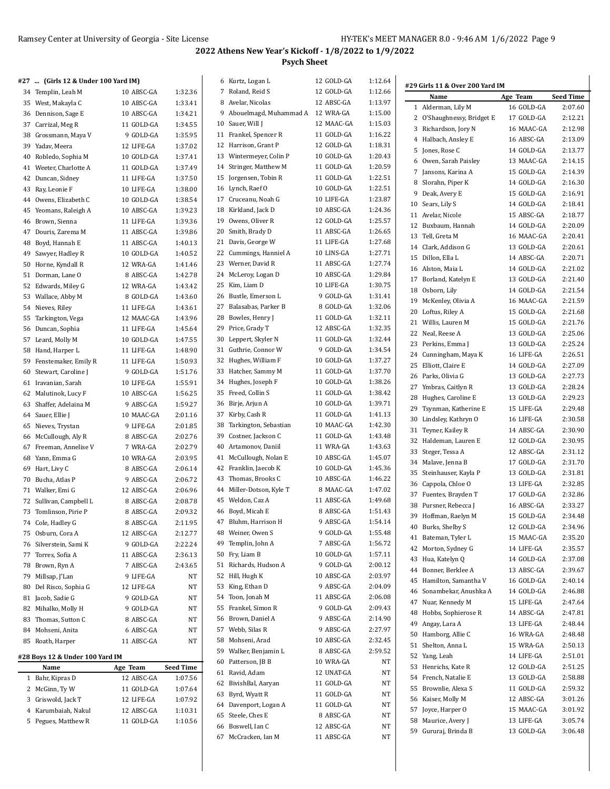|  | #27  (Girls 12 & Under 100 Yard IM) |  |
|--|-------------------------------------|--|
|  |                                     |  |

| #27  (Girls 12 & Under 100 Yard IM) |            |                  |    | 6 Kurtz, Logan L                             | 12 GOLD-GA | 1:12.64            |                                     |                         |                    |
|-------------------------------------|------------|------------------|----|----------------------------------------------|------------|--------------------|-------------------------------------|-------------------------|--------------------|
| 34 Templin, Leah M                  | 10 ABSC-GA | 1:32.36          |    | 7 Roland, Reid S                             | 12 GOLD-GA | 1:12.66            | #29 Girls 11 & Over 200 Yard IM     |                         |                    |
| 35 West, Makayla C                  | 10 ABSC-GA | 1:33.41          |    | 8 Avelar, Nicolas                            | 12 ABSC-GA | 1:13.97            | Name                                | Age Team                | <b>Seed Time</b>   |
| 36 Dennison, Sage E                 | 10 ABSC-GA | 1:34.21          |    | 9 Abouelmagd, Muhammad A 12 WRA-GA           |            | 1:15.00            | 1 Alderman, Lily M                  | 16 GOLD-GA              | 2:07.60            |
| 37 Carrizal, Meg R                  | 11 GOLD-GA | 1:34.55          |    | 10 Sauer, Will J                             | 12 MAAC-GA | 1:15.03            | 2 O'Shaughnessy, Bridget E          | 17 GOLD-GA              | 2:12.21            |
| 38 Grossmann, Maya V                | 9 GOLD-GA  | 1:35.95          |    | 11 Frankel, Spencer R                        | 11 GOLD-GA | 1:16.22            | 3 Richardson, Jory N                | 16 MAAC-GA              | 2:12.98            |
| 39 Yadav, Meera                     | 12 LIFE-GA | 1:37.02          |    | 12 Harrison, Grant P                         | 12 GOLD-GA | 1:18.31            | 4 Halbach, Ansley E                 | 16 ABSC-GA              | 2:13.09            |
| 40 Robledo, Sophia M                | 10 GOLD-GA | 1:37.41          |    | 13 Wintermeyer, Colin P                      | 10 GOLD-GA | 1:20.43            | 5 Jones, Rose C                     | 14 GOLD-GA              | 2:13.77            |
| 41 Weeter, Charlotte A              | 11 GOLD-GA | 1:37.49          |    | 14 Stringer, Matthew M                       | 11 GOLD-GA | 1:20.59            | 6 Owen, Sarah Paisley               | 13 MAAC-GA              | 2:14.15            |
| 42 Duncan, Sidney                   | 11 LIFE-GA | 1:37.50          |    | 15 Jorgensen, Tobin R                        | 11 GOLD-GA | 1:22.51            | 7 Jansons, Karina A                 | 15 GOLD-GA              | 2:14.39            |
| 43 Ray, Leonie F                    | 10 LIFE-GA | 1:38.00          |    | 16 Lynch, Raef O                             | 10 GOLD-GA | 1:22.51            | 8 Slorahn, Piper K                  | 14 GOLD-GA              | 2:16.30            |
| 44 Owens, Elizabeth C               | 10 GOLD-GA | 1:38.54          |    | 17 Cruceanu, Noah G                          | 10 LIFE-GA | 1:23.87            | 9 Deak, Avery E                     | 15 GOLD-GA              | 2:16.91            |
| 45 Yeomans, Raleigh A               | 10 ABSC-GA | 1:39.23          |    | 18 Kirkland, Jack D                          | 10 ABSC-GA | 1:24.36            | 10 Sears, Lily S                    | 14 GOLD-GA              | 2:18.41            |
| 46 Brown, Sienna                    | 11 LIFE-GA | 1:39.36          |    | 19 Owens, Oliver R                           | 12 GOLD-GA | 1:25.57            | 11 Avelar, Nicole                   | 15 ABSC-GA              | 2:18.77            |
| 47 Douris, Zarema M                 | 11 ABSC-GA | 1:39.86          |    | 20 Smith, Brady D                            | 11 ABSC-GA | 1:26.65            | 12 Buxbaum, Hannah                  | 14 GOLD-GA              | 2:20.09            |
| 48 Boyd, Hannah E                   | 11 ABSC-GA | 1:40.13          |    | 21 Davis, George W                           | 11 LIFE-GA | 1:27.68            | 13 Tell, Greta M                    | 16 MAAC-GA              | 2:20.41            |
| 49 Sawyer, Hadley R                 | 10 GOLD-GA | 1:40.52          |    | 22 Cummings, Hanniel A                       | 10 LINS-GA | 1:27.71            | 14 Clark, Addison G                 | 13 GOLD-GA              | 2:20.61            |
| 50 Horne, Kyndall R                 | 12 WRA-GA  | 1:41.46          |    | 23 Werner, David R                           | 11 ABSC-GA | 1:27.74            | 15 Dillon, Ella L                   | 14 ABSC-GA              | 2:20.71            |
| 51 Dorman, Lane O                   | 8 ABSC-GA  | 1:42.78          |    | 24 McLeroy, Logan D                          | 10 ABSC-GA | 1:29.84            | 16 Alston, Maia L                   | 14 GOLD-GA              | 2:21.02            |
|                                     |            | 1:43.42          |    | 25 Kim, Liam D                               | 10 LIFE-GA | 1:30.75            | 17 Borland, Katelyn E               | 13 GOLD-GA              | 2:21.40            |
| 52 Edwards, Miley G                 | 12 WRA-GA  |                  |    | 26 Bustle, Emerson L                         | 9 GOLD-GA  | 1:31.41            | 18 Osborn, Lily                     | 14 GOLD-GA              | 2:21.54            |
| 53 Wallace, Abby M                  | 8 GOLD-GA  | 1:43.60          |    | 27 Balasabas, Parker B                       | 8 GOLD-GA  | 1:32.06            | 19 McKenley, Olivia A               | 16 MAAC-GA              | 2:21.59            |
| 54 Nieves, Riley                    | 11 LIFE-GA | 1:43.61          |    | 28 Bowles, Henry J                           |            | 1:32.11            | 20 Loftus, Riley A                  | 15 GOLD-GA              | 2:21.68            |
| 55 Tarkington, Vega                 | 12 MAAC-GA | 1:43.96          |    | 29 Price, Grady T                            | 11 GOLD-GA | 1:32.35            | 21 Willis, Lauren M                 | 15 GOLD-GA              | 2:21.76            |
| 56 Duncan, Sophia                   | 11 LIFE-GA | 1:45.64          |    |                                              | 12 ABSC-GA |                    | 22 Neal, Reese A                    | 13 GOLD-GA              | 2:25.06            |
| 57 Leard, Molly M                   | 10 GOLD-GA | 1:47.55          |    | 30 Leppert, Skyler N                         | 11 GOLD-GA | 1:32.44            | 23 Perkins, Emma J                  | 13 GOLD-GA              | 2:25.24            |
| 58 Hand, Harper L                   | 11 LIFE-GA | 1:48.90          |    | 31 Guthrie, Connor W<br>32 Hughes, William F | 9 GOLD-GA  | 1:34.54<br>1:37.27 | 24 Cunningham, Maya K               | 16 LIFE-GA              | 2:26.51            |
| 59 Fenstemaker, Emily R             | 11 LIFE-GA | 1:50.93          |    |                                              | 10 GOLD-GA | 1:37.70            | 25 Elliott, Claire E                | 14 GOLD-GA              | 2:27.09            |
| 60 Stewart, Caroline J              | 9 GOLD-GA  | 1:51.76          |    | 33 Hatcher, Sammy M                          | 11 GOLD-GA |                    | 26 Parks, Olivia G                  | 13 GOLD-GA              | 2:27.73            |
| 61 Iravanian, Sarah                 | 10 LIFE-GA | 1:55.91          |    | 34 Hughes, Joseph F                          | 10 GOLD-GA | 1:38.26            | 27 Ymbras, Caitlyn R                | 13 GOLD-GA              | 2:28.24            |
| 62 Malutinok, Lucy F                | 10 ABSC-GA | 1:56.25          |    | 35 Freed, Collin S                           | 11 GOLD-GA | 1:38.42            | 28 Hughes, Caroline E               | 13 GOLD-GA              | 2:29.23            |
| 63 Shaffer, Adelaina M              | 9 ABSC-GA  | 1:59.27          |    | 36 Birje, Arjun A                            | 10 GOLD-GA | 1:39.71            | 29 Tsynman, Katherine E             | 15 LIFE-GA              | 2:29.48            |
| 64 Sauer, Ellie J                   | 10 MAAC-GA | 2:01.16          |    | 37 Kirby, Cash R                             | 11 GOLD-GA | 1:41.13            | 30 Lindsley, Kathryn O              | 16 LIFE-GA              | 2:30.58            |
| 65 Nieves, Trystan                  | 9 LIFE-GA  | 2:01.85          |    | 38 Tarkington, Sebastian                     | 10 MAAC-GA | 1:42.30            | 31 Teyner, Kailey R                 | 14 ABSC-GA              | 2:30.90            |
| 66 McCullough, Aly R                | 8 ABSC-GA  | 2:02.76          |    | 39 Costner, Jackson C                        | 11 GOLD-GA | 1:43.48            | 32 Haldeman, Lauren E               | 12 GOLD-GA              | 2:30.95            |
| 67 Freeman, Annelise V              | 7 WRA-GA   | 2:02.79          | 40 | Artamonov, Daniil                            | 11 WRA-GA  | 1:43.63            | 33 Steger, Tessa A                  | 12 ABSC-GA              | 2:31.12            |
| 68 Yann, Emma G                     | 10 WRA-GA  | 2:03.95          |    | 41 McCullough, Nolan E                       | 10 ABSC-GA | 1:45.07            | 34 Malave, Jenna B                  | 17 GOLD-GA              | 2:31.70            |
| 69 Hart, Livy C                     | 8 ABSC-GA  | 2:06.14          |    | 42 Franklin, Jaecob K                        | 10 GOLD-GA | 1:45.36            | 35 Steinhauser, Kayla P             | 13 GOLD-GA              | 2:31.81            |
| 70 Bucha, Atlas P                   | 9 ABSC-GA  | 2:06.72          |    | 43 Thomas, Brooks C                          | 10 ABSC-GA | 1:46.22            | 36 Cappola, Chloe O                 | 13 LIFE-GA              | 2:32.85            |
| 71 Walker, Emi G                    | 12 ABSC-GA | 2:06.96          |    | 44 Miller-Dotson, Kyle T                     | 8 MAAC-GA  | 1:47.02            | 37 Fuentes, Brayden T               | 17 GOLD-GA              | 2:32.86            |
| 72 Sullivan, Campbell L             | 8 ABSC-GA  | 2:08.78          | 45 | Weldon, Caz A                                | 11 ABSC-GA | 1:49.68            | 38 Pursner, Rebecca J               | 16 ABSC-GA              | 2:33.27            |
| 73 Tomlinson, Pirie P               | 8 ABSC-GA  | 2:09.32          |    | 46 Boyd, Micah E                             | 8 ABSC-GA  | 1:51.43            | 39 Hoffman, Raelyn M                | 15 GOLD-GA              | 2:34.48            |
| 74 Cole, Hadley G                   | 8 ABSC-GA  | 2:11.95          |    | 47 Bluhm, Harrison H                         | 9 ABSC-GA  | 1:54.14            | 40 Burks, Shelby S                  | 12 GOLD-GA              | 2:34.96            |
| 75 Osburn, Cora A                   | 12 ABSC-GA | 2:12.77          |    | 48 Weiner, Owen S                            | 9 GOLD-GA  | 1:55.48            | 41 Bateman, Tyler L                 | 15 MAAC-GA              | 2:35.20            |
| 76 Silverstein, Sami K              | 9 GOLD-GA  | 2:22.24          |    | 49 Templin, John A                           | 7 ABSC-GA  | 1:56.72            | 42 Morton, Sydney G                 | 14 LIFE-GA              | 2:35.57            |
| 77 Torres, Sofia A                  | 11 ABSC-GA | 2:36.13          |    | 50 Fry, Liam B                               | 10 GOLD-GA | 1.57.11            | 43 Hua, Katelyn Q                   | 14 GOLD-GA              | 2:37.08            |
| 78 Brown, Ryn A                     | 7 ABSC-GA  | 2:43.65          |    | 51 Richards, Hudson A                        | 9 GOLD-GA  | 2:00.12            | 44 Bonner, Berklee A                | 13 ABSC-GA              | 2:39.67            |
| 79 Millsap, J'Lan                   | 9 LIFE-GA  | NΤ               |    | 52 Hill, Hugh K                              | 10 ABSC-GA | 2:03.97            | 45 Hamilton, Samantha V             | 16 GOLD-GA              | 2:40.14            |
| 80 Del Risco, Sophia G              | 12 LIFE-GA | NT               |    | 53 King, Ethan D                             | 9 ABSC-GA  | 2:04.09            | 46 Sonambekar, Anushka A            | 14 GOLD-GA              | 2:46.88            |
| 81 Jacob, Sadie G                   | 9 GOLD-GA  | NT               |    | 54 Toon, Jonah M                             | 11 ABSC-GA | 2:06.08            | 47 Nuar, Kennedy M                  | 15 LIFE-GA              | 2:47.64            |
| 82 Mihalko, Molly H                 | 9 GOLD-GA  | NT               |    | 55 Frankel, Simon R                          | 9 GOLD-GA  | 2:09.43            | 48 Hobbs, Sophierose R              | 14 ABSC-GA              | 2:47.81            |
| 83 Thomas, Sutton C                 | 8 ABSC-GA  | NT               |    | 56 Brown, Daniel A                           | 9 ABSC-GA  | 2:14.90            | 49 Angay, Lara A                    | 13 LIFE-GA              | 2:48.44            |
| 84 Mohseni, Anita                   | 6 ABSC-GA  | NT               |    | 57 Webb, Silas R                             | 9 ABSC-GA  | 2:27.97            | 50 Hamborg, Allie C                 | 16 WRA-GA               | 2:48.48            |
| 85 Roath, Harper                    | 11 ABSC-GA | NT               |    | 58 Mohseni, Arad                             | 10 ABSC-GA | 2.32.45            |                                     |                         |                    |
|                                     |            |                  |    | 59 Walker, Benjamin L                        | 8 ABSC-GA  | 2:59.52            | 51 Shelton, Anna L<br>52 Yang, Leah | 15 WRA-GA<br>14 LIFE-GA | 2:50.13<br>2:51.01 |
| #28 Boys 12 & Under 100 Yard IM     |            |                  |    | 60 Patterson, JB B                           | 10 WRA-GA  | NT                 | 53 Henrichs, Kate R                 | 12 GOLD-GA              | 2:51.25            |
| Name                                | Age Team   | <b>Seed Time</b> |    | 61 Ravid, Adam                               | 12 UNAT-GA | NT                 |                                     |                         | 2:58.88            |
| 1 Bahr, Kipras D                    | 12 ABSC-GA | 1:07.56          |    | 62 BivishBal, Aaryan                         | 11 GOLD-GA | NT                 | 54 French, Natalie E                | 13 GOLD-GA              |                    |
| 2 McGinn, Ty W                      | 11 GOLD-GA | 1:07.64          |    | 63 Byrd, Wyatt R                             | 11 GOLD-GA | NT                 | 55 Brownlie, Alexa S                | 11 GOLD-GA              | 2:59.32            |
| 3 Griswold, Jack T                  | 12 LIFE-GA | 1:07.92          |    | 64 Davenport, Logan A                        | 11 GOLD-GA | NT                 | 56 Kaiser, Molly M                  | 12 ABSC-GA              | 3:01.26            |
| 4 Karumbaiah, Nakul                 | 12 ABSC-GA | 1:10.31          |    | 65 Steele, Ches E                            | 8 ABSC-GA  | NT                 | 57 Joyce, Harper O                  | 15 MAAC-GA              | 3:01.92            |
| 5 Pegues, Matthew R                 | 11 GOLD-GA | 1:10.56          |    | 66 Boswell, Ian C                            | 12 ABSC-GA | NT                 | 58 Maurice, Avery J                 | 13 LIFE-GA              | 3:05.74            |
|                                     |            |                  |    | 67 McCracken, Ian M                          | 11 ABSC-GA | NT                 | 59 Gururaj, Brinda B                | 13 GOLD-GA              | 3:06.48            |
|                                     |            |                  |    |                                              |            |                    |                                     |                         |                    |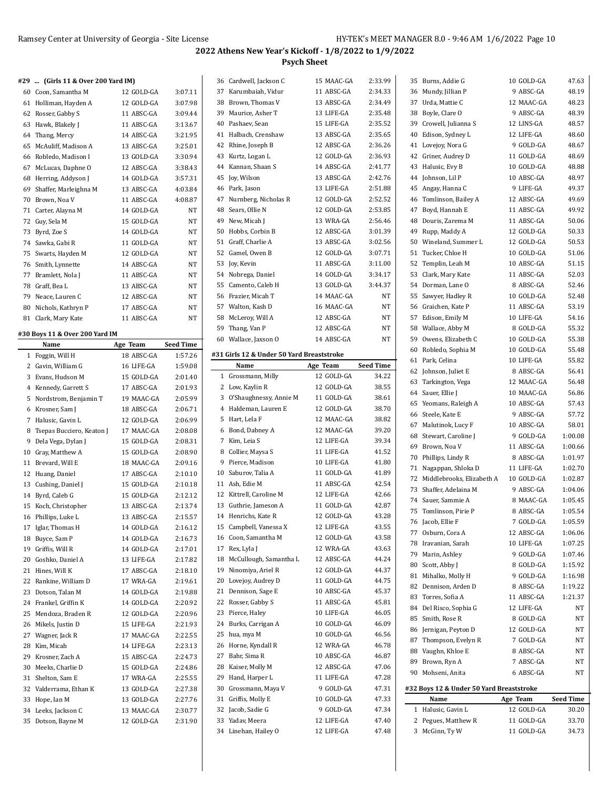|  | #29  (Girls 11 & Over 200 Yard IM) |  |  |  |
|--|------------------------------------|--|--|--|
|  |                                    |  |  |  |

|    | 60 Coon, Samantha M      | 12 GOLD-GA | 3:07.11   |
|----|--------------------------|------------|-----------|
| 61 | Holliman, Hayden A       | 12 GOLD-GA | 3:07.98   |
|    | 62 Rosser, Gabby S       | 11 ABSC-GA | 3:09.44   |
|    | 63 Hawk, Blakely J       | 11 ABSC-GA | 3:13.67   |
|    | 64 Thang, Mercy          | 14 ABSC-GA | 3:21.95   |
|    | 65 McAuliff, Madison A   | 13 ABSC-GA | 3:25.01   |
|    | 66 Robledo, Madison I    | 13 GOLD-GA | 3:30.94   |
| 67 | McLucas, Daphne O        | 12 ABSC-GA | 3:38.43   |
|    | 68 Herring, Addyson J    | 14 GOLD-GA | 3:57.31   |
|    | 69 Shaffer, Marleighna M | 13 ABSC-GA | 4:03.84   |
| 70 | Brown, Noa V             | 11 ABSC-GA | 4:08.87   |
|    | 71 Carter, Alayna M      | 14 GOLD-GA | <b>NT</b> |
|    | 72 Guy, Sela M           | 15 GOLD-GA | <b>NT</b> |
| 73 | Byrd, Zoe S              | 14 GOLD-GA | <b>NT</b> |
|    | 74 Sawka, Gabi R         | 11 GOLD-GA | <b>NT</b> |
|    | 75 Swarts, Hayden M      | 12 GOLD-GA | <b>NT</b> |
|    | 76 Smith, Lynnette       | 14 ABSC-GA | <b>NT</b> |
| 77 | Bramlett, Nola J         | 11 ABSC-GA | <b>NT</b> |
|    | 78 Graff, Bea L          | 13 ABSC-GA | <b>NT</b> |
|    | 79 Neace, Lauren C       | 12 ABSC-GA | <b>NT</b> |
|    | 80 Nichols, Kathryn P    | 17 ABSC-GA | NT        |
| 81 | Clark, Mary Kate         | 11 ABSC-GA | <b>NT</b> |

### **#30 Boys 11 & Over 200 Yard IM**

|    | Name                      | Age Team   | Seed Time |
|----|---------------------------|------------|-----------|
| 1  | Foggin, Will H            | 18 ABSC-GA | 1:57.26   |
| 2  | Gavin, William G          | 16 LIFE-GA | 1:59.08   |
| 3  | Evans, Hudson M           | 15 GOLD-GA | 2:01.40   |
| 4  | Kennedy, Garrett S        | 17 ABSC-GA | 2:01.93   |
| 5  | Nordstrom, Benjamin T     | 19 MAAC-GA | 2:05.99   |
| 6  | Krosner, Sam J            | 18 ABSC-GA | 2:06.71   |
| 7  | Halusic, Gavin L          | 12 GOLD-GA | 2:06.99   |
| 8  | Tsepas Bucciero, Keaton J | 17 MAAC-GA | 2:08.08   |
| 9  | Dela Vega, Dylan J        | 15 GOLD-GA | 2:08.31   |
| 10 | Gray, Matthew A           | 15 GOLD-GA | 2:08.90   |
| 11 | Brevard, Will E           | 18 MAAC-GA | 2:09.16   |
| 12 | Huang, Daniel             | 17 ABSC-GA | 2:10.10   |
| 13 | Cushing, Daniel J         | 15 GOLD-GA | 2:10.18   |
|    | 14 Byrd, Caleb G          | 15 GOLD-GA | 2:12.12   |
| 15 | Koch, Christopher         | 13 ABSC-GA | 2:13.74   |
| 16 | Phillips, Luke L          | 13 ABSC-GA | 2:15.57   |
| 17 | Iglar, Thomas H           | 14 GOLD-GA | 2:16.12   |
|    | 18 Buyce, Sam P           | 14 GOLD-GA | 2:16.73   |
| 19 | Griffis, Will R           | 14 GOLD-GA | 2:17.01   |
| 20 | Goshko, Daniel A          | 13 LIFE-GA | 2:17.82   |
| 21 | Hines, Will K             | 17 ABSC-GA | 2:18.10   |
| 22 | Rankine, William D        | 17 WRA-GA  | 2:19.61   |
| 23 | Dotson, Talan M           | 14 GOLD-GA | 2:19.88   |
|    | 24 Frankel, Griffin K     | 14 GOLD-GA | 2:20.92   |
| 25 | Mendoza, Braden R         | 12 GOLD-GA | 2:20.96   |
|    | 26 Mikels, Justin D       | 15 LIFE-GA | 2:21.93   |
|    | 27 Wagner, Jack R         | 17 MAAC-GA | 2:22.55   |
| 28 | Kim, Micah                | 14 LIFE-GA | 2:23.13   |
| 29 | Krosner, Zach A           | 15 ABSC-GA | 2:24.73   |
| 30 | Meeks, Charlie D          | 15 GOLD-GA | 2:24.86   |
| 31 | Shelton, Sam E            | 17 WRA-GA  | 2:25.55   |
| 32 | Valderrama, Ethan K       | 13 GOLD-GA | 2:27.38   |
| 33 | Hope, Ian M               | 13 GOLD-GA | 2:27.76   |
| 34 | Leeks, Jackson C          | 13 MAAC-GA | 2:30.77   |
| 35 | Dotson, Bayne M           | 12 GOLD-GA | 2:31.90   |

|              | 36 Cardwell, Jackson C                    | 15 MAAC-GA | 2:33.99   | 35 B                 |
|--------------|-------------------------------------------|------------|-----------|----------------------|
| 37           | Karumbaiah, Vidur                         | 11 ABSC-GA | 2:34.33   | 36 M                 |
|              | 38 Brown, Thomas V                        | 13 ABSC-GA | 2:34.49   | 37 U                 |
|              | 39 Maurice, Asher T                       | 13 LIFE-GA | 2:35.48   | 38 B                 |
|              | 40 Pashaev, Sean                          | 15 LIFE-GA | 2:35.52   | 39 C                 |
|              | 41 Halbach, Crenshaw                      | 13 ABSC-GA | 2:35.65   | 40 E                 |
|              | 42 Rhine, Joseph B                        | 12 ABSC-GA | 2:36.26   | 41 L                 |
|              | 43 Kurtz, Logan L                         | 12 GOLD-GA | 2:36.93   | 42 G                 |
|              | 44 Kannan, Shaan S                        | 14 ABSC-GA | 2:41.77   | 43 H                 |
|              | 45 Joy, Wilson                            | 13 ABSC-GA | 2:42.76   | 44 Jc                |
|              | 46 Park, Jason                            | 13 LIFE-GA | 2:51.88   | 45 A                 |
|              | 47 Nurnberg, Nicholas R                   | 12 GOLD-GA | 2:52.52   | 46 T                 |
|              | 48 Sears, Ollie N                         | 12 GOLD-GA | 2:53.85   | 47 B                 |
|              | 49 New, Micah J                           | 13 WRA-GA  | 2:56.46   | 48 D                 |
|              | 50 Hobbs, Corbin B                        | 12 ABSC-GA | 3:01.39   | 49 R                 |
|              | 51 Graff, Charlie A                       | 13 ABSC-GA | 3:02.56   | 50 W                 |
|              | 52 Gamel, Owen B                          | 12 GOLD-GA | 3.07.71   | 51 T                 |
|              | 53 Joy, Kevin                             | 11 ABSC-GA | 3:11.00   | 52 T                 |
|              | 54 Nobrega, Daniel                        | 14 GOLD-GA | 3:34.17   | 53 C                 |
|              | 55 Camento, Caleb H                       | 13 GOLD-GA | 3:44.37   | 54 D                 |
|              | 56 Frazier, Micah T                       | 14 MAAC-GA | NT        | 55 Sa                |
|              | 57 Walton, Kash D                         | 16 MAAC-GA | NT        | 56 G                 |
|              | 58 McLeroy, Will A                        | 12 ABSC-GA | NΤ        | 57 E                 |
|              | 59 Thang, Van P                           | 12 ABSC-GA | NΤ        | 58 W                 |
|              | 60 Wallace, Jaxson O                      | 14 ABSC-GA | NΤ        | 59 0                 |
|              |                                           |            |           | 60 R                 |
|              | #31 Girls 12 & Under 50 Yard Breaststroke |            |           | 61 Pa                |
|              | Name                                      | Age Team   | Seed Time | 62 Jc                |
| $\mathbf{1}$ | Grossmann, Milly                          | 12 GOLD-GA | 34.22     | 63 T                 |
|              | 2 Low, Kaylin R                           | 12 GOLD-GA | 38.55     | 64 Sa                |
|              | 3 O'Shaughnessy, Annie M                  | 11 GOLD-GA | 38.61     | 65 Ye                |
|              | 4 Haldeman, Lauren E                      | 12 GOLD-GA | 38.70     |                      |
|              |                                           |            |           |                      |
|              | 5 Hart, Lela F                            | 12 MAAC-GA | 38.82     | 66 St                |
|              | 6 Bond, Dabney A                          | 12 MAAC-GA | 39.20     | 67<br>Μ              |
|              | 7 Kim, Leia S                             | 12 LIFE-GA | 39.34     | S <sub>1</sub><br>68 |
|              | 8 Collier, Maysa S                        | 11 LIFE-GA | 41.52     | 69 B                 |
| 9            | Pierce, Madison                           | 10 LIFE-GA | 41.80     | 70 P                 |
|              | 10 Saburov, Talia A                       | 11 GOLD-GA | 41.89     | 71 N                 |
|              | 11 Ash, Edie M                            | 11 ABSC-GA | 42.54     | 72 M                 |
|              | 12 Kittrell, Caroline M                   | 12 LIFE-GA | 42.66     | 73<br>SI             |
|              | 13 Guthrie, Jameson A                     | 11 GOLD-GA | 42.87     | 74 Sa                |
|              | 14 Henrichs, Kate R                       | 12 GOLD-GA | 43.28     | 75 T                 |
| 15           | Campbell, Vanessa X                       | 12 LIFE-GA | 43.55     | 76 Ja                |
|              | 16 Coon, Samantha M                       | 12 GOLD-GA | 43.58     | 77 0                 |
|              | 17 Rex, Lyla J                            | 12 WRA-GA  | 43.63     | 78 Ir                |
|              | 18 McCullough, Samantha L                 | 12 ABSC-GA | 44.24     | 79 M                 |
| 19           | Ninomiya, Ariel R                         | 12 GOLD-GA | 44.37     | 80 S                 |
|              | 20 Lovejoy, Audrey D                      | 11 GOLD-GA | 44.75     | 81<br>M              |
| 21           | Dennison, Sage E                          | 10 ABSC-GA | 45.37     | 82 D                 |
|              | 22 Rosser, Gabby S                        | 11 ABSC-GA | 45.81     | 83 T                 |
|              | 23 Pierce, Haley                          | 10 LIFE-GA | 46.05     | 84 D                 |
| 24           | Burks, Carrigan A                         | 10 GOLD-GA | 46.09     | 85 SI                |
|              | 25 hua, mya M                             | 10 GOLD-GA | 46.56     | 86 Je                |
|              | 26 Horne, Kyndall R                       | 12 WRA-GA  | 46.78     | 87 T                 |
|              | 27 Bahr, Sima R                           | 10 ABSC-GA | 46.87     | 88 V                 |
|              | 28 Kaiser, Molly M                        | 12 ABSC-GA | 47.06     | 89 B                 |
| 29           | Hand, Harper L                            | 11 LIFE-GA | 47.28     | 90 M                 |
|              | 30 Grossmann, Maya V                      | 9 GOLD-GA  | 47.31     | #32 Bo               |
| 31           | Griffis, Molly E                          | 10 GOLD-GA | 47.33     |                      |
|              | 32 Jacob, Sadie G                         | 9 GOLD-GA  | 47.34     | 1 H                  |
|              | 33 Yadav, Meera                           | 12 LIFE-GA | 47.40     | 2 P                  |
|              | 34 Linehan, Hailey O                      | 12 LIFE-GA | 47.48     | 3 M                  |

 $\overline{\phantom{0}}$ 

| 35 | Burns, Addie G                           | 10 GOLD-GA | 47.63            |
|----|------------------------------------------|------------|------------------|
| 36 | Mundy, Jillian P                         | 9 ABSC-GA  | 48.19            |
| 37 | Urda, Mattie C                           | 12 MAAC-GA | 48.23            |
| 38 | Boyle, Clare O                           | 9 ABSC-GA  | 48.39            |
| 39 | Crowell, Julianna S                      | 12 LINS-GA | 48.57            |
| 40 | Edison, Sydney L                         | 12 LIFE-GA | 48.60            |
| 41 | Lovejoy, Nora G                          | 9 GOLD-GA  | 48.67            |
| 42 | Griner, Audrey D                         | 11 GOLD-GA | 48.69            |
| 43 | Halusic, Evy B                           | 10 GOLD-GA | 48.88            |
|    | 44 Johnson, Lil P                        | 10 ABSC-GA | 48.97            |
|    |                                          | 9 LIFE-GA  |                  |
| 45 | Angay, Hanna C                           |            | 49.37            |
| 46 | Tomlinson, Bailey A                      | 12 ABSC-GA | 49.69            |
| 47 | Boyd, Hannah E                           | 11 ABSC-GA | 49.92            |
| 48 | Douris, Zarema M                         | 11 ABSC-GA | 50.06            |
| 49 | Rupp, Maddy A                            | 12 GOLD-GA | 50.33            |
| 50 | Wineland, Summer L                       | 12 GOLD-GA | 50.53            |
| 51 | Tucker, Chloe H                          | 10 GOLD-GA | 51.06            |
| 52 | Templin, Leah M                          | 10 ABSC-GA | 51.15            |
| 53 | Clark, Mary Kate                         | 11 ABSC-GA | 52.03            |
|    | 54 Dorman, Lane O                        | 8 ABSC-GA  | 52.46            |
| 55 | Sawyer, Hadley R                         | 10 GOLD-GA | 52.48            |
|    | 56 Graichen, Kate P                      | 11 ABSC-GA | 53.19            |
| 57 | Edison, Emily M                          | 10 LIFE-GA | 54.16            |
|    | 58 Wallace, Abby M                       | 8 GOLD-GA  | 55.32            |
| 59 | Owens, Elizabeth C                       | 10 GOLD-GA | 55.38            |
| 60 | Robledo, Sophia M                        | 10 GOLD-GA | 55.48            |
| 61 | Park, Celina                             | 10 LIFE-GA | 55.82            |
| 62 | Johnson, Juliet E                        | 8 ABSC-GA  | 56.41            |
| 63 | Tarkington, Vega                         | 12 MAAC-GA | 56.48            |
| 64 | Sauer, Ellie J                           | 10 MAAC-GA | 56.86            |
| 65 | Yeomans, Raleigh A                       | 10 ABSC-GA | 57.43            |
|    | 66 Steele, Kate E                        | 9 ABSC-GA  | 57.72            |
| 67 | Malutinok, Lucy F                        | 10 ABSC-GA | 58.01            |
| 68 | Stewart, Caroline J                      | 9 GOLD-GA  | 1:00.08          |
| 69 | Brown, Noa V                             | 11 ABSC-GA | 1:00.66          |
| 70 | Phillips, Lindy R                        | 8 ABSC-GA  | 1:01.97          |
| 71 | Nagappan, Shloka D                       | 11 LIFE-GA | 1:02.70          |
| 72 | Middlebrooks, Elizabeth A                | 10 GOLD-GA | 1:02.87          |
|    | 73 Shaffer, Adelaina M                   | 9 ABSC-GA  | 1:04.06          |
|    | 74 Sauer, Sammie A                       | 8 MAAC-GA  | 1:05.45          |
| 75 | Tomlinson, Pirie P                       | 8 ABSC-GA  | 1:05.54          |
| 76 |                                          |            |                  |
|    | Jacob, Ellie F                           | 7 GOLD-GA  | 1:05.59          |
| 77 | Osburn, Cora A                           | 12 ABSC-GA | 1:06.06          |
| 78 | Iravanian, Sarah                         | 10 LIFE-GA | 1:07.25          |
| 79 | Marin, Ashley                            | 9 GOLD-GA  | 1:07.46          |
| 80 | Scott, Abby J                            | 8 GOLD-GA  | 1:15.92          |
| 81 | Mihalko, Molly H                         | 9 GOLD-GA  | 1:16.98          |
| 82 | Dennison, Arden D                        | 8 ABSC-GA  | 1:19.22          |
| 83 | Torres, Sofia A                          | 11 ABSC-GA | 1:21.37          |
| 84 | Del Risco, Sophia G                      | 12 LIFE-GA | NΤ               |
| 85 | Smith, Rose R                            | 8 GOLD-GA  | NΤ               |
|    | 86 Jernigan, Peyton D                    | 12 GOLD-GA | NΤ               |
|    | 87 Thompson, Evelyn R                    | 7 GOLD-GA  | NΤ               |
|    | 88 Vaughn, Khloe E                       | 8 ABSC-GA  | NΤ               |
| 89 | Brown, Ryn A                             | 7 ABSC-GA  | NΤ               |
| 90 | Mohseni, Anita                           | 6 ABSC-GA  | NT               |
|    |                                          |            |                  |
|    | #32 Boys 12 & Under 50 Yard Breaststroke |            |                  |
|    | Name                                     | Age Team   | <b>Seed Time</b> |
| 1  | Halusic, Gavin L                         | 12 GOLD-GA | 30.20            |
| 2  | Pegues, Matthew R                        | 11 GOLD-GA | 33.70            |
| 3  | McGinn, Ty W                             | 11 GOLD-GA | 34.73            |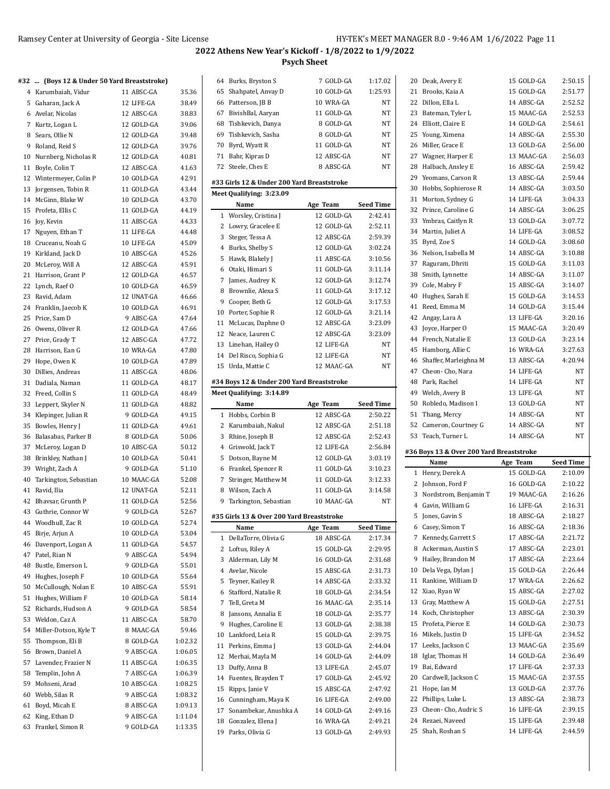#### **#32 ... (Boys 12 & Under 50 Yard Breaststroke)**

| 32       | (Boys 12 & Under 50 Yard Breaststroke) |                         |                |
|----------|----------------------------------------|-------------------------|----------------|
|          | 4 Karumbaiah, Vidur                    | 11 ABSC-GA              | 35.36          |
|          | 5 Gaharan, Jack A                      | 12 LIFE-GA              | 38.49          |
|          | 6 Avelar, Nicolas                      | 12 ABSC-GA              | 38.83          |
| 7        | Kurtz, Logan L                         | 12 GOLD-GA              | 39.06          |
| 8        | Sears, Ollie N                         | 12 GOLD-GA              | 39.48          |
| 9        | Roland, Reid S                         | 12 GOLD-GA              | 39.76          |
| 10       | Nurnberg, Nicholas R                   | 12 GOLD-GA              | 40.81          |
| 11       | Boyle, Colin T                         | 12 ABSC-GA              | 41.63          |
| 12       | Wintermeyer, Colin P                   | 10 GOLD-GA              | 42.91          |
| 13       | Jorgensen, Tobin R                     | 11 GOLD-GA              | 43.44          |
| 14       | McGinn, Blake W                        | 10 GOLD-GA              | 43.70          |
| 15       | Profeta, Ellis C                       | 11 GOLD-GA              | 44.19          |
| 16       | Joy, Kevin                             | 11 ABSC-GA              | 44.33          |
| 17       | Nguyen, Ethan T                        | 11 LIFE-GA              | 44.48          |
| 18       | Cruceanu, Noah G                       | 10 LIFE-GA              | 45.09          |
| 19       | Kirkland, Jack D                       | 10 ABSC-GA              | 45.26          |
| 20       | McLeroy, Will A                        | 12 ABSC-GA              | 45.91          |
| 21       | Harrison, Grant P                      | 12 GOLD-GA              | 46.57          |
| 22       | Lynch, Raef O                          | 10 GOLD-GA              | 46.59          |
| 23       | Ravid, Adam                            | 12 UNAT-GA              | 46.66          |
| 24       | Franklin, Jaecob K                     | 10 GOLD-GA              | 46.91          |
| 25       | Price, Sam D                           | 9 ABSC-GA               | 47.64          |
| 26       | Owens, Oliver R                        | 12 GOLD-GA              | 47.66          |
| 27       | Price, Grady T                         | 12 ABSC-GA              | 47.72          |
| 28       | Harrison, Ean G                        | 10 WRA-GA               | 47.80          |
| 29       | Hope, Owen K                           | 10 GOLD-GA              | 47.89          |
| 30       | Dillies, Andreas                       | 11 ABSC-GA              | 48.06          |
| 31       | Dadiala, Naman                         | 11 GOLD-GA              | 48.17          |
|          | Freed, Collin S                        | 11 GOLD-GA              | 48.49          |
| 32<br>33 | Leppert, Skyler N                      | 11 GOLD-GA              | 48.82          |
| 34       | Klepinger, Julian R                    | 9 GOLD-GA               | 49.15          |
|          |                                        | 11 GOLD-GA              | 49.61          |
| 35       | Bowles, Henry J                        |                         |                |
| 36       | Balasabas, Parker B                    | 8 GOLD-GA<br>10 ABSC-GA | 50.06          |
| 37       | McLeroy, Logan D                       |                         | 50.12          |
| 38       | Brinkley, Nathan J                     | 10 GOLD-GA<br>9 GOLD-GA | 50.41<br>51.10 |
| 39<br>40 | Wright, Zach A                         | 10 MAAC-GA              | 52.08          |
|          | Tarkington, Sebastian<br>Ravid, Ilia   | 12 UNAT-GA              | 52.11          |
| 41       | Bhavsar, Grunth P                      | 11 GOLD-GA              | 52.56          |
| 42<br>43 | Guthrie, Connor W                      | 9 GOLD-GA               |                |
| 44       | Woodhull, Zac R                        | 10 GOLD-GA              | 52.67<br>52.74 |
|          | Birje, Arjun A                         |                         |                |
| 45       |                                        | 10 GOLD-GA              | 53.04          |
| 46       | Davenport, Logan A                     | 11 GOLD-GA              | 54.57          |
| 47       | Patel, Rian N                          | 9 ABSC-GA               | 54.94          |
| 48       | Bustle, Emerson L<br>Hughes, Joseph F  | 9 GOLD-GA               | 55.01          |
| 49       |                                        | 10 GOLD-GA              | 55.64          |
| 50       | McCullough, Nolan E                    | 10 ABSC-GA              | 55.91          |
| 51       | Hughes, William F                      | 10 GOLD-GA              | 58.14          |
| 52       | Richards, Hudson A                     | 9 GOLD-GA               | 58.54          |
| 53       | Weldon, Caz A                          | 11 ABSC-GA              | 58.70          |
| 54       | Miller-Dotson, Kyle T                  | 8 MAAC-GA               | 59.46          |
| 55       | Thompson, Eli B                        | 8 GOLD-GA               | 1:02.32        |
| 56       | Brown, Daniel A                        | 9 ABSC-GA               | 1:06.05        |
| 57       | Lavender, Frazier N                    | 11 ABSC-GA              | 1:06.35        |
| 58       | Templin, John A                        | 7 ABSC-GA               | 1:06.39        |
| 59       | Mohseni, Arad                          | 10 ABSC-GA              | 1:08.25        |
| 60       | Webb, Silas R                          | 9 ABSC-GA               | 1:08.32        |
| 61       | Boyd, Micah E                          | 8 ABSC-GA               | 1:09.13        |
| 62       | King, Ethan D                          | 9 ABSC-GA               | 1:11.04        |
| 63       | Frankel, Simon R                       | 9 GOLD-GA               | 1:13.35        |

| 64           | Burks, Bryston S                           | 7 GOLD-GA  | 1:17.02          |
|--------------|--------------------------------------------|------------|------------------|
| 65           | Shahpatel, Anvay D                         | 10 GOLD-GA | 1:25.93          |
| 66           | Patterson, JB B                            | 10 WRA-GA  | <b>NT</b>        |
| 67           | BivishBal, Aaryan                          | 11 GOLD-GA | NT               |
| 68           | Tishkevich, Danya                          | 8 GOLD-GA  | NT               |
| 69           | Tishkevich, Sasha                          | 8 GOLD-GA  | NT               |
| 70           | Byrd, Wyatt R                              | 11 GOLD-GA | NΤ               |
| 71           | Bahr, Kipras D                             | 12 ABSC-GA | NΤ               |
| 72           | Steele, Ches E                             | 8 ABSC-GA  | NΤ               |
|              |                                            |            |                  |
|              | #33 Girls 12 & Under 200 Yard Breaststroke |            |                  |
|              | Meet Qualifying: 3:23.09                   |            |                  |
|              | Name                                       | Age Team   | <b>Seed Time</b> |
|              | 1 Worsley, Cristina J                      | 12 GOLD-GA | 2:42.41          |
|              | 2 Lowry, Gracelee E                        | 12 GOLD-GA | 2:52.11          |
|              | 3 Steger, Tessa A                          | 12 ABSC-GA | 2:59.39          |
|              | 4 Burks, Shelby S                          | 12 GOLD-GA | 3:02.24          |
| 5            | Hawk, Blakely J                            | 11 ABSC-GA | 3:10.56          |
|              | 6 Otaki, Himari S                          | 11 GOLD-GA | 3:11.14          |
| 7            | James, Audrey K                            | 12 GOLD-GA | 3:12.74          |
| 8            | Brownlie, Alexa S                          | 11 GOLD-GA | 3:17.12          |
| 9            | Cooper, Beth G                             | 12 GOLD-GA | 3:17.53          |
| 10           | Porter, Sophie R                           | 12 GOLD-GA | 3:21.14          |
| 11           | McLucas, Daphne O                          | 12 ABSC-GA | 3:23.09          |
| 12           | Neace, Lauren C                            | 12 ABSC-GA | 3:23.09          |
|              | 13 Linehan, Hailey O                       | 12 LIFE-GA | NT               |
| 14           | Del Risco, Sophia G                        | 12 LIFE-GA | NT               |
| 15           | Urda, Mattie C                             | 12 MAAC-GA | NΤ               |
|              |                                            |            |                  |
|              | #34 Boys 12 & Under 200 Yard Breaststroke  |            |                  |
|              | Meet Qualifying: 3:14.89                   |            |                  |
|              |                                            |            |                  |
|              | Name                                       | Age Team   | <b>Seed Time</b> |
| $\mathbf{1}$ | Hobbs, Corbin B                            | 12 ABSC-GA | 2:50.22          |
| 2            | Karumbaiah, Nakul                          | 12 ABSC-GA | 2:51.18          |
| 3            | Rhine, Joseph B                            | 12 ABSC-GA | 2:52.43          |
|              | 4 Griswold, Jack T                         | 12 LIFE-GA | 2:56.84          |
| 5            | Dotson, Bayne M                            | 12 GOLD-GA | 3:03.19          |
|              | 6 Frankel, Spencer R                       | 11 GOLD-GA | 3:10.23          |
| 7            | Stringer, Matthew M                        | 11 GOLD-GA | 3:12.33          |
|              | 8 Wilson, Zach A                           | 11 GOLD-GA | 3:14.58          |
| 9            | Tarkington, Sebastian                      | 10 MAAC-GA | <b>NT</b>        |
|              |                                            |            |                  |
|              | #35 Girls 13 & Over 200 Yard Breaststroke  |            |                  |
|              | Name                                       | Age Team   | Seed Time        |
| 1            | DellaTorre, Olivia G                       | 18 ABSC-GA | 2:17.34          |
| 2            | Loftus, Riley A                            | 15 GOLD-GA | 2:29.95          |
| 3            | Alderman, Lily M                           | 16 GOLD-GA | 2:31.68          |
|              | 4 Avelar, Nicole                           | 15 ABSC-GA | 2:31.73          |
| 5            | Teyner, Kailey R                           | 14 ABSC-GA | 2:33.32          |
| 6            | Stafford, Natalie R                        | 18 GOLD-GA | 2:34.54          |
| 7            | Tell, Greta M                              | 16 MAAC-GA | 2:35.14          |
| 8            | Jansons, Annalia E                         | 18 GOLD-GA | 2:35.77          |
| 9            | Hughes, Caroline E                         | 13 GOLD-GA | 2:38.38          |
| 10           | Lankford, Leia R                           | 15 GOLD-GA | 2:39.75          |
| 11           | Perkins, Emma J                            | 13 GOLD-GA | 2:44.04          |
| 12           | Merhai, Mayla M                            | 14 GOLD-GA | 2:44.09          |
| 13           | Duffy, Anna B                              | 13 LIFE-GA | 2:45.07          |
| 14           | Fuentes, Brayden T                         | 17 GOLD-GA | 2:45.92          |
| 15           | Ripps, Janie V                             | 15 ABSC-GA | 2:47.92          |
| 16           | Cunningham, Maya K                         | 16 LIFE-GA | 2:49.00          |
| 17           | Sonambekar, Anushka A                      | 14 GOLD-GA | 2:49.16          |
| 18           | Gonzalez, Elena J                          | 16 WRA-GA  | 2:49.21          |

l,

|                | 20 Deak, Avery E                         | 15 GOLD-GA               | 2:50.15            |
|----------------|------------------------------------------|--------------------------|--------------------|
| 21             | Brooks, Kaia A                           | 15 GOLD-GA               | 2:51.77            |
|                | 22 Dillon, Ella L                        | 14 ABSC-GA               | 2:52.52            |
|                | 23 Bateman, Tyler L                      | 15 MAAC-GA               | 2:52.53            |
| 24             | Elliott, Claire E                        | 14 GOLD-GA               | 2:54.61            |
| 25             | Young, Ximena                            | 14 ABSC-GA               | 2:55.30            |
|                | 26 Miller, Grace E                       | 13 GOLD-GA               | 2:56.00            |
|                | 27 Wagner, Harper E                      | 13 MAAC-GA               | 2:56.03            |
|                | 28 Halbach, Ansley E                     | 16 ABSC-GA               | 2:59.42            |
| 29             | Yeomans, Carson R                        | 13 ABSC-GA               | 2:59.44            |
| 30             | Hobbs, Sophierose R                      | 14 ABSC-GA               | 3:03.50            |
| 31             | Morton, Sydney G                         | 14 LIFE-GA               | 3:04.33            |
| 32             | Prince, Caroline G                       | 14 ABSC-GA               | 3:06.25            |
| 33             | Ymbras, Caitlyn R                        | 13 GOLD-GA               | 3:07.72            |
| 34             |                                          | 14 LIFE-GA               |                    |
|                | Martin, Juliet A                         |                          | 3:08.52            |
| 35             | Byrd, Zoe S                              | 14 GOLD-GA               | 3:08.60            |
| 36             | Nelson, Isabella M                       | 14 ABSC-GA               | 3:10.88            |
| 37             | Raguram, Dhriti                          | 15 GOLD-GA               | 3:11.03            |
|                | 38 Smith, Lynnette                       | 14 ABSC-GA               | 3:11.07            |
| 39             | Cole, Mabry F                            | 15 ABSC-GA               | 3:14.07            |
| 40             | Hughes, Sarah E                          | 15 GOLD-GA               | 3:14.53            |
| 41             | Reed, Emma M                             | 14 GOLD-GA               | 3:15.44            |
| 42             | Angay, Lara A                            | 13 LIFE-GA               | 3:20.16            |
|                | 43 Joyce, Harper O                       | 15 MAAC-GA               | 3:20.49            |
| 44             | French, Natalie E                        | 13 GOLD-GA               | 3:23.14            |
| 45             | Hamborg, Allie C                         | 16 WRA-GA                | 3:27.63            |
| 46             | Shaffer, Marleighna M                    | 13 ABSC-GA               | 4:20.94            |
| 47             | Cheon-Cho, Nara                          | 14 LIFE-GA               | NΤ                 |
|                | 48 Park, Rachel                          | 14 LIFE-GA               | NΤ                 |
| 49             | Welch, Avery B                           | 13 LIFE-GA               | NΤ                 |
|                |                                          |                          |                    |
|                |                                          |                          |                    |
| 50             | Robledo, Madison I                       | 13 GOLD-GA               | NΤ                 |
| 51             | Thang, Mercy                             | 14 ABSC-GA               | NΤ                 |
| 52             | Cameron, Courtney G                      | 14 ABSC-GA               | NΤ                 |
| 53             | Teach, Turner L                          | 14 ABSC-GA               | NT                 |
|                | #36 Boys 13 & Over 200 Yard Breaststroke |                          |                    |
|                | Name                                     | Age Team                 | <b>Seed Time</b>   |
| 1              | Henry, Derek A                           | 15 GOLD-GA               | 2:10.09            |
|                | 2 Johnson, Ford F                        | 16 GOLD-GA               | 2:10.22            |
| 3              | Nordstrom, Benjamin T                    | 19 MAAC-GA               | 2:16.26            |
| $\overline{4}$ | Gavin. William G                         | 16 LIFE-GA               | 2:16.31            |
| 5              | Jones, Gavin S                           | 18 ABSC-GA               | 2:18.27            |
|                | 6 Casey, Simon T                         | 16 ABSC-GA               | 2:18.36            |
| 7              | Kennedy, Garrett S                       | 17 ABSC-GA               | 2:21.72            |
| 8              | Ackerman, Austin S                       | 17 ABSC-GA               | 2:23.01            |
| 9              | Hailey, Brandon M                        | 17 ABSC-GA               | 2:23.64            |
| 10             | Dela Vega, Dylan J                       | 15 GOLD-GA               | 2:26.44            |
| 11             | Rankine, William D                       | 17 WRA-GA                | 2:26.62            |
| 12             | Xiao, Ryan W                             | 15 ABSC-GA               | 2:27.02            |
| 13             |                                          | 15 GOLD-GA               | 2:27.51            |
| 14             | Gray, Matthew A                          | 13 ABSC-GA               | 2:30.39            |
|                | Koch, Christopher                        |                          |                    |
| 15             | Profeta, Pierce E                        | 14 GOLD-GA               | 2:30.73            |
|                | 16 Mikels, Justin D                      | 15 LIFE-GA               | 2:34.52            |
| 17             | Leeks, Jackson C                         | 13 MAAC-GA               | 2:35.69            |
| 18             | Iglar, Thomas H                          | 14 GOLD-GA               | 2:36.49            |
| 19             | Bai, Edward                              | 17 LIFE-GA               | 2:37.33            |
| 20             | Cardwell, Jackson C                      | 15 MAAC-GA               | 2:37.55            |
| 21             | Hope, Ian M                              | 13 GOLD-GA               | 2:37.76            |
| 22             | Phillips, Luke L                         | 13 ABSC-GA               | 2:38.73            |
| 23             | Cheon-Cho, Audric S<br>24 Rezaei, Naveed | 16 LIFE-GA<br>15 LIFE-GA | 2:39.15<br>2:39.48 |

Shah, Roshan S 14 LIFE-GA 2:44.59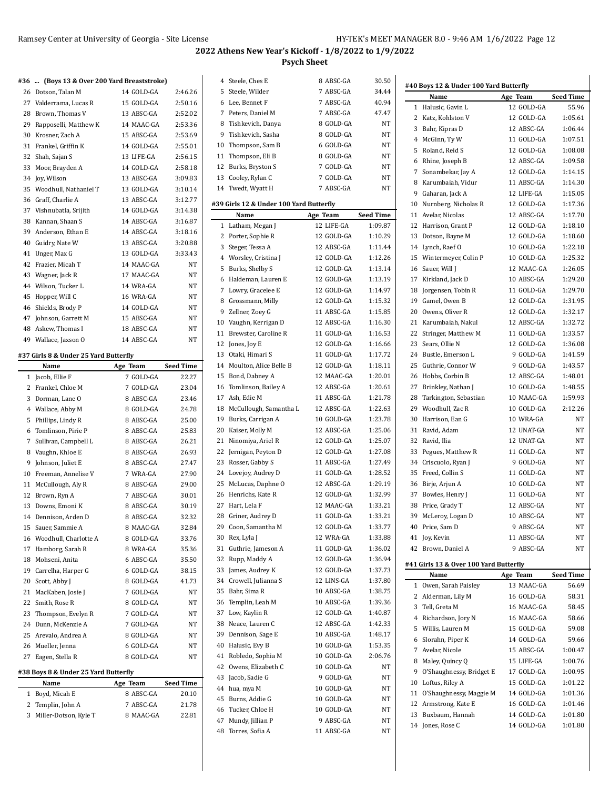$\mathbf{I}$ 

# **2022 Athens New Year's Kickoff - 1/8/2022 to 1/9/2022 Psych Sheet**

| #36 | (Boys 13 & Over 200 Yard Breaststroke) |          |                        |                           |
|-----|----------------------------------------|----------|------------------------|---------------------------|
| 26  | Dotson, Talan M                        |          | 14 GOLD-GA             | 2:46.26                   |
| 27  | Valderrama, Lucas R                    |          | 15 GOLD-GA             | 2:50.16                   |
|     | 28 Brown, Thomas V                     |          | 13 ABSC-GA             | 2:52.02                   |
|     | 29 Rapposelli, Matthew K               |          | 14 MAAC-GA             | 2:53.36                   |
|     | 30 Krosner, Zach A                     |          | 15 ABSC-GA             | 2:53.69                   |
| 31  | Frankel, Griffin K                     |          | 14 GOLD-GA             | 2:55.01                   |
| 32  | Shah, Sajan S                          |          | 13 LIFE-GA             | 2:56.15                   |
| 33  | Moor, Brayden A                        |          | 14 GOLD-GA             | 2:58.18                   |
| 34  | Joy, Wilson                            |          | 13 ABSC-GA             | 3:09.83                   |
| 35  | Woodhull, Nathaniel T                  |          | 13 GOLD-GA             | 3:10.14                   |
| 36  | Graff, Charlie A                       |          | 13 ABSC-GA             | 3:12.77                   |
| 37  | Vishnubatla, Srijith                   |          | 14 GOLD-GA             | 3:14.38                   |
|     | 38 Kannan, Shaan S                     |          | 14 ABSC-GA             | 3:16.87                   |
|     | 39 Anderson, Ethan E                   |          | 14 ABSC-GA             | 3:18.16                   |
|     | 40 Guidry, Nate W                      |          | 13 ABSC-GA             | 3:20.88                   |
| 41  | Unger, Max G                           |          | 13 GOLD-GA             | 3:33.43                   |
| 42  | Frazier, Micah T                       |          | 14 MAAC-GA             | NΤ                        |
|     | 43 Wagner, Jack R                      |          | 17 MAAC-GA             | NT                        |
|     | 44 Wilson, Tucker L                    |          | 14 WRA-GA              | NT                        |
| 45  | Hopper, Will C                         |          | 16 WRA-GA              | NT                        |
| 46  | Shields, Brody P                       |          | 14 GOLD-GA             | NT                        |
| 47  | Johnson, Garrett M                     |          | 15 ABSC-GA             | NT                        |
|     | 48 Askew, Thomas I                     |          | 18 ABSC-GA             | NT                        |
| 49  | Wallace, Jaxson O                      |          | 14 ABSC-GA             | NT                        |
|     |                                        |          |                        |                           |
|     | #37 Girls 8 & Under 25 Yard Butterfly  |          |                        |                           |
| 1   | Name<br>Jacob, Ellie F                 | Age Team | 7 GOLD-GA              | <b>Seed Time</b><br>22.27 |
|     | 2 Frankel, Chloe M                     |          | 7 GOLD-GA              | 23.04                     |
|     | 3 Dorman, Lane O                       |          | 8 ABSC-GA              | 23.46                     |
|     | 4 Wallace, Abby M                      |          | 8 GOLD-GA              | 24.78                     |
| 5   | Phillips, Lindy R                      |          | 8 ABSC-GA              | 25.00                     |
| 6   | Tomlinson, Pirie P                     |          |                        |                           |
| 7   |                                        |          |                        |                           |
| 8   |                                        |          | 8 ABSC-GA              | 25.83                     |
|     | Sullivan, Campbell L                   |          | 8 ABSC-GA              | 26.21                     |
|     | Vaughn, Khloe E                        |          | 8 ABSC-GA              | 26.93                     |
| 9   | Johnson, Juliet E                      |          | 8 ABSC-GA              | 27.47                     |
| 10  | Freeman, Annelise V                    |          | 7 WRA-GA               | 27.90                     |
| 11  | McCullough, Aly R                      |          | 8 ABSC-GA              | 29.00                     |
|     | 12 Brown, Ryn A                        |          | 7 ABSC-GA              | 30.01                     |
| 13  | Downs, Emoni K                         |          | 8 ABSC-GA              | 30.19                     |
| 14  | Dennison, Arden D                      |          | 8 ABSC-GA              | 32.32                     |
| 15  | Sauer, Sammie A                        |          | 8 MAAC-GA              | 32.84                     |
| 16  | Woodhull, Charlotte A                  |          | 8 GOLD-GA              | 33.76                     |
| 17  | Hamborg, Sarah R                       |          | 8 WRA-GA               | 35.36                     |
| 18  | Mohseni, Anita                         |          | 6 ABSC-GA              | 35.50                     |
| 19  | Carrelha, Harper G                     |          | 6 GOLD-GA              | 38.15                     |
| 20  | Scott, Abby J                          |          | 8 GOLD-GA              | 41.73                     |
| 21  | MacKaben, Josie J                      |          | 7 GOLD-GA              | NΤ                        |
| 22  | Smith, Rose R                          |          | 8 GOLD-GA              | NΤ                        |
| 23  | Thompson, Evelyn R                     |          | 7 GOLD-GA              | NΤ                        |
| 24  | Dunn, McKenzie A                       |          | 7 GOLD-GA              | NΤ                        |
| 25  | Arevalo, Andrea A                      |          | 8 GOLD-GA              | NΤ                        |
| 27  | 26 Mueller, Jenna<br>Eagen, Stella R   |          | 6 GOLD-GA<br>8 GOLD-GA | NΤ<br>NΤ                  |

### **#38 Boys 8 & Under 25 Yard Butterfly**

|  | Name                    | Age Team  | <b>Seed Time</b> |
|--|-------------------------|-----------|------------------|
|  | 1 Boyd, Micah E         | 8 ABSC-GA | 20.10            |
|  | 2 Templin, John A       | 7 ABSC-GA | 21.78            |
|  | 3 Miller-Dotson, Kyle T | 8 MAAC-GA | 22.81            |
|  |                         |           |                  |

|              | 4 Steele, Ches E                        | 8 ABSC-GA                | 30.50            |
|--------------|-----------------------------------------|--------------------------|------------------|
|              | 5 Steele, Wilder                        | 7 ABSC-GA                | 34.44            |
|              | 6 Lee, Bennet F                         | 7 ABSC-GA                | 40.94            |
| 7            | Peters, Daniel M                        | 7 ABSC-GA                | 47.47            |
|              | 8 Tishkevich, Danya                     | 8 GOLD-GA                | NT               |
|              | 9 Tishkevich, Sasha                     | 8 GOLD-GA                | NT               |
|              | 10 Thompson, Sam B                      | 6 GOLD-GA                | NT               |
| 11           | Thompson, Eli B                         | 8 GOLD-GA                | NT               |
|              | 12 Burks, Bryston S                     | 7 GOLD-GA                | NT               |
|              | 13 Cooley, Rylan C                      | 7 GOLD-GA                | NT               |
| 14           | Twedt, Wyatt H                          | 7 ABSC-GA                | NT               |
|              |                                         |                          |                  |
|              | #39 Girls 12 & Under 100 Yard Butterfly |                          |                  |
|              | Name                                    | Age Team                 | <b>Seed Time</b> |
| $\mathbf{1}$ | Latham, Megan J                         | 12 LIFE-GA               | 1:09.87          |
|              | 2 Porter, Sophie R                      | 12 GOLD-GA               | 1:10.29          |
|              | 3 Steger, Tessa A                       | 12 ABSC-GA               | 1:11.44          |
|              | 4 Worsley, Cristina J                   | 12 GOLD-GA               | 1:12.26          |
| 5            | Burks, Shelby S                         | 12 GOLD-GA               | 1:13.14          |
| 6            | Haldeman, Lauren E                      | 12 GOLD-GA               | 1:13.19          |
| 7            | Lowry, Gracelee E                       | 12 GOLD-GA               | 1:14.97          |
|              | 8 Grossmann, Milly                      | 12 GOLD-GA               | 1:15.32          |
| 9            | Zellner, Zoey G                         | 11 ABSC-GA               | 1:15.85          |
|              | 10 Vaughn, Kerrigan D                   | 12 ABSC-GA               | 1:16.30          |
| 11           | Brewster, Caroline R                    | 11 GOLD-GA               | 1:16.53          |
| 12           | Jones, Joy E                            | 12 GOLD-GA               | 1:16.66          |
|              | 13 Otaki, Himari S                      | 11 GOLD-GA               | 1:17.72          |
|              | 14 Moulton, Alice Belle B               | 12 GOLD-GA               | 1:18.11          |
| 15           | Bond, Dabney A                          | 12 MAAC-GA               | 1:20.01          |
| 16           | Tomlinson, Bailey A                     | 12 ABSC-GA               | 1:20.61          |
| 17           | Ash, Edie M                             | 11 ABSC-GA               | 1:21.78          |
| 18           | McCullough, Samantha L                  | 12 ABSC-GA               | 1:22.63          |
| 19           | Burks, Carrigan A                       | 10 GOLD-GA               | 1:23.78          |
| 20           | Kaiser, Molly M                         | 12 ABSC-GA               | 1:25.06          |
| 21           | Ninomiya, Ariel R                       | 12 GOLD-GA               | 1:25.07          |
| 22           | Jernigan, Peyton D                      | 12 GOLD-GA               | 1:27.08          |
| 23           | Rosser, Gabby S                         | 11 ABSC-GA               | 1:27.49          |
|              | 24 Lovejoy, Audrey D                    | 11 GOLD-GA               | 1:28.52          |
| 25           | McLucas, Daphne O                       | 12 ABSC-GA               | 1:29.19          |
| 26           | Henrichs, Kate R                        | 12 GOLD-GA               | 1:32.99          |
| 27           | Hart, Lela F                            | 12 MAAC-GA               | 1:33.21          |
| 28           | Griner, Audrey D                        | 11 GOLD-GA               | 1:33.21          |
| 29           | Coon, Samantha M                        | 12 GOLD-GA               | 1:33.77          |
| 30           | Rex, Lyla J                             | 12 WRA-GA                | 1:33.88          |
| 31           | Guthrie, Jameson A                      | 11 GOLD-GA               | 1:36.02          |
| 32           | Rupp, Maddy A                           | 12 GOLD-GA               | 1:36.94          |
| 33           | James, Audrey K                         | 12 GOLD-GA               | 1:37.73          |
| 34           | Crowell, Julianna S                     | 12 LINS-GA               | 1:37.80          |
| 35           | Bahr, Sima R                            | 10 ABSC-GA               | 1:38.75          |
| 36           | Templin, Leah M                         | 10 ABSC-GA               | 1:39.36          |
| 37           | Low, Kaylin R                           | 12 GOLD-GA               | 1:40.87          |
| 38           | Neace, Lauren C                         | 12 ABSC-GA               | 1:42.33          |
| 39           | Dennison, Sage E                        | 10 ABSC-GA               | 1:48.17          |
|              |                                         |                          |                  |
| 40           | Halusic, Evy B                          | 10 GOLD-GA<br>10 GOLD-GA | 1:53.35          |
| 41           | Robledo, Sophia M                       |                          | 2:06.76          |
| 42           | Owens, Elizabeth C                      | 10 GOLD-GA               | NT               |
| 43           | Jacob, Sadie G                          | 9 GOLD-GA                | NT               |
| 44           | hua, mya M                              | 10 GOLD-GA               | NΤ               |
| 45           | Burns, Addie G                          | 10 GOLD-GA               | NT               |
| 46           | Tucker, Chloe H                         | 10 GOLD-GA               | NΤ               |
| 47           | Mundy, Jillian P                        | 9 ABSC-GA                | NT               |
| 48           | Torres, Sofia A                         | 11 ABSC-GA               | NT               |

 $\overline{\phantom{0}}$ 

|              | #40 Boys 12 & Under 100 Yard Butterfly |            |                  |  |  |  |  |
|--------------|----------------------------------------|------------|------------------|--|--|--|--|
|              | Name                                   | Age Team   | <b>Seed Time</b> |  |  |  |  |
| 1            | Halusic, Gavin L                       | 12 GOLD-GA | 55.96            |  |  |  |  |
| 2            | Katz, Kohlston V                       | 12 GOLD-GA | 1:05.61          |  |  |  |  |
|              | 3 Bahr, Kipras D                       | 12 ABSC-GA | 1:06.44          |  |  |  |  |
|              | 4 McGinn, Ty W                         | 11 GOLD-GA | 1:07.51          |  |  |  |  |
| 5            | Roland, Reid S                         | 12 GOLD-GA | 1:08.08          |  |  |  |  |
|              |                                        | 12 ABSC-GA | 1:09.58          |  |  |  |  |
| 6            | Rhine, Joseph B                        |            |                  |  |  |  |  |
| 7            | Sonambekar, Jay A                      | 12 GOLD-GA | 1:14.15          |  |  |  |  |
|              | 8 Karumbaiah, Vidur                    | 11 ABSC-GA | 1:14.30          |  |  |  |  |
|              | 9 Gaharan, Jack A                      | 12 LIFE-GA | 1:15.05          |  |  |  |  |
|              | 10 Nurnberg, Nicholas R                | 12 GOLD-GA | 1:17.36          |  |  |  |  |
| 11           | Avelar, Nicolas                        | 12 ABSC-GA | 1:17.70          |  |  |  |  |
|              | 12 Harrison, Grant P                   | 12 GOLD-GA | 1:18.10          |  |  |  |  |
|              | 13 Dotson, Bayne M                     | 12 GOLD-GA | 1:18.60          |  |  |  |  |
|              | 14 Lynch, Raef O                       | 10 GOLD-GA | 1:22.18          |  |  |  |  |
|              | 15 Wintermeyer, Colin P                | 10 GOLD-GA | 1:25.32          |  |  |  |  |
| 16           | Sauer, Will J                          | 12 MAAC-GA | 1:26.05          |  |  |  |  |
| 17           | Kirkland, Jack D                       | 10 ABSC-GA | 1:29.20          |  |  |  |  |
| 18           | Jorgensen, Tobin R                     | 11 GOLD-GA | 1:29.70          |  |  |  |  |
| 19           | Gamel, Owen B                          | 12 GOLD-GA | 1:31.95          |  |  |  |  |
|              | 20 Owens, Oliver R                     | 12 GOLD-GA | 1:32.17          |  |  |  |  |
| 21           | Karumbaiah, Nakul                      | 12 ABSC-GA | 1:32.72          |  |  |  |  |
| 22           | Stringer, Matthew M                    | 11 GOLD-GA | 1:33.57          |  |  |  |  |
| 23           | Sears, Ollie N                         | 12 GOLD-GA | 1:36.08          |  |  |  |  |
| 24           | Bustle, Emerson L                      | 9 GOLD-GA  | 1:41.59          |  |  |  |  |
|              | 25 Guthrie, Connor W                   | 9 GOLD-GA  | 1:43.57          |  |  |  |  |
| 26           |                                        | 12 ABSC-GA |                  |  |  |  |  |
|              | Hobbs, Corbin B                        |            | 1:48.01          |  |  |  |  |
| 27           | Brinkley, Nathan J                     | 10 GOLD-GA | 1:48.55          |  |  |  |  |
| 28           | Tarkington, Sebastian                  | 10 MAAC-GA | 1:59.93          |  |  |  |  |
|              | 29 Woodhull, Zac R                     | 10 GOLD-GA | 2:12.26          |  |  |  |  |
| 30           | Harrison, Ean G                        | 10 WRA-GA  | NT               |  |  |  |  |
| 31           | Ravid, Adam                            | 12 UNAT-GA | NΤ               |  |  |  |  |
| 32           | Ravid, Ilia                            | 12 UNAT-GA | NΤ               |  |  |  |  |
| 33           | Pegues, Matthew R                      | 11 GOLD-GA | NΤ               |  |  |  |  |
|              | 34 Criscuolo, Ryan J                   | 9 GOLD-GA  | NΤ               |  |  |  |  |
|              | 35 Freed, Collin S                     | 11 GOLD-GA | NT               |  |  |  |  |
| 36           | Birje, Arjun A                         | 10 GOLD-GA | NΤ               |  |  |  |  |
| 37           | Bowles, Henry J                        | 11 GOLD-GA | NΤ               |  |  |  |  |
|              | 38 Price, Grady T                      | 12 ABSC-GA | NΤ               |  |  |  |  |
|              | 39 McLeroy, Logan D                    | 10 ABSC-GA | NΤ               |  |  |  |  |
|              | 40 Price, Sam D                        | 9 ABSC-GA  | NT               |  |  |  |  |
|              | 41 Joy, Kevin                          | 11 ABSC-GA | NΤ               |  |  |  |  |
|              | 42 Brown, Daniel A                     | 9 ABSC-GA  | NΤ               |  |  |  |  |
|              |                                        |            |                  |  |  |  |  |
|              | #41 Girls 13 & Over 100 Yard Butterfly |            |                  |  |  |  |  |
|              | Name                                   | Age Team   | <b>Seed Time</b> |  |  |  |  |
| $\mathbf{1}$ | Owen, Sarah Paisley                    | 13 MAAC-GA | 56.69            |  |  |  |  |
| 2            | Alderman, Lily M                       | 16 GOLD-GA | 58.31            |  |  |  |  |
| 3            | Tell, Greta M                          | 16 MAAC-GA | 58.45            |  |  |  |  |
|              | 4 Richardson, Jory N                   | 16 MAAC-GA | 58.66            |  |  |  |  |
|              | 5 Willis, Lauren M                     | 15 GOLD-GA | 59.08            |  |  |  |  |
|              | 6 Slorahn, Piper K                     | 14 GOLD-GA | 59.66            |  |  |  |  |
| 7            | Avelar, Nicole                         | 15 ABSC-GA | 1:00.47          |  |  |  |  |
|              | 8 Maley, Quincy Q                      | 15 LIFE-GA | 1:00.76          |  |  |  |  |
| 9            | O'Shaughnessy, Bridget E               | 17 GOLD-GA | 1:00.95          |  |  |  |  |
|              | 10 Loftus, Riley A                     | 15 GOLD-GA | 1:01.22          |  |  |  |  |
| 11           | O'Shaughnessy, Maggie M                | 14 GOLD-GA | 1:01.36          |  |  |  |  |
| 12           | Armstrong, Kate E                      | 16 GOLD-GA | 1:01.46          |  |  |  |  |
|              | 13 Buxbaum, Hannah                     | 14 GOLD-GA | 1:01.80          |  |  |  |  |

Jones, Rose C 14 GOLD-GA 1:01.80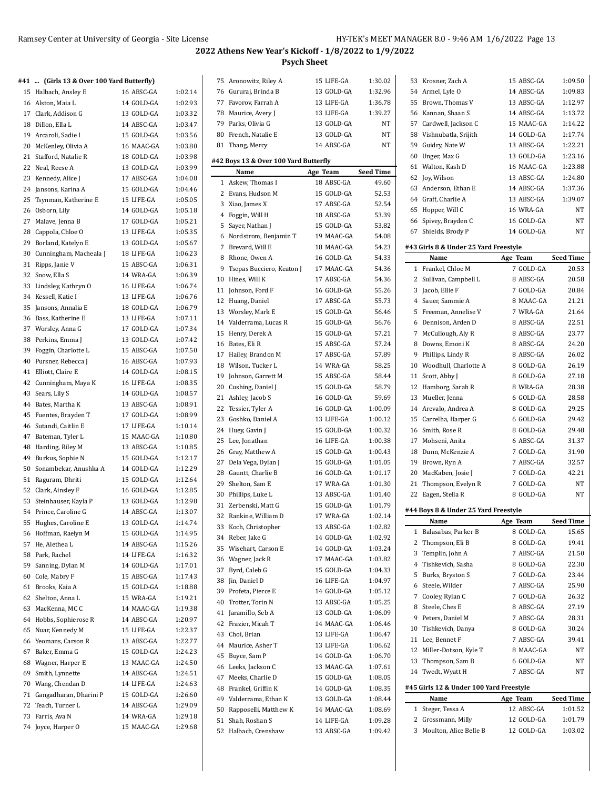# **#41 ... (Girls 13 & Over 100 Yard Butterfly)**

|    | 741 … (GIFIS 13 & OVER 100 YARD BUTTEFIIY) |            |         |
|----|--------------------------------------------|------------|---------|
| 15 | Halbach, Ansley E                          | 16 ABSC-GA | 1:02.14 |
| 16 | Alston, Maia L                             | 14 GOLD-GA | 1:02.93 |
|    | 17 Clark, Addison G                        | 13 GOLD-GA | 1:03.32 |
|    | 18 Dillon, Ella L                          | 14 ABSC-GA | 1:03.47 |
|    | 19 Arcaroli, Sadie I                       | 15 GOLD-GA | 1:03.56 |
| 20 | McKenley, Olivia A                         | 16 MAAC-GA | 1:03.80 |
| 21 | Stafford, Natalie R                        | 18 GOLD-GA | 1:03.98 |
| 22 | Neal, Reese A                              | 13 GOLD-GA | 1:03.99 |
| 23 | Kennedy, Alice J                           | 17 ABSC-GA | 1:04.08 |
| 24 | Jansons, Karina A                          | 15 GOLD-GA | 1:04.46 |
| 25 | Tsynman, Katherine E                       | 15 LIFE-GA | 1:05.05 |
| 26 | Osborn, Lily                               | 14 GOLD-GA | 1:05.18 |
| 27 |                                            | 17 GOLD-GA | 1:05.21 |
| 28 | Malave, Jenna B                            | 13 LIFE-GA | 1:05.35 |
|    | Cappola, Chloe O                           |            |         |
| 29 | Borland, Katelyn E                         | 13 GOLD-GA | 1:05.67 |
| 30 | Cunningham, Macheala J                     | 18 LIFE-GA | 1:06.23 |
| 31 | Ripps, Janie V                             | 15 ABSC-GA | 1:06.31 |
| 32 | Snow, Ella S                               | 14 WRA-GA  | 1:06.39 |
| 33 | Lindsley, Kathryn O                        | 16 LIFE-GA | 1:06.74 |
| 34 | Kessell, Katie I                           | 13 LIFE-GA | 1:06.76 |
| 35 | Jansons, Annalia E                         | 18 GOLD-GA | 1:06.79 |
| 36 | Bass, Katherine E                          | 13 LIFE-GA | 1:07.11 |
| 37 | Worsley, Anna G                            | 17 GOLD-GA | 1:07.34 |
| 38 | Perkins, Emma J                            | 13 GOLD-GA | 1:07.42 |
| 39 | Foggin, Charlotte L                        | 15 ABSC-GA | 1:07.50 |
| 40 | Pursner, Rebecca J                         | 16 ABSC-GA | 1:07.93 |
| 41 | Elliott, Claire E                          | 14 GOLD-GA | 1:08.15 |
| 42 | Cunningham, Maya K                         | 16 LIFE-GA | 1:08.35 |
| 43 | Sears, Lily S                              | 14 GOLD-GA | 1:08.57 |
| 44 | Bates, Martha K                            | 13 ABSC-GA | 1:08.91 |
| 45 | Fuentes, Brayden T                         | 17 GOLD-GA | 1:08.99 |
| 46 | Sutandi, Caitlin E                         | 17 LIFE-GA | 1:10.14 |
| 47 | Bateman, Tyler L                           | 15 MAAC-GA | 1:10.80 |
| 48 | Harding, Riley M                           | 13 ABSC-GA | 1:10.85 |
| 49 | Burkus, Sophie N                           | 15 GOLD-GA | 1:12.17 |
| 50 | Sonambekar, Anushka A                      | 14 GOLD-GA | 1:12.29 |
| 51 | Raguram, Dhriti                            | 15 GOLD-GA | 1:12.64 |
| 52 | Clark, Ainsley F                           | 16 GOLD-GA | 1:12.85 |
| 53 | Steinhauser, Kayla P                       | 13 GOLD-GA | 1:12.98 |
| 54 | Prince, Caroline G                         | 14 ABSC-GA | 1:13.07 |
| 55 | Hughes, Caroline E                         | 13 GOLD-GA | 1:14.74 |
| 56 | Hoffman, Raelyn M                          | 15 GOLD-GA | 1:14.95 |
| 57 | He, Alethea L                              | 14 ABSC-GA | 1:15.26 |
| 58 | Park, Rachel                               | 14 LIFE-GA | 1:16.32 |
| 59 | Sanning, Dylan M                           | 14 GOLD-GA | 1:17.01 |
| 60 | Cole, Mabry F                              | 15 ABSC-GA | 1:17.43 |
| 61 | Brooks, Kaia A                             | 15 GOLD-GA | 1:18.88 |
| 62 | Shelton, Anna L                            | 15 WRA-GA  | 1:19.21 |
| 63 | MacKenna, MC C                             | 14 MAAC-GA | 1:19.38 |
| 64 | Hobbs, Sophierose R                        | 14 ABSC-GA | 1:20.97 |
| 65 | Nuar, Kennedy M                            | 15 LIFE-GA | 1:22.37 |
| 66 | Yeomans, Carson R                          | 13 ABSC-GA | 1:22.77 |
| 67 | Baker, Emma G                              | 15 GOLD-GA | 1:24.23 |
| 68 | Wagner, Harper E                           | 13 MAAC-GA | 1:24.50 |
| 69 | Smith, Lynnette                            | 14 ABSC-GA | 1:24.51 |
| 70 | Wang, Chendan D                            | 14 LIFE-GA | 1:24.63 |
| 71 | Gangadharan, Dharini P                     | 15 GOLD-GA | 1:26.60 |
| 72 | Teach, Turner L                            | 14 ABSC-GA | 1:29.09 |
| 73 | Farris, Ava N                              | 14 WRA-GA  | 1:29.18 |
|    | 74 Joyce, Harper O                         | 15 MAAC-GA | 1:29.68 |
|    |                                            |            |         |

|    | 75 Aronowitz, Riley A                 | 15 LIFE-GA | 1:30.02          |
|----|---------------------------------------|------------|------------------|
|    | 76 Gururaj, Brinda B                  | 13 GOLD-GA | 1:32.96          |
| 77 | Favorov, Farrah A                     | 13 LIFE-GA | 1:36.78          |
| 78 | Maurice, Avery J                      | 13 LIFE-GA | 1:39.27          |
| 79 | Parks, Olivia G                       | 13 GOLD-GA | NT               |
| 80 | French, Natalie E                     | 13 GOLD-GA | NΤ               |
| 81 | Thang, Mercy                          | 14 ABSC-GA | NT               |
|    |                                       |            |                  |
|    | #42 Boys 13 & Over 100 Yard Butterfly |            |                  |
|    | Name                                  | Age Team   | <b>Seed Time</b> |
| 1  | Askew, Thomas I                       | 18 ABSC-GA | 49.60            |
| 2  | Evans, Hudson M                       | 15 GOLD-GA | 52.53            |
| 3  | Xiao, James X                         | 17 ABSC-GA | 52.54            |
| 4  | Foggin, Will H                        | 18 ABSC-GA | 53.39            |
| 5  | Sayer, Nathan J                       | 15 GOLD-GA | 53.82            |
| 6  | Nordstrom, Benjamin T                 | 19 MAAC-GA | 54.08            |
| 7  | Brevard, Will E                       | 18 MAAC-GA | 54.23            |
| 8  | Rhone, Owen A                         | 16 GOLD-GA | 54.33            |
| 9  | Tsepas Bucciero, Keaton J             | 17 MAAC-GA | 54.36            |
| 10 | Hines, Will K                         | 17 ABSC-GA | 54.36            |
| 11 | Johnson, Ford F                       | 16 GOLD-GA | 55.26            |
| 12 | Huang, Daniel                         | 17 ABSC-GA | 55.73            |
| 13 | Worsley, Mark E                       | 15 GOLD-GA | 56.46            |
| 14 | Valderrama, Lucas R                   | 15 GOLD-GA | 56.76            |
| 15 | Henry, Derek A                        | 15 GOLD-GA | 57.21            |
| 16 | Bates, Eli R                          | 15 ABSC-GA | 57.24            |
| 17 | Hailey, Brandon M                     | 17 ABSC-GA | 57.89            |
| 18 | Wilson, Tucker L                      | 14 WRA-GA  | 58.25            |
| 19 | Johnson, Garrett M                    | 15 ABSC-GA | 58.44            |
|    | 20 Cushing, Daniel J                  | 15 GOLD-GA | 58.79            |
| 21 | Ashley, Jacob S                       | 16 GOLD-GA | 59.69            |
| 22 | Tessier, Tyler A                      | 16 GOLD-GA | 1:00.09          |
| 23 | Goshko, Daniel A                      | 13 LIFE-GA | 1:00.12          |
| 24 | Huey, Gavin J                         | 15 GOLD-GA | 1:00.32          |
| 25 | Lee, Jonathan                         | 16 LIFE-GA | 1:00.38          |
| 26 | Gray, Matthew A                       | 15 GOLD-GA | 1:00.43          |
| 27 | Dela Vega, Dylan J                    | 15 GOLD-GA | 1:01.05          |
|    | 28 Gauntt, Charlie B                  | 16 GOLD-GA | 1:01.17          |
| 29 | Shelton, Sam E                        | 17 WRA-GA  | 1:01.30          |
| 30 | Phillips, Luke L                      | 13 ABSC-GA | 1:01.40          |
| 31 | Zerbenski, Matt G                     | 15 GOLD-GA | 1:01.79          |
| 32 | Rankine, William D                    | 17 WRA-GA  | 1:02.14          |
| 33 | Koch, Christopher                     | 13 ABSC-GA | 1:02.82          |
| 34 | Reber, Jake G                         | 14 GOLD-GA | 1:02.92          |
| 35 | Wisehart, Carson E                    | 14 GOLD-GA | 1:03.24          |
|    | 36 Wagner, Jack R                     | 17 MAAC-GA | 1:03.82          |
| 37 | Byrd, Caleb G                         | 15 GOLD-GA | 1:04.33          |
| 38 | Jin, Daniel D                         | 16 LIFE-GA | 1:04.97          |
| 39 | Profeta, Pierce E                     | 14 GOLD-GA | 1:05.12          |
| 40 | Trotter, Torin N                      | 13 ABSC-GA | 1:05.25          |
| 41 | Jaramillo, Seb A                      | 13 GOLD-GA | 1:06.09          |
| 42 | Frazier, Micah T                      | 14 MAAC-GA | 1:06.46          |
| 43 | Choi, Brian                           | 13 LIFE-GA | 1:06.47          |
| 44 | Maurice, Asher T                      | 13 LIFE-GA | 1:06.62          |
| 45 | Buyce, Sam P                          | 14 GOLD-GA | 1:06.70          |
| 46 | Leeks, Jackson C                      | 13 MAAC-GA | 1:07.61          |
| 47 | Meeks, Charlie D                      | 15 GOLD-GA | 1:08.05          |
| 48 | Frankel, Griffin K                    | 14 GOLD-GA | 1:08.35          |
| 49 | Valderrama, Ethan K                   | 13 GOLD-GA | 1:08.44          |
| 50 | Rapposelli, Matthew K                 | 14 MAAC-GA | 1:08.69          |
| 51 | Shah, Roshan S                        | 14 LIFE-GA | 1:09.28          |
| 52 | Halbach, Crenshaw                     | 13 ABSC-GA | 1:09.42          |

| 53       | Krosner, Zach A                         | 15 ABSC-GA             | 1:09.50          |
|----------|-----------------------------------------|------------------------|------------------|
|          | 54 Armel, Lyle O                        | 14 ABSC-GA             | 1:09.83          |
| 55       | Brown, Thomas V                         | 13 ABSC-GA             | 1:12.97          |
|          | 56 Kannan, Shaan S                      | 14 ABSC-GA             | 1:13.72          |
|          | 57 Cardwell, Jackson C                  | 15 MAAC-GA             | 1:14.22          |
| 58       | Vishnubatla, Srijith                    | 14 GOLD-GA             | 1:17.74          |
|          | 59 Guidry, Nate W                       | 13 ABSC-GA             | 1:22.21          |
| 60       | Unger, Max G                            | 13 GOLD-GA             | 1:23.16          |
| 61       | Walton, Kash D                          | 16 MAAC-GA             | 1:23.88          |
|          | 62 Joy, Wilson                          | 13 ABSC-GA             | 1:24.80          |
|          | 63 Anderson, Ethan E                    | 14 ABSC-GA             | 1:37.36          |
|          | 64 Graff, Charlie A                     | 13 ABSC-GA             | 1:39.07          |
|          | 65 Hopper, Will C                       | 16 WRA-GA              | NΤ               |
| 66       | Spivey, Brayden C                       | 16 GOLD-GA             | NΤ               |
| 67       | Shields, Brody P                        | 14 GOLD-GA             | NΤ               |
|          |                                         |                        |                  |
|          | #43 Girls 8 & Under 25 Yard Freestyle   |                        | <b>Seed Time</b> |
|          | Name                                    | Age Team<br>7 GOLD-GA  |                  |
| 1<br>2   | Frankel, Chloe M                        | 8 ABSC-GA              | 20.53            |
| 3        | Sullivan, Campbell L<br>Jacob, Ellie F  |                        | 20.58            |
| 4        |                                         | 7 GOLD-GA              | 20.84            |
|          | Sauer, Sammie A                         | 8 MAAC-GA              | 21.21            |
| 5        | Freeman, Annelise V                     | 7 WRA-GA               | 21.64            |
| 6<br>7   | Dennison, Arden D                       | 8 ABSC-GA              | 22.51            |
|          | McCullough, Aly R                       | 8 ABSC-GA              | 23.77            |
| 8        | Downs, Emoni K                          | 8 ABSC-GA              | 24.20            |
| 9        | Phillips, Lindy R                       | 8 ABSC-GA              | 26.02            |
| 10       | Woodhull, Charlotte A                   | 8 GOLD-GA              | 26.19            |
| 11       | Scott, Abby J                           | 8 GOLD-GA              | 27.18            |
| 12       | Hamborg, Sarah R                        | 8 WRA-GA               | 28.38            |
| 13       | Mueller, Jenna                          | 6 GOLD-GA              | 28.58            |
|          | 14 Arevalo, Andrea A                    | 8 GOLD-GA              | 29.25            |
| 15       | Carrelha, Harper G                      | 6 GOLD-GA              | 29.42            |
| 16       | Smith, Rose R                           | 8 GOLD-GA              | 29.48            |
| 17       | Mohseni, Anita                          | 6 ABSC-GA              | 31.37            |
| 18<br>19 | Dunn, McKenzie A                        | 7 GOLD-GA<br>7 ABSC-GA | 31.90<br>32.57   |
|          | Brown, Ryn A<br>MacKaben, Josie J       | 7 GOLD-GA              | 42.21            |
| 20       |                                         | 7 GOLD-GA              |                  |
| 21<br>22 | Thompson, Evelyn R<br>Eagen, Stella R   | 8 GOLD-GA              | NΤ<br>NΤ         |
|          |                                         |                        |                  |
|          | #44 Boys 8 & Under 25 Yard Freestyle    |                        |                  |
|          | Name                                    | Age Team               | Seed Time        |
| 1        | Balasabas, Parker B                     | 8 GOLD-GA              | 15.65            |
| 2        | Thompson, Eli B                         | 8 GOLD-GA              | 19.41            |
| 3        | Templin, John A                         | 7 ABSC-GA              | 21.50            |
| 4        | Tishkevich, Sasha                       | 8 GOLD-GA              | 22.30            |
| 5        | Burks, Bryston S                        | 7 GOLD-GA              | 23.44            |
| 6        | Steele, Wilder                          | 7 ABSC-GA              | 25.90            |
| 7        | Cooley, Rylan C                         | 7 GOLD-GA              | 26.32            |
| 8        | Steele, Ches E                          | 8 ABSC-GA              | 27.19            |
| 9        | Peters, Daniel M                        | 7 ABSC-GA              | 28.31            |
| 10       | Tishkevich, Danya                       | 8 GOLD-GA              | 30.24            |
| 11       | Lee, Bennet F                           | 7 ABSC-GA              | 39.41            |
| 12       | Miller-Dotson, Kyle T                   | 8 MAAC-GA              | NT               |
| 13       | Thompson, Sam B                         | 6 GOLD-GA              | NT               |
| 14       | Twedt, Wyatt H                          | 7 ABSC-GA              | NT               |
|          | #45 Girls 12 & Under 100 Yard Freestyle |                        |                  |
|          | Name                                    | Age Team               | <b>Seed Time</b> |
| 1        | Steger, Tessa A                         | 12 ABSC-GA             | 1:01.52          |
| 2        | Grossmann, Milly                        | 12 GOLD-GA             | 1:01.79          |
| 3        | Moulton, Alice Belle B                  | 12 GOLD-GA             | 1:03.02          |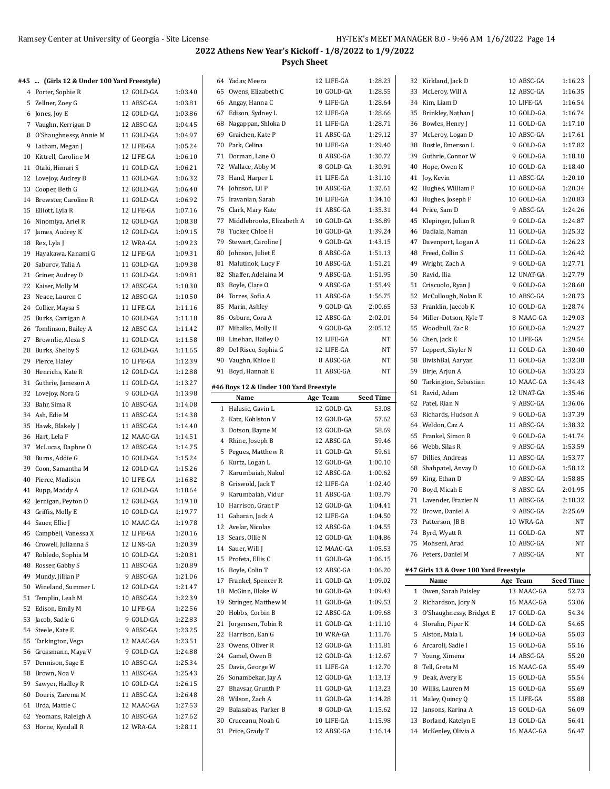| #45  (Girls 12 & Under 100 Yard Freestyle)   |                         |                    | 64 Yadav, Meera                          | 12 LIFE-GA               | 1:28.23            | 32 Kirkland, Jack D                            | 10 ABSC-GA               | 1:16.23          |
|----------------------------------------------|-------------------------|--------------------|------------------------------------------|--------------------------|--------------------|------------------------------------------------|--------------------------|------------------|
| 4 Porter, Sophie R                           | 12 GOLD-GA              | 1:03.40            | 65 Owens, Elizabeth C                    | 10 GOLD-GA               | 1:28.55            | 33 McLeroy, Will A                             | 12 ABSC-GA               | 1:16.35          |
| 5 Zellner, Zoey G                            | 11 ABSC-GA              | 1:03.81            | 66 Angay, Hanna C                        | 9 LIFE-GA                | 1:28.64            | 34 Kim, Liam D                                 | 10 LIFE-GA               | 1:16.54          |
| 6 Jones, Joy E                               | 12 GOLD-GA              | 1:03.86            | 67 Edison, Sydney L                      | 12 LIFE-GA               | 1:28.66            | 35 Brinkley, Nathan J                          | 10 GOLD-GA               | 1:16.74          |
| 7 Vaughn, Kerrigan D                         | 12 ABSC-GA              | 1:04.45            | 68 Nagappan, Shloka D                    | 11 LIFE-GA               | 1:28.71            | 36 Bowles, Henry J                             | 11 GOLD-GA               | 1:17.10          |
| 8 O'Shaughnessy, Annie M                     | 11 GOLD-GA              | 1:04.97            | 69 Graichen, Kate P                      | 11 ABSC-GA               | 1:29.12            | 37 McLeroy, Logan D                            | 10 ABSC-GA               | 1:17.61          |
| 9 Latham, Megan J                            | 12 LIFE-GA              | 1:05.24            | 70 Park, Celina                          | 10 LIFE-GA               | 1:29.40            | 38 Bustle, Emerson L                           | 9 GOLD-GA                | 1:17.82          |
| 10 Kittrell, Caroline M                      | 12 LIFE-GA              | 1:06.10            | 71 Dorman, Lane O                        | 8 ABSC-GA                | 1:30.72            | 39 Guthrie, Connor W                           | 9 GOLD-GA                | 1:18.18          |
| 11 Otaki, Himari S                           | 11 GOLD-GA              | 1:06.21            | 72 Wallace, Abby M                       | 8 GOLD-GA                | 1:30.91            | 40 Hope, Owen K                                | 10 GOLD-GA               | 1:18.40          |
| 12 Lovejoy, Audrey D                         | 11 GOLD-GA              | 1:06.32            | 73 Hand, Harper L                        | 11 LIFE-GA               | 1:31.10            | 41 Joy, Kevin                                  | 11 ABSC-GA               | 1:20.10          |
| 13 Cooper, Beth G                            | 12 GOLD-GA              | 1:06.40            | 74 Johnson, Lil P                        | 10 ABSC-GA               | 1:32.61            | 42 Hughes, William F                           | 10 GOLD-GA               | 1:20.34          |
| 14 Brewster, Caroline R                      | 11 GOLD-GA              | 1:06.92            | 75 Iravanian, Sarah                      | 10 LIFE-GA               | 1:34.10            | 43 Hughes, Joseph F                            | 10 GOLD-GA               | 1:20.83          |
| 15 Elliott, Lyla R                           | 12 LIFE-GA              | 1:07.16            | 76 Clark, Mary Kate                      | 11 ABSC-GA               | 1:35.31            | 44 Price, Sam D                                | 9 ABSC-GA                | 1:24.26          |
| 16 Ninomiya, Ariel R                         | 12 GOLD-GA              | 1:08.38            | 77 Middlebrooks, Elizabeth A             | 10 GOLD-GA               | 1:36.89            | 45 Klepinger, Julian R                         | 9 GOLD-GA                | 1:24.87          |
| 17 James, Audrey K                           | 12 GOLD-GA              | 1:09.15            | 78 Tucker, Chloe H                       | 10 GOLD-GA               | 1:39.24            | 46 Dadiala, Naman                              | 11 GOLD-GA               | 1:25.32          |
| 18 Rex, Lyla J                               | 12 WRA-GA               | 1:09.23            | 79 Stewart, Caroline J                   | 9 GOLD-GA                | 1:43.15            | 47 Davenport, Logan A                          | 11 GOLD-GA               | 1:26.23          |
| 19 Hayakawa, Kanami G                        | 12 LIFE-GA              | 1:09.31            | 80 Johnson, Juliet E                     | 8 ABSC-GA                | 1:51.13            | 48 Freed, Collin S                             | 11 GOLD-GA               | 1:26.42          |
| 20 Saburov, Talia A                          | 11 GOLD-GA              | 1:09.38            | 81 Malutinok, Lucy F                     | 10 ABSC-GA               | 1:51.21            | 49 Wright, Zach A                              | 9 GOLD-GA                | 1:27.71          |
|                                              |                         |                    | 82 Shaffer, Adelaina M                   | 9 ABSC-GA                | 1:51.95            | 50 Ravid, Ilia                                 | 12 UNAT-GA               | 1:27.79          |
| 21 Griner, Audrey D                          | 11 GOLD-GA              | 1:09.81            | 83 Boyle, Clare O                        | 9 ABSC-GA                | 1:55.49            |                                                | 9 GOLD-GA                | 1:28.60          |
| 22 Kaiser, Molly M                           | 12 ABSC-GA              | 1:10.30            |                                          |                          |                    | 51 Criscuolo, Ryan J                           |                          | 1:28.73          |
| 23 Neace, Lauren C                           | 12 ABSC-GA              | 1:10.50            | 84 Torres, Sofia A                       | 11 ABSC-GA               | 1:56.75            | 52 McCullough, Nolan E                         | 10 ABSC-GA               |                  |
| 24 Collier, Maysa S                          | 11 LIFE-GA              | 1:11.16            | 85 Marin, Ashley                         | 9 GOLD-GA                | 2:00.65            | 53 Franklin, Jaecob K                          | 10 GOLD-GA               | 1:28.74          |
| 25 Burks, Carrigan A                         | 10 GOLD-GA              | 1:11.18            | 86 Osburn, Cora A                        | 12 ABSC-GA               | 2:02.01            | 54 Miller-Dotson, Kyle T                       | 8 MAAC-GA                | 1:29.03          |
| 26 Tomlinson, Bailey A                       | 12 ABSC-GA              | 1:11.42            | 87 Mihalko, Molly H                      | 9 GOLD-GA                | 2:05.12            | 55 Woodhull, Zac R                             | 10 GOLD-GA               | 1:29.27          |
| 27 Brownlie, Alexa S                         | 11 GOLD-GA              | 1:11.58            | 88 Linehan, Hailey O                     | 12 LIFE-GA               | NT                 | 56 Chen, Jack E                                | 10 LIFE-GA               | 1:29.54          |
| 28 Burks, Shelby S                           | 12 GOLD-GA              | 1:11.65            | 89 Del Risco, Sophia G                   | 12 LIFE-GA               | $_{\rm NT}$        | 57 Leppert, Skyler N                           | 11 GOLD-GA               | 1:30.40          |
| 29 Pierce, Haley                             | 10 LIFE-GA              | 1:12.39            | 90 Vaughn, Khloe E                       | 8 ABSC-GA                | NT                 | 58 BivishBal, Aaryan                           | 11 GOLD-GA               | 1:32.38          |
| 30 Henrichs, Kate R                          | 12 GOLD-GA              | 1:12.88            | 91 Boyd, Hannah E                        | 11 ABSC-GA               | NT                 | 59 Birje, Arjun A                              | 10 GOLD-GA               | 1:33.23          |
| 31 Guthrie, Jameson A                        | 11 GOLD-GA              | 1:13.27            | #46 Boys 12 & Under 100 Yard Freestyle   |                          |                    | 60 Tarkington, Sebastian                       | 10 MAAC-GA               | 1:34.43          |
| 32 Lovejoy, Nora G                           | 9 GOLD-GA               | 1:13.98            | Name                                     | Age Team                 | <b>Seed Time</b>   | 61 Ravid, Adam                                 | 12 UNAT-GA               | 1:35.46          |
| 33 Bahr, Sima R                              | 10 ABSC-GA              | 1:14.08            | 1 Halusic, Gavin L                       | 12 GOLD-GA               | 53.08              | 62 Patel, Rian N                               | 9 ABSC-GA                | 1:36.06          |
| 34 Ash, Edie M                               | 11 ABSC-GA              | 1:14.38            | 2 Katz, Kohlston V                       | 12 GOLD-GA               | 57.62              | 63 Richards, Hudson A                          | 9 GOLD-GA                | 1:37.39          |
|                                              |                         |                    |                                          |                          |                    |                                                |                          |                  |
| 35 Hawk, Blakely J                           | 11 ABSC-GA              | 1:14.40            |                                          |                          |                    | 64 Weldon, Caz A                               | 11 ABSC-GA               | 1:38.32          |
| 36 Hart, Lela F                              | 12 MAAC-GA              | 1:14.51            | 3 Dotson, Bayne M                        | 12 GOLD-GA               | 58.69<br>59.46     | 65 Frankel, Simon R                            | 9 GOLD-GA                | 1:41.74          |
| 37 McLucas, Daphne O                         | 12 ABSC-GA              | 1:14.75            | 4 Rhine, Joseph B                        | 12 ABSC-GA<br>11 GOLD-GA | 59.61              | 66 Webb, Silas R                               | 9 ABSC-GA                | 1:53.59          |
| 38 Burns, Addie G                            | 10 GOLD-GA              | 1:15.24            | 5 Pegues, Matthew R                      |                          |                    | 67 Dillies, Andreas                            | 11 ABSC-GA               | 1:53.77          |
| 39 Coon, Samantha M                          | 12 GOLD-GA              | 1:15.26            | 6 Kurtz, Logan L                         | 12 GOLD-GA               | 1:00.10            | 68 Shahpatel, Anvay D                          | 10 GOLD-GA               | 1:58.12          |
| 40 Pierce, Madison                           | 10 LIFE-GA              | 1:16.82            | 7 Karumbaiah, Nakul                      | 12 ABSC-GA               | 1:00.62            | 69 King, Ethan D                               | 9 ABSC-GA                | 1:58.85          |
| 41 Rupp, Maddy A                             | 12 GOLD-GA              | 1:18.64            | 8 Griswold, Jack T                       | 12 LIFE-GA               | 1:02.40            | 70 Boyd, Micah E                               | 8 ABSC-GA                | 2:01.95          |
| 42 Jernigan, Peyton D                        | 12 GOLD-GA              | 1:19.10            | 9 Karumbaiah, Vidur                      | 11 ABSC-GA               | 1:03.79            | 71 Lavender, Frazier N                         | 11 ABSC-GA               | 2:18.32          |
| 43 Griffis, Molly E                          | 10 GOLD-GA              | 1:19.77            | 10 Harrison, Grant P                     | 12 GOLD-GA               | 1:04.41            | 72 Brown, Daniel A                             | 9 ABSC-GA                | 2:25.69          |
| 44 Sauer, Ellie J                            | 10 MAAC-GA              | 1:19.78            | 11 Gaharan, Jack A                       | 12 LIFE-GA               | 1:04.50            | 73 Patterson, JB B                             | 10 WRA-GA                | NT               |
| 45 Campbell, Vanessa X                       | 12 LIFE-GA              | 1:20.16            | 12 Avelar, Nicolas                       | 12 ABSC-GA               | 1:04.55            | 74 Byrd, Wyatt R                               | 11 GOLD-GA               | NT               |
| 46 Crowell, Julianna S                       | 12 LINS-GA              | 1:20.39            | 13 Sears, Ollie N                        | 12 GOLD-GA               | 1.04.86            | 75 Mohseni, Arad                               | 10 ABSC-GA               | NT               |
| 47 Robledo, Sophia M                         | 10 GOLD-GA              | 1:20.81            | 14 Sauer, Will J                         | 12 MAAC-GA               | 1:05.53            | 76 Peters, Daniel M                            | 7 ABSC-GA                | NT               |
| 48 Rosser, Gabby S                           | 11 ABSC-GA              | 1:20.89            | 15 Profeta, Ellis C                      | 11 GOLD-GA               | 1:06.15            |                                                |                          |                  |
| 49 Mundy, Jillian P                          | 9 ABSC-GA               | 1:21.06            | 16 Boyle, Colin T                        | 12 ABSC-GA               | 1:06.20            | #47 Girls 13 & Over 100 Yard Freestyle         |                          |                  |
| 50 Wineland, Summer L                        | 12 GOLD-GA              | 1:21.47            | 17 Frankel, Spencer R                    | 11 GOLD-GA               | 1:09.02            | Name                                           | Age Team                 | <b>Seed Time</b> |
| 51 Templin, Leah M                           | 10 ABSC-GA              | 1:22.39            | 18 McGinn, Blake W                       | 10 GOLD-GA               | 1:09.43            | 1 Owen, Sarah Paisley                          | 13 MAAC-GA               | 52.73            |
| 52 Edison, Emily M                           | 10 LIFE-GA              | 1:22.56            | 19 Stringer, Matthew M                   | 11 GOLD-GA               | 1:09.53            | 2 Richardson, Jory N                           | 16 MAAC-GA               | 53.06            |
| 53 Jacob, Sadie G                            | 9 GOLD-GA               | 1:22.83            | 20 Hobbs, Corbin B                       | 12 ABSC-GA               | 1:09.68            | 3 O'Shaughnessy, Bridget E                     | 17 GOLD-GA               | 54.34            |
| 54 Steele, Kate E                            | 9 ABSC-GA               | 1:23.25            | 21 Jorgensen, Tobin R                    | 11 GOLD-GA               | 1:11.10            | 4 Slorahn, Piper K                             | 14 GOLD-GA               | 54.65            |
| 55 Tarkington, Vega                          | 12 MAAC-GA              | 1:23.51            | 22 Harrison, Ean G                       | 10 WRA-GA                | 1:11.76            | 5 Alston, Maia L                               | 14 GOLD-GA               | 55.03            |
| 56 Grossmann, Maya V                         | 9 GOLD-GA               | 1:24.88            | 23 Owens, Oliver R                       | 12 GOLD-GA               | 1:11.81            | 6 Arcaroli, Sadie I                            | 15 GOLD-GA               | 55.16            |
| 57 Dennison, Sage E                          | 10 ABSC-GA              | 1:25.34            | 24 Gamel, Owen B                         | 12 GOLD-GA               | 1:12.67            | 7 Young, Ximena                                | 14 ABSC-GA               | 55.20            |
| 58 Brown, Noa V                              |                         |                    | 25 Davis, George W                       | 11 LIFE-GA               | 1:12.70            | 8 Tell, Greta M                                | 16 MAAC-GA               | 55.49            |
|                                              | 11 ABSC-GA              | 1:25.43            | 26 Sonambekar, Jay A                     | 12 GOLD-GA               | 1:13.13            | 9 Deak, Avery E                                | 15 GOLD-GA               | 55.54            |
| 59 Sawyer, Hadley R                          | 10 GOLD-GA              | 1:26.15            | 27 Bhavsar, Grunth P                     | 11 GOLD-GA               | 1:13.23            | 10 Willis, Lauren M                            | 15 GOLD-GA               | 55.69            |
| 60 Douris, Zarema M                          | 11 ABSC-GA              | 1:26.48            | 28 Wilson, Zach A                        | 11 GOLD-GA               | 1:14.28            | 11 Maley, Quincy Q                             | 15 LIFE-GA               | 55.88            |
| 61 Urda, Mattie C                            | 12 MAAC-GA              | 1:27.53            | 29 Balasabas, Parker B                   | 8 GOLD-GA                | 1:15.62            | 12 Jansons, Karina A                           | 15 GOLD-GA               | 56.09            |
| 62 Yeomans, Raleigh A<br>63 Horne, Kyndall R | 10 ABSC-GA<br>12 WRA-GA | 1:27.62<br>1:28.11 | 30 Cruceanu, Noah G<br>31 Price, Grady T | 10 LIFE-GA<br>12 ABSC-GA | 1:15.98<br>1:16.14 | 13 Borland, Katelyn E<br>14 McKenley, Olivia A | 13 GOLD-GA<br>16 MAAC-GA | 56.41<br>56.47   |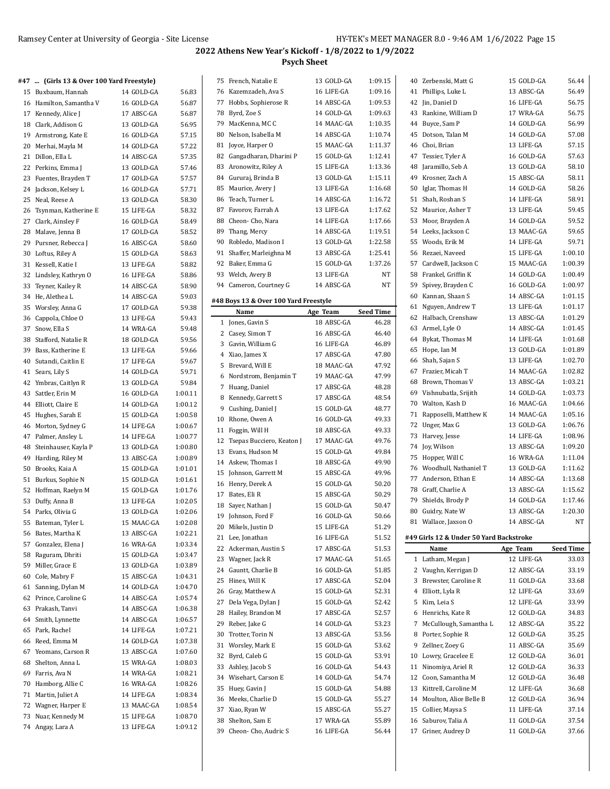#### **#47 ... (Girls 13 & Over 100 Yard Freestyle)**

| ., | $m$ (and to a over.     |            |         |
|----|-------------------------|------------|---------|
|    | 15 Buxbaum, Hannah      | 14 GOLD-GA | 56.83   |
|    | 16 Hamilton, Samantha V | 16 GOLD-GA | 56.87   |
|    | 17 Kennedy, Alice J     | 17 ABSC-GA | 56.87   |
| 18 | Clark, Addison G        | 13 GOLD-GA | 56.95   |
| 19 | Armstrong, Kate E       | 16 GOLD-GA | 57.15   |
| 20 | Merhai, Mayla M         | 14 GOLD-GA | 57.22   |
| 21 | Dillon, Ella L          | 14 ABSC-GA | 57.35   |
| 22 | Perkins, Emma J         | 13 GOLD-GA | 57.46   |
| 23 | Fuentes, Brayden T      | 17 GOLD-GA | 57.57   |
| 24 | Jackson, Kelsey L       | 16 GOLD-GA | 57.71   |
| 25 | Neal, Reese A           | 13 GOLD-GA | 58.30   |
| 26 | Tsynman, Katherine E    | 15 LIFE-GA | 58.32   |
| 27 | Clark, Ainsley F        | 16 GOLD-GA | 58.49   |
| 28 | Malave, Jenna B         | 17 GOLD-GA | 58.52   |
| 29 | Pursner, Rebecca J      | 16 ABSC-GA | 58.60   |
| 30 | Loftus, Riley A         | 15 GOLD-GA | 58.63   |
| 31 | Kessell, Katie I        | 13 LIFE-GA | 58.82   |
| 32 | Lindsley, Kathryn O     | 16 LIFE-GA | 58.86   |
| 33 | Teyner, Kailey R        | 14 ABSC-GA | 58.90   |
| 34 | He, Alethea L           | 14 ABSC-GA | 59.03   |
| 35 | Worsley, Anna G         | 17 GOLD-GA | 59.38   |
| 36 | Cappola, Chloe O        | 13 LIFE-GA | 59.43   |
| 37 | Snow, Ella S            | 14 WRA-GA  | 59.48   |
| 38 | Stafford, Natalie R     | 18 GOLD-GA | 59.56   |
| 39 | Bass, Katherine E       | 13 LIFE-GA | 59.66   |
| 40 | Sutandi, Caitlin E      | 17 LIFE-GA | 59.67   |
| 41 | Sears, Lily S           | 14 GOLD-GA | 59.71   |
| 42 | Ymbras, Caitlyn R       | 13 GOLD-GA | 59.84   |
| 43 | Sattler, Erin M         | 16 GOLD-GA | 1:00.11 |
| 44 | Elliott, Claire E       | 14 GOLD-GA | 1:00.12 |
| 45 | Hughes, Sarah E         | 15 GOLD-GA | 1:00.58 |
| 46 | Morton, Sydney G        | 14 LIFE-GA | 1:00.67 |
| 47 | Palmer, Ansley L        | 14 LIFE-GA | 1:00.77 |
| 48 | Steinhauser, Kayla P    | 13 GOLD-GA | 1:00.80 |
| 49 | Harding, Riley M        | 13 ABSC-GA | 1:00.89 |
| 50 | Brooks, Kaia A          | 15 GOLD-GA | 1:01.01 |
| 51 | Burkus, Sophie N        | 15 GOLD-GA | 1:01.61 |
| 52 | Hoffman, Raelyn M       | 15 GOLD-GA | 1:01.76 |
| 53 | Duffy, Anna B           | 13 LIFE-GA | 1:02.05 |
|    | 54 Parks, Olivia G      | 13 GOLD-GA | 1:02.06 |
| 55 | Bateman, Tyler L        | 15 MAAC-GA | 1:02.08 |
| 56 | Bates, Martha K         | 13 ABSC-GA | 1:02.21 |
| 57 | Gonzalez, Elena J       | 16 WRA-GA  | 1:03.34 |
| 58 | Raguram, Dhriti         | 15 GOLD-GA | 1:03.47 |
| 59 | Miller, Grace E         | 13 GOLD-GA | 1:03.89 |
| 60 | Cole, Mabry F           | 15 ABSC-GA | 1:04.31 |
| 61 | Sanning, Dylan M        | 14 GOLD-GA | 1:04.70 |
| 62 | Prince, Caroline G      | 14 ABSC-GA | 1:05.74 |
| 63 | Prakash, Tanvi          | 14 ABSC-GA | 1:06.38 |
| 64 | Smith, Lynnette         | 14 ABSC-GA | 1:06.57 |
| 65 | Park, Rachel            | 14 LIFE-GA | 1:07.21 |
| 66 | Reed, Emma M            | 14 GOLD-GA | 1:07.38 |
| 67 | Yeomans, Carson R       | 13 ABSC-GA | 1:07.60 |
| 68 | Shelton, Anna L         | 15 WRA-GA  | 1:08.03 |
| 69 | Farris, Ava N           | 14 WRA-GA  | 1:08.21 |
| 70 | Hamborg, Allie C        | 16 WRA-GA  | 1:08.26 |
| 71 | Martin, Juliet A        | 14 LIFE-GA | 1:08.34 |
| 72 | Wagner, Harper E        | 13 MAAC-GA | 1:08.54 |
| 73 | Nuar, Kennedy M         | 15 LIFE-GA | 1:08.70 |
| 74 | Angay, Lara A           | 13 LIFE-GA | 1:09.12 |

|    | 75 French, Natalie E                  | 13 GOLD-GA | 1:09.15            |    | 40 Zerbenski, Matt G                    | 15 GOLD-GA               | 56.44            |
|----|---------------------------------------|------------|--------------------|----|-----------------------------------------|--------------------------|------------------|
|    | 76 Kazemzadeh, Ava S                  | 16 LIFE-GA | 1:09.16            |    | 41 Phillips, Luke L                     | 13 ABSC-GA               | 56.49            |
| 77 | Hobbs, Sophierose R                   | 14 ABSC-GA | 1:09.53            |    | 42 Jin, Daniel D                        | 16 LIFE-GA               | 56.75            |
| 78 | Byrd, Zoe S                           | 14 GOLD-GA | 1:09.63            | 43 | Rankine, William D                      | 17 WRA-GA                | 56.75            |
| 79 | MacKenna, MC C                        | 14 MAAC-GA | 1:10.35            | 44 | Buyce, Sam P                            | 14 GOLD-GA               | 56.99            |
| 80 | Nelson, Isabella M                    | 14 ABSC-GA | 1:10.74            |    | 45 Dotson, Talan M                      | 14 GOLD-GA               | 57.08            |
| 81 | Joyce, Harper O                       | 15 MAAC-GA | 1:11.37            |    | 46 Choi, Brian                          | 13 LIFE-GA               | 57.15            |
| 82 | Gangadharan, Dharini P                | 15 GOLD-GA | 1:12.41            | 47 | Tessier, Tyler A                        | 16 GOLD-GA               | 57.63            |
| 83 | Aronowitz, Riley A                    | 15 LIFE-GA | 1:13.36            | 48 | Jaramillo, Seb A                        | 13 GOLD-GA               | 58.10            |
| 84 | Gururaj, Brinda B                     | 13 GOLD-GA | 1:15.11            | 49 | Krosner. Zach A                         | 15 ABSC-GA               | 58.11            |
|    | 85 Maurice, Avery J                   |            |                    | 50 | Iglar, Thomas H                         |                          | 58.26            |
|    |                                       | 13 LIFE-GA | 1:16.68<br>1:16.72 |    |                                         | 14 GOLD-GA<br>14 LIFE-GA |                  |
|    | 86 Teach, Turner L                    | 14 ABSC-GA |                    | 51 | Shah, Roshan S                          |                          | 58.91            |
| 87 | Favorov, Farrah A                     | 13 LIFE-GA | 1:17.62            | 52 | Maurice, Asher T                        | 13 LIFE-GA               | 59.45            |
| 88 | Cheon-Cho, Nara                       | 14 LIFE-GA | 1:17.66            | 53 | Moor, Brayden A                         | 14 GOLD-GA               | 59.52            |
| 89 | Thang, Mercy                          | 14 ABSC-GA | 1:19.51            | 54 | Leeks, Jackson C                        | 13 MAAC-GA               | 59.65            |
| 90 | Robledo, Madison I                    | 13 GOLD-GA | 1:22.58            |    | 55 Woods, Erik M                        | 14 LIFE-GA               | 59.71            |
| 91 | Shaffer, Marleighna M                 | 13 ABSC-GA | 1:25.41            |    | 56 Rezaei, Naveed                       | 15 LIFE-GA               | 1:00.10          |
|    | 92 Baker, Emma G                      | 15 GOLD-GA | 1:37.26            | 57 | Cardwell, Jackson C                     | 15 MAAC-GA               | 1:00.39          |
|    | 93 Welch, Avery B                     | 13 LIFE-GA | NT                 | 58 | Frankel, Griffin K                      | 14 GOLD-GA               | 1:00.49          |
| 94 | Cameron, Courtney G                   | 14 ABSC-GA | NT                 | 59 | Spivey, Brayden C                       | 16 GOLD-GA               | 1:00.97          |
|    | #48 Boys 13 & Over 100 Yard Freestyle |            |                    |    | 60 Kannan, Shaan S                      | 14 ABSC-GA               | 1:01.15          |
|    |                                       |            |                    | 61 | Nguyen, Andrew T                        | 13 LIFE-GA               | 1:01.17          |
|    | Name                                  | Age Team   | <b>Seed Time</b>   |    | 62 Halbach, Crenshaw                    | 13 ABSC-GA               | 1:01.29          |
|    | 1 Jones, Gavin S                      | 18 ABSC-GA | 46.28              |    | 63 Armel, Lyle O                        | 14 ABSC-GA               | 1:01.45          |
|    | 2 Casey, Simon T                      | 16 ABSC-GA | 46.40              |    | 64 Bykat, Thomas M                      | 14 LIFE-GA               | 1:01.68          |
|    | 3 Gavin, William G                    | 16 LIFE-GA | 46.89              |    | 65 Hope, Ian M                          | 13 GOLD-GA               | 1:01.89          |
|    | 4 Xiao, James X                       | 17 ABSC-GA | 47.80              |    | 66 Shah, Sajan S                        | 13 LIFE-GA               | 1:02.70          |
|    | 5 Brevard, Will E                     | 18 MAAC-GA | 47.92              |    | 67 Frazier, Micah T                     | 14 MAAC-GA               | 1:02.82          |
|    | 6 Nordstrom, Benjamin T               | 19 MAAC-GA | 47.99              |    | 68 Brown, Thomas V                      | 13 ABSC-GA               | 1:03.21          |
|    | 7 Huang, Daniel                       | 17 ABSC-GA | 48.28              | 69 | Vishnubatla, Srijith                    | 14 GOLD-GA               | 1:03.73          |
|    | 8 Kennedy, Garrett S                  | 17 ABSC-GA | 48.54              |    | 70 Walton, Kash D                       | 16 MAAC-GA               | 1:04.66          |
| 9  | Cushing, Daniel J                     | 15 GOLD-GA | 48.77              | 71 | Rapposelli, Matthew K                   | 14 MAAC-GA               | 1:05.16          |
| 10 | Rhone, Owen A                         | 16 GOLD-GA | 49.33              |    |                                         | 13 GOLD-GA               | 1:06.76          |
| 11 | Foggin, Will H                        | 18 ABSC-GA | 49.33              | 72 | Unger, Max G                            |                          |                  |
| 12 | Tsepas Bucciero, Keaton J             | 17 MAAC-GA | 49.76              | 73 | Harvey, Jesse                           | 14 LIFE-GA               | 1:08.96          |
|    | 13 Evans, Hudson M                    | 15 GOLD-GA | 49.84              | 74 | Joy, Wilson                             | 13 ABSC-GA               | 1:09.20          |
|    | 14 Askew, Thomas I                    | 18 ABSC-GA | 49.90              |    | 75 Hopper, Will C                       | 16 WRA-GA                | 1:11.04          |
| 15 | Johnson, Garrett M                    | 15 ABSC-GA | 49.96              | 76 | Woodhull, Nathaniel T                   | 13 GOLD-GA               | 1:11.62          |
| 16 | Henry, Derek A                        | 15 GOLD-GA | 50.20              | 77 | Anderson, Ethan E                       | 14 ABSC-GA               | 1:13.68          |
|    |                                       |            |                    |    | 78 Graff, Charlie A                     | 13 ABSC-GA               |                  |
| 17 | Bates, Eli R                          | 15 ABSC-GA | 50.29              |    |                                         |                          | 1:15.62          |
|    |                                       |            |                    | 79 | Shields, Brody P                        | 14 GOLD-GA               | 1:17.46          |
|    | 18 Sayer, Nathan J                    | 15 GOLD-GA | 50.47              |    | 80 Guidry, Nate W                       | 13 ABSC-GA               | 1:20.30          |
|    | 19 Johnson, Ford F                    | 16 GOLD-GA | 50.66              |    | 81 Wallace, Jaxson O                    | 14 ABSC-GA               | NΤ               |
|    | 20 Mikels, Justin D                   | 15 LIFE-GA | 51.29              |    |                                         |                          |                  |
|    | 21 Lee, Jonathan                      | 16 LIFE-GA | 51.52              |    | #49 Girls 12 & Under 50 Yard Backstroke |                          |                  |
| 22 | Ackerman, Austin S                    | 17 ABSC-GA | 51.53              |    | Name                                    | Age Team                 | <b>Seed Time</b> |
| 23 | Wagner, Jack R                        | 17 MAAC-GA | 51.65              |    | 1 Latham, Megan J                       | 12 LIFE-GA               | 33.03            |
| 24 | Gauntt, Charlie B                     | 16 GOLD-GA | 51.85              |    | 2 Vaughn, Kerrigan D                    | 12 ABSC-GA               | 33.19            |
| 25 | Hines, Will K                         | 17 ABSC-GA | 52.04              |    | 3 Brewster, Caroline R                  | 11 GOLD-GA               | 33.68            |
| 26 | Gray, Matthew A                       | 15 GOLD-GA | 52.31              |    | 4 Elliott, Lyla R                       | 12 LIFE-GA               | 33.69            |
| 27 | Dela Vega, Dylan J                    | 15 GOLD-GA | 52.42              |    | 5 Kim, Leia S                           | 12 LIFE-GA               | 33.99            |
| 28 | Hailey, Brandon M                     | 17 ABSC-GA | 52.57              |    | 6 Henrichs, Kate R                      | 12 GOLD-GA               | 34.83            |
| 29 | Reber, Jake G                         | 14 GOLD-GA | 53.23              | 7  | McCullough, Samantha L                  | 12 ABSC-GA               | 35.22            |
| 30 | Trotter, Torin N                      | 13 ABSC-GA | 53.56              |    | 8 Porter, Sophie R                      | 12 GOLD-GA               | 35.25            |
| 31 | Worsley, Mark E                       | 15 GOLD-GA | 53.62              | 9  | Zellner, Zoev G                         | 11 ABSC-GA               | 35.69            |
| 32 | Byrd, Caleb G                         | 15 GOLD-GA | 53.91              | 10 | Lowry, Gracelee E                       | 12 GOLD-GA               | 36.01            |
| 33 | Ashley, Jacob S                       | 16 GOLD-GA | 54.43              | 11 | Ninomiya, Ariel R                       | 12 GOLD-GA               | 36.33            |
| 34 | Wisehart, Carson E                    | 14 GOLD-GA | 54.74              | 12 | Coon, Samantha M                        | 12 GOLD-GA               | 36.48            |
| 35 | Huey, Gavin J                         | 15 GOLD-GA | 54.88              | 13 | Kittrell, Caroline M                    | 12 LIFE-GA               | 36.68            |
| 36 | Meeks, Charlie D                      | 15 GOLD-GA | 55.27              | 14 | Moulton, Alice Belle B                  | 12 GOLD-GA               | 36.94            |
| 37 | Xiao, Ryan W                          | 15 ABSC-GA | 55.27              | 15 | Collier, Maysa S                        | 11 LIFE-GA               | 37.14            |
| 38 | Shelton, Sam E                        | 17 WRA-GA  | 55.89              | 16 | Saburov, Talia A                        | 11 GOLD-GA               | 37.54            |
| 39 | Cheon-Cho, Audric S                   | 16 LIFE-GA | 56.44              | 17 | Griner, Audrey D                        | 11 GOLD-GA               | 37.66            |

<u>.</u>

| 40 | Zerbenski, Matt G                             | 15 GOLD-GA               | 56.44              |
|----|-----------------------------------------------|--------------------------|--------------------|
| 41 | Phillips, Luke L                              | 13 ABSC-GA               | 56.49              |
| 42 | Jin, Daniel D                                 | 16 LIFE-GA               | 56.75              |
| 43 | Rankine, William D                            | 17 WRA-GA                | 56.75              |
|    | 44 Buyce, Sam P                               | 14 GOLD-GA               | 56.99              |
| 45 | Dotson, Talan M                               | 14 GOLD-GA               | 57.08              |
| 46 | Choi, Brian                                   | 13 LIFE-GA               | 57.15              |
| 47 | Tessier, Tyler A                              | 16 GOLD-GA               | 57.63              |
| 48 | Jaramillo, Seb A                              | 13 GOLD-GA               | 58.10              |
| 49 | Krosner, Zach A                               | 15 ABSC-GA               | 58.11              |
| 50 | Iglar, Thomas H                               | 14 GOLD-GA               | 58.26              |
| 51 | Shah, Roshan S                                | 14 LIFE-GA               | 58.91              |
| 52 | Maurice, Asher T                              | 13 LIFE-GA               | 59.45              |
| 53 | Moor, Brayden A                               | 14 GOLD-GA               | 59.52              |
|    | 54 Leeks, Jackson C                           | 13 MAAC-GA               | 59.65              |
| 55 | Woods, Erik M                                 | 14 LIFE-GA               | 59.71              |
| 56 | Rezaei, Naveed                                | 15 LIFE-GA               | 1:00.10            |
| 57 | Cardwell, Jackson C                           | 15 MAAC-GA               | 1:00.39            |
|    | 58 Frankel, Griffin K                         | 14 GOLD-GA               | 1:00.49            |
| 59 | Spivey, Brayden C                             | 16 GOLD-GA               | 1:00.97            |
| 60 | Kannan, Shaan S                               | 14 ABSC-GA               | 1:01.15            |
| 61 | Nguyen, Andrew T                              | 13 LIFE-GA               | 1:01.17            |
| 62 | Halbach, Crenshaw                             | 13 ABSC-GA               | 1:01.29            |
| 63 | Armel, Lyle O                                 | 14 ABSC-GA               | 1:01.45            |
|    | 64 Bykat, Thomas M                            | 14 LIFE-GA               | 1:01.68            |
| 65 | Hope, Ian M                                   | 13 GOLD-GA               | 1:01.89            |
| 66 | Shah, Sajan S                                 | 13 LIFE-GA               | 1:02.70            |
| 67 | Frazier, Micah T                              | 14 MAAC-GA               | 1:02.82            |
| 68 | Brown, Thomas V                               | 13 ABSC-GA               | 1:03.21            |
|    | 69 Vishnubatla, Srijith                       | 14 GOLD-GA               | 1:03.73            |
|    |                                               | 16 MAAC-GA               |                    |
| 70 | Walton, Kash D                                | 14 MAAC-GA               | 1:04.66<br>1:05.16 |
| 71 | Rapposelli, Matthew K                         |                          |                    |
| 72 | Unger, Max G                                  | 13 GOLD-GA               | 1:06.76            |
| 73 | Harvey, Jesse                                 | 14 LIFE-GA               | 1:08.96            |
|    | 74 Joy, Wilson                                | 13 ABSC-GA               | 1:09.20            |
| 75 | Hopper, Will C                                | 16 WRA-GA                | 1:11.04            |
| 76 | Woodhull, Nathaniel T<br>77 Anderson, Ethan E | 13 GOLD-GA               | 1:11.62<br>1:13.68 |
|    |                                               | 14 ABSC-GA<br>13 ABSC-GA |                    |
|    | 78 Graff, Charlie A                           |                          | 1:15.62            |
| 79 | Shields, Brody P                              | 14 GOLD-GA<br>13 ABSC-GA | 1:17.46            |
|    | 80 Guidry, Nate W                             | 14 ABSC-GA               | 1:20.30<br>NT      |
|    | 81 Wallace, Jaxson O                          |                          |                    |
|    | #49 Girls 12 & Under 50 Yard Backstroke       |                          |                    |
|    | Name                                          | Age Team                 | <b>Seed Time</b>   |
| 1  | Latham, Megan J                               | 12 LIFE-GA               | 33.03              |
| 2  | Vaughn, Kerrigan D                            | 12 ABSC-GA               | 33.19              |
| 3  | Brewster, Caroline R                          | 11 GOLD-GA               | 33.68              |
|    | 4 Elliott, Lyla R                             | 12 LIFE-GA               | 33.69              |
| 5  | Kim, Leia S                                   | 12 LIFE-GA               | 33.99              |
| 6  | Henrichs, Kate R                              | 12 GOLD-GA               | 34.83              |
| 7  | McCullough, Samantha L                        | 12 ABSC-GA               | 35.22              |
| 8  | Porter, Sophie R                              | 12 GOLD-GA               | 35.25              |
| 9  | Zellner, Zoev G                               | 11 ABSC-GA               | 35.69              |
| 10 | Lowry, Gracelee E                             | 12 GOLD-GA               | 36.01              |
| 11 | Ninomiya, Ariel R                             | 12 GOLD-GA               | 36.33              |
| 12 | Coon, Samantha M                              | 12 GOLD-GA               | 36.48              |
| 13 | Kittrell, Caroline M                          | 12 LIFE-GA               | 36.68              |
| 14 | Moulton, Alice Belle B                        | 12 GOLD-GA               | 36.94              |
|    |                                               |                          |                    |
| 15 | Collier, Maysa S                              | 11 LIFE-GA               | 37.14              |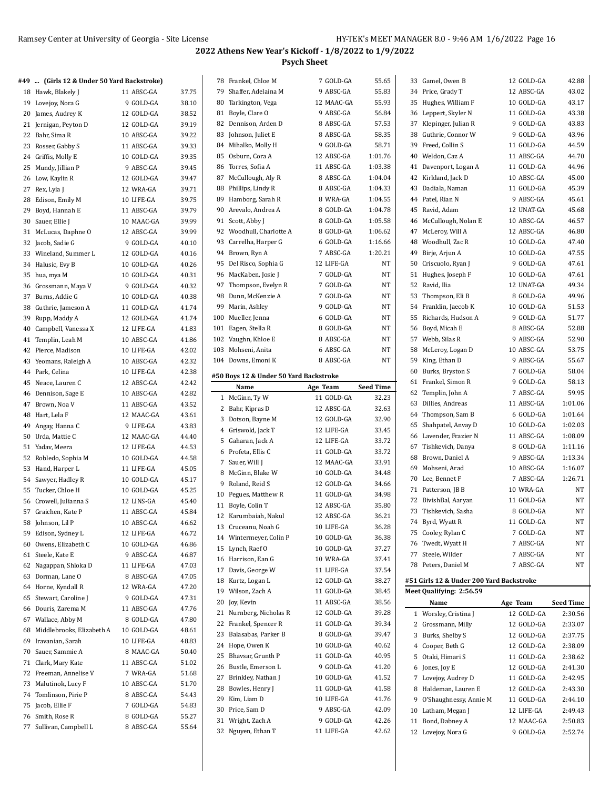| #49  (Girls 12 & Under 50 Yard Backstroke) |            |       |    | 78 Frankel, Chloe M                    | 7 GOLD-GA  | 55.65            | 33 Gamel, Owen B                         | 12 GOLD-GA              | 42.88            |
|--------------------------------------------|------------|-------|----|----------------------------------------|------------|------------------|------------------------------------------|-------------------------|------------------|
| 18 Hawk, Blakely J                         | 11 ABSC-GA | 37.75 |    | 79 Shaffer, Adelaina M                 | 9 ABSC-GA  | 55.83            | 34 Price, Grady T                        | 12 ABSC-GA              | 43.02            |
| 19 Lovejoy, Nora G                         | 9 GOLD-GA  | 38.10 |    | 80 Tarkington, Vega                    | 12 MAAC-GA | 55.93            | 35 Hughes, William F                     | 10 GOLD-GA              | 43.17            |
| 20 James, Audrey K                         | 12 GOLD-GA | 38.52 |    | 81 Boyle, Clare O                      | 9 ABSC-GA  | 56.84            | 36 Leppert, Skyler N                     | 11 GOLD-GA              | 43.38            |
| 21 Jernigan, Peyton D                      | 12 GOLD-GA | 39.19 |    | 82 Dennison, Arden D                   | 8 ABSC-GA  | 57.53            | 37 Klepinger, Julian R                   | 9 GOLD-GA               | 43.83            |
| 22 Bahr, Sima R                            | 10 ABSC-GA | 39.22 |    | 83 Johnson, Juliet E                   | 8 ABSC-GA  | 58.35            | 38 Guthrie, Connor W                     | 9 GOLD-GA               | 43.96            |
| 23 Rosser, Gabby S                         | 11 ABSC-GA | 39.33 |    | 84 Mihalko, Molly H                    | 9 GOLD-GA  | 58.71            | 39 Freed, Collin S                       | 11 GOLD-GA              | 44.59            |
| 24 Griffis, Molly E                        | 10 GOLD-GA | 39.35 |    | 85 Osburn, Cora A                      | 12 ABSC-GA | 1:01.76          | 40 Weldon, Caz A                         | 11 ABSC-GA              | 44.70            |
| 25 Mundy, Jillian P                        | 9 ABSC-GA  | 39.45 |    | 86 Torres, Sofia A                     | 11 ABSC-GA | 1:03.38          | 41 Davenport, Logan A                    | 11 GOLD-GA              | 44.96            |
| 26 Low, Kaylin R                           | 12 GOLD-GA | 39.47 |    | 87 McCullough, Aly R                   | 8 ABSC-GA  | 1:04.04          | 42 Kirkland, Jack D                      | 10 ABSC-GA              | 45.00            |
| 27 Rex, Lyla J                             | 12 WRA-GA  | 39.71 | 88 | Phillips, Lindy R                      | 8 ABSC-GA  | 1:04.33          | 43 Dadiala, Naman                        | 11 GOLD-GA              | 45.39            |
| 28 Edison, Emily M                         | 10 LIFE-GA | 39.75 |    | 89 Hamborg, Sarah R                    | 8 WRA-GA   | 1:04.55          | 44 Patel, Rian N                         | 9 ABSC-GA               | 45.61            |
| 29 Boyd, Hannah E                          | 11 ABSC-GA | 39.79 |    | 90 Arevalo, Andrea A                   | 8 GOLD-GA  | 1:04.78          | 45 Ravid, Adam                           | 12 UNAT-GA              | 45.68            |
| 30 Sauer, Ellie J                          | 10 MAAC-GA | 39.99 |    | 91 Scott, Abby J                       | 8 GOLD-GA  | 1:05.58          | 46 McCullough, Nolan E                   | 10 ABSC-GA              | 46.57            |
| 31 McLucas, Daphne O                       | 12 ABSC-GA | 39.99 |    | 92 Woodhull, Charlotte A               | 8 GOLD-GA  | 1:06.62          | 47 McLeroy, Will A                       | 12 ABSC-GA              | 46.80            |
| 32 Jacob, Sadie G                          | 9 GOLD-GA  | 40.10 |    | 93 Carrelha, Harper G                  | 6 GOLD-GA  | 1:16.66          | 48 Woodhull, Zac R                       | 10 GOLD-GA              | 47.40            |
| 33 Wineland, Summer L                      | 12 GOLD-GA | 40.16 |    | 94 Brown, Ryn A                        | 7 ABSC-GA  | 1:20.21          | 49 Birje, Arjun A                        | 10 GOLD-GA              | 47.55            |
|                                            | 10 GOLD-GA | 40.26 |    | 95 Del Risco, Sophia G                 | 12 LIFE-GA | NT               | 50 Criscuolo, Ryan J                     | 9 GOLD-GA               | 47.61            |
| 34 Halusic, Evy B                          |            |       |    | 96 MacKaben, Josie J                   | 7 GOLD-GA  | NT               | 51 Hughes, Joseph F                      | 10 GOLD-GA              | 47.61            |
| 35 hua, mya M                              | 10 GOLD-GA | 40.31 |    | 97 Thompson, Evelyn R                  | 7 GOLD-GA  | NT               | 52 Ravid, Ilia                           | 12 UNAT-GA              | 49.34            |
| 36 Grossmann, Maya V                       | 9 GOLD-GA  | 40.32 | 98 |                                        |            | NT               |                                          |                         | 49.96            |
| 37 Burns, Addie G                          | 10 GOLD-GA | 40.38 |    | Dunn, McKenzie A                       | 7 GOLD-GA  | NT               | 53 Thompson, Eli B                       | 8 GOLD-GA<br>10 GOLD-GA | 51.53            |
| 38 Guthrie, Jameson A                      | 11 GOLD-GA | 41.74 |    | 99 Marin, Ashley                       | 9 GOLD-GA  | NT               | 54 Franklin, Jaecob K                    |                         |                  |
| 39 Rupp, Maddy A                           | 12 GOLD-GA | 41.74 |    | 100 Mueller, Jenna                     | 6 GOLD-GA  |                  | 55 Richards, Hudson A                    | 9 GOLD-GA               | 51.77            |
| 40 Campbell, Vanessa X                     | 12 LIFE-GA | 41.83 |    | 101 Eagen, Stella R                    | 8 GOLD-GA  | NT               | 56 Boyd, Micah E                         | 8 ABSC-GA               | 52.88            |
| 41 Templin, Leah M                         | 10 ABSC-GA | 41.86 |    | 102 Vaughn, Khloe E                    | 8 ABSC-GA  | NT               | 57 Webb, Silas R                         | 9 ABSC-GA               | 52.90            |
| 42 Pierce, Madison                         | 10 LIFE-GA | 42.02 |    | 103 Mohseni, Anita                     | 6 ABSC-GA  | NT               | 58 McLeroy, Logan D                      | 10 ABSC-GA              | 53.75            |
| 43 Yeomans, Raleigh A                      | 10 ABSC-GA | 42.32 |    | 104 Downs, Emoni K                     | 8 ABSC-GA  | NT               | 59 King, Ethan D                         | 9 ABSC-GA               | 55.67            |
| 44 Park, Celina                            | 10 LIFE-GA | 42.38 |    | #50 Boys 12 & Under 50 Yard Backstroke |            |                  | 60 Burks, Bryston S                      | 7 GOLD-GA               | 58.04            |
| 45 Neace, Lauren C                         | 12 ABSC-GA | 42.42 |    | Name                                   | Age Team   | <b>Seed Time</b> | 61 Frankel, Simon R                      | 9 GOLD-GA               | 58.13            |
| 46 Dennison, Sage E                        | 10 ABSC-GA | 42.82 |    | 1 McGinn, Ty W                         | 11 GOLD-GA | 32.23            | 62 Templin, John A                       | 7 ABSC-GA               | 59.95            |
| 47 Brown, Noa V                            | 11 ABSC-GA | 43.52 |    | 2 Bahr, Kipras D                       | 12 ABSC-GA | 32.63            | 63 Dillies, Andreas                      | 11 ABSC-GA              | 1:01.06          |
| 48 Hart, Lela F                            | 12 MAAC-GA | 43.61 |    | 3 Dotson, Bayne M                      | 12 GOLD-GA | 32.90            | 64 Thompson, Sam B                       | 6 GOLD-GA               | 1:01.64          |
| 49 Angay, Hanna C                          | 9 LIFE-GA  | 43.83 |    | 4 Griswold, Jack T                     | 12 LIFE-GA | 33.45            | 65 Shahpatel, Anvay D                    | 10 GOLD-GA              | 1:02.03          |
| 50 Urda, Mattie C                          | 12 MAAC-GA | 44.40 |    | 5 Gaharan, Jack A                      | 12 LIFE-GA | 33.72            | 66 Lavender, Frazier N                   | 11 ABSC-GA              | 1:08.09          |
| 51 Yadav, Meera                            | 12 LIFE-GA | 44.53 |    | 6 Profeta, Ellis C                     | 11 GOLD-GA | 33.72            | 67 Tishkevich, Danya                     | 8 GOLD-GA               | 1:11.16          |
| 52 Robledo, Sophia M                       | 10 GOLD-GA | 44.58 |    | 7 Sauer, Will J                        | 12 MAAC-GA | 33.91            | 68 Brown, Daniel A                       | 9 ABSC-GA               | 1:13.34          |
| 53 Hand, Harper L                          | 11 LIFE-GA | 45.05 |    | 8 McGinn, Blake W                      | 10 GOLD-GA | 34.48            | 69 Mohseni, Arad                         | 10 ABSC-GA              | 1:16.07          |
| 54 Sawyer, Hadley R                        | 10 GOLD-GA | 45.17 |    | 9 Roland, Reid S                       | 12 GOLD-GA | 34.66            | 70 Lee, Bennet F                         | 7 ABSC-GA               | 1:26.71          |
| 55 Tucker, Chloe H                         | 10 GOLD-GA | 45.25 |    | 10 Pegues, Matthew R                   | 11 GOLD-GA | 34.98            | 71 Patterson, JB B                       | 10 WRA-GA               | NT               |
| 56 Crowell, Julianna S                     | 12 LINS-GA | 45.40 |    | 11 Boyle, Colin T                      | 12 ABSC-GA | 35.80            | 72 BivishBal, Aaryan                     | 11 GOLD-GA              | NT               |
| 57 Graichen, Kate P                        | 11 ABSC-GA | 45.84 |    | 12 Karumbaiah, Nakul                   | 12 ABSC-GA | 36.21            | 73 Tishkevich, Sasha                     | 8 GOLD-GA               | NT               |
| 58 Johnson, Lil P                          | 10 ABSC-GA | 46.62 |    | 13 Cruceanu, Noah G                    | 10 LIFE-GA | 36.28            | 74 Byrd, Wyatt R                         | 11 GOLD-GA              | NT               |
| 59 Edison, Sydney L                        | 12 LIFE-GA | 46.72 |    | 14 Wintermeyer, Colin P                | 10 GOLD-GA | 36.38            | 75 Cooley, Rylan C                       | 7 GOLD-GA               | NT               |
| 60 Owens, Elizabeth C                      | 10 GOLD-GA | 46.86 |    | 15 Lynch, Raef O                       | 10 GOLD-GA | 37.27            | 76 Twedt, Wyatt H                        | 7 ABSC-GA               | $_{\rm NT}$      |
| 61 Steele, Kate E                          | 9 ABSC-GA  | 46.87 |    | 16 Harrison, Ean G                     | 10 WRA-GA  | 37.41            | 77 Steele, Wilder                        | 7 ABSC-GA               | $_{\rm NT}$      |
| 62 Nagappan, Shloka D                      | 11 LIFE-GA | 47.03 |    | 17 Davis, George W                     | 11 LIFE-GA | 37.54            | 78 Peters, Daniel M                      | 7 ABSC-GA               | NT               |
| 63 Dorman, Lane O                          | 8 ABSC-GA  | 47.05 |    | 18 Kurtz, Logan L                      | 12 GOLD-GA | 38.27            | #51 Girls 12 & Under 200 Yard Backstroke |                         |                  |
| 64 Horne, Kyndall R                        | 12 WRA-GA  | 47.20 |    | 19 Wilson, Zach A                      | 11 GOLD-GA | 38.45            | Meet Qualifying: 2:56.59                 |                         |                  |
| 65 Stewart, Caroline J                     | 9 GOLD-GA  | 47.31 |    | 20 Joy, Kevin                          | 11 ABSC-GA | 38.56            |                                          |                         |                  |
| 66 Douris, Zarema M                        | 11 ABSC-GA | 47.76 |    |                                        |            |                  | Name                                     | Age Team                | <b>Seed Time</b> |
| 67 Wallace, Abby M                         | 8 GOLD-GA  | 47.80 |    | 21 Nurnberg, Nicholas R                | 12 GOLD-GA | 39.28            | 1 Worsley, Cristina J                    | 12 GOLD-GA              | 2:30.56          |
| 68 Middlebrooks, Elizabeth A               | 10 GOLD-GA | 48.61 |    | 22 Frankel, Spencer R                  | 11 GOLD-GA | 39.34            | 2 Grossmann, Milly                       | 12 GOLD-GA              | 2:33.07          |
| 69 Iravanian, Sarah                        | 10 LIFE-GA | 48.83 |    | 23 Balasabas, Parker B                 | 8 GOLD-GA  | 39.47            | 3 Burks, Shelby S                        | 12 GOLD-GA              | 2:37.75          |
| 70 Sauer, Sammie A                         | 8 MAAC-GA  | 50.40 |    | 24 Hope, Owen K                        | 10 GOLD-GA | 40.62            | 4 Cooper, Beth G                         | 12 GOLD-GA              | 2:38.09          |
| 71 Clark, Mary Kate                        | 11 ABSC-GA | 51.02 |    | 25 Bhavsar, Grunth P                   | 11 GOLD-GA | 40.95            | 5 Otaki, Himari S                        | 11 GOLD-GA              | 2:38.62          |
| 72 Freeman, Annelise V                     | 7 WRA-GA   | 51.68 |    | 26 Bustle, Emerson L                   | 9 GOLD-GA  | 41.20            | 6 Jones, Joy E                           | 12 GOLD-GA              | 2:41.30          |
| 73 Malutinok, Lucy F                       | 10 ABSC-GA | 51.70 |    | 27 Brinkley, Nathan J                  | 10 GOLD-GA | 41.52            | 7 Lovejoy, Audrey D                      | 11 GOLD-GA              | 2:42.95          |
| 74 Tomlinson, Pirie P                      | 8 ABSC-GA  | 54.43 |    | 28 Bowles, Henry J                     | 11 GOLD-GA | 41.58            | 8 Haldeman, Lauren E                     | 12 GOLD-GA              | 2:43.30          |
| 75 Jacob, Ellie F                          | 7 GOLD-GA  | 54.83 |    | 29 Kim, Liam D                         | 10 LIFE-GA | 41.76            | 9 O'Shaughnessy, Annie M                 | 11 GOLD-GA              | 2:44.10          |
| 76 Smith, Rose R                           | 8 GOLD-GA  | 55.27 |    | 30 Price, Sam D                        | 9 ABSC-GA  | 42.09            | 10 Latham, Megan J                       | 12 LIFE-GA              | 2:49.43          |
| 77 Sullivan, Campbell L                    | 8 ABSC-GA  | 55.64 |    | 31 Wright, Zach A                      | 9 GOLD-GA  | 42.26            | 11 Bond, Dabney A                        | 12 MAAC-GA              | 2:50.83          |
|                                            |            |       |    | 32 Nguyen, Ethan T                     | 11 LIFE-GA | 42.62            | 12 Lovejoy, Nora G                       | 9 GOLD-GA               | 2:52.74          |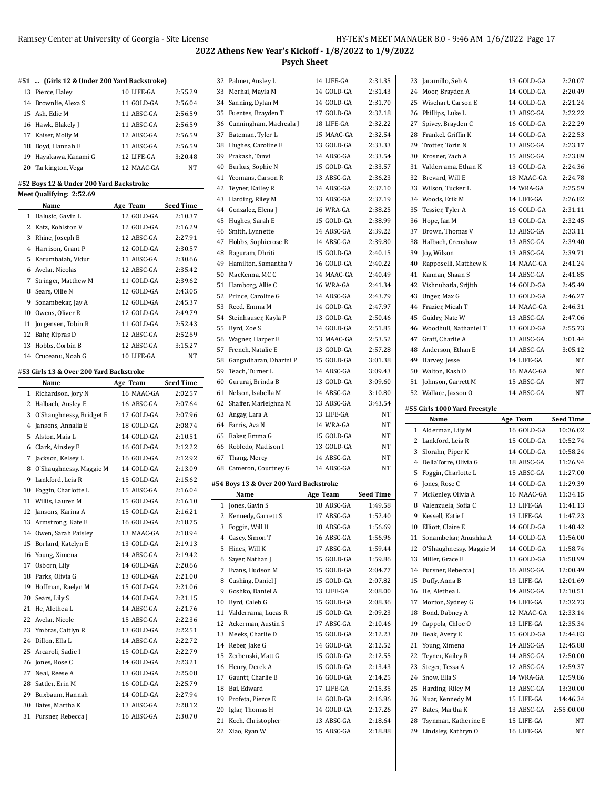| #51  (Girls 12 & Under 200 Yard Backstroke)                         |            |                                                                                                                                                                                                                                                         |
|---------------------------------------------------------------------|------------|---------------------------------------------------------------------------------------------------------------------------------------------------------------------------------------------------------------------------------------------------------|
|                                                                     |            |                                                                                                                                                                                                                                                         |
| 13 Pierce, Haley                                                    | 10 LIFE-GA | 2:55.29                                                                                                                                                                                                                                                 |
| 14 Brownlie, Alexa S                                                | 11 GOLD-GA | 2:56.04                                                                                                                                                                                                                                                 |
| 15 Ash, Edie M                                                      | 11 ABSC-GA | 2:56.59                                                                                                                                                                                                                                                 |
| 16 Hawk, Blakely J                                                  | 11 ABSC-GA | 2:56.59                                                                                                                                                                                                                                                 |
| 17 Kaiser, Molly M                                                  | 12 ABSC-GA | 2:56.59                                                                                                                                                                                                                                                 |
| 18 Boyd, Hannah E                                                   | 11 ABSC-GA | 2:56.59                                                                                                                                                                                                                                                 |
| 19 Hayakawa, Kanami G                                               | 12 LIFE-GA | 3:20.48                                                                                                                                                                                                                                                 |
| 20 Tarkington, Vega                                                 | 12 MAAC-GA | NT                                                                                                                                                                                                                                                      |
| #52 Boys 12 & Under 200 Yard Backstroke<br>Meet Qualifying: 2:52.69 |            |                                                                                                                                                                                                                                                         |
| Name                                                                | Age Team   | Seed Time                                                                                                                                                                                                                                               |
| 1 Halusic, Gavin L                                                  | 12 GOLD-GA | 2:10.37                                                                                                                                                                                                                                                 |
| 2 Katz, Kohlston V                                                  | 12 GOLD-GA | 2:16.29                                                                                                                                                                                                                                                 |
| 3 Rhine, Joseph B                                                   | 12 ABSC-GA | 2:27.91                                                                                                                                                                                                                                                 |
| 4 Harrison, Grant P                                                 | 12 GOLD-GA | 2:30.57                                                                                                                                                                                                                                                 |
| 5 Karumbaiah, Vidur                                                 | 11 ABSC-GA | 2:30.66                                                                                                                                                                                                                                                 |
| 6 Avelar, Nicolas                                                   | 12 ABSC-GA | 2:35.42                                                                                                                                                                                                                                                 |
| 7 Stringer, Matthew M                                               | 11 GOLD-GA | 2:39.62                                                                                                                                                                                                                                                 |
| 8 Sears, Ollie N                                                    | 12 GOLD-GA | 2:43.05                                                                                                                                                                                                                                                 |
| 9 Sonambekar, Jay A                                                 | 12 GOLD-GA | 2:45.37                                                                                                                                                                                                                                                 |
| 10 Owens, Oliver R                                                  | 12 GOLD-GA | 2:49.79                                                                                                                                                                                                                                                 |
| 11 Jorgensen, Tobin R                                               | 11 GOLD-GA | 2:52.43                                                                                                                                                                                                                                                 |
| 12 Bahr, Kipras D                                                   | 12 ABSC-GA | 2:52.69                                                                                                                                                                                                                                                 |
| 13 Hobbs, Corbin B                                                  | 12 ABSC-GA | 3:15.27                                                                                                                                                                                                                                                 |
| 14 Cruceanu, Noah G                                                 | 10 LIFE-GA | NT                                                                                                                                                                                                                                                      |
|                                                                     |            |                                                                                                                                                                                                                                                         |
|                                                                     |            |                                                                                                                                                                                                                                                         |
| #53 Girls 13 & Over 200 Yard Backstroke                             |            |                                                                                                                                                                                                                                                         |
| Name                                                                | Age Team   |                                                                                                                                                                                                                                                         |
| 1 Richardson, Jory N                                                | 16 MAAC-GA |                                                                                                                                                                                                                                                         |
| 2 Halbach, Ansley E                                                 | 16 ABSC-GA |                                                                                                                                                                                                                                                         |
| 3 O'Shaughnessy, Bridget E                                          | 17 GOLD-GA |                                                                                                                                                                                                                                                         |
| 4 Jansons, Annalia E                                                | 18 GOLD-GA |                                                                                                                                                                                                                                                         |
| 5 Alston, Maia L                                                    | 14 GOLD-GA |                                                                                                                                                                                                                                                         |
| 6 Clark, Ainsley F                                                  | 16 GOLD-GA |                                                                                                                                                                                                                                                         |
| 7 Jackson, Kelsey L                                                 | 16 GOLD-GA |                                                                                                                                                                                                                                                         |
| 8 O'Shaughnessy, Maggie M                                           | 14 GOLD-GA |                                                                                                                                                                                                                                                         |
| 9 Lankford, Leia R                                                  | 15 GOLD-GA |                                                                                                                                                                                                                                                         |
| 10 Foggin, Charlotte L                                              | 15 ABSC-GA |                                                                                                                                                                                                                                                         |
| 11 Willis, Lauren M                                                 | 15 GOLD-GA |                                                                                                                                                                                                                                                         |
| 12 Jansons, Karina A                                                | 15 GOLD-GA |                                                                                                                                                                                                                                                         |
| 13 Armstrong, Kate E                                                | 16 GOLD-GA |                                                                                                                                                                                                                                                         |
| 14 Owen, Sarah Paisley                                              | 13 MAAC-GA |                                                                                                                                                                                                                                                         |
| 15 Borland, Katelyn E                                               | 13 GOLD-GA |                                                                                                                                                                                                                                                         |
| 16 Young, Ximena                                                    | 14 ABSC-GA |                                                                                                                                                                                                                                                         |
| 17 Osborn, Lily                                                     | 14 GOLD-GA |                                                                                                                                                                                                                                                         |
| 18 Parks, Olivia G                                                  | 13 GOLD-GA |                                                                                                                                                                                                                                                         |
| 19 Hoffman, Raelyn M                                                | 15 GOLD-GA |                                                                                                                                                                                                                                                         |
| 20 Sears, Lily S                                                    | 14 GOLD-GA |                                                                                                                                                                                                                                                         |
| 21 He, Alethea L                                                    | 14 ABSC-GA | <b>Seed Time</b><br>2:02.57<br>2:07.64<br>2:07.96<br>2:08.74<br>2:10.51<br>2:12.22<br>2:12.92<br>2:13.09<br>2:15.62<br>2:16.04<br>2:16.10<br>2:16.21<br>2:18.75<br>2:18.94<br>2:19.13<br>2:19.42<br>2:20.66<br>2:21.00<br>2:21.06<br>2:21.15<br>2:21.76 |
| 22 Avelar, Nicole                                                   | 15 ABSC-GA | 2:22.36                                                                                                                                                                                                                                                 |
| 23 Ymbras, Caitlyn R                                                | 13 GOLD-GA | 2:22.51                                                                                                                                                                                                                                                 |
| 24 Dillon, Ella L                                                   | 14 ABSC-GA |                                                                                                                                                                                                                                                         |
| 25 Arcaroli, Sadie I                                                | 15 GOLD-GA |                                                                                                                                                                                                                                                         |
| 26 Jones, Rose C                                                    | 14 GOLD-GA |                                                                                                                                                                                                                                                         |
| 27 Neal, Reese A                                                    | 13 GOLD-GA | 2:22.72<br>2:22.79<br>2:23.21<br>2:25.08                                                                                                                                                                                                                |
| 28 Sattler, Erin M                                                  | 16 GOLD-GA | 2:25.79                                                                                                                                                                                                                                                 |
| 29 Buxbaum, Hannah                                                  | 14 GOLD-GA |                                                                                                                                                                                                                                                         |
| 30 Bates, Martha K                                                  | 13 ABSC-GA | 2:27.94<br>2:28.12                                                                                                                                                                                                                                      |

|    | 32 Palmer, Ansley L                        | 14 LIFE-GA               | 2:31.35            |  |
|----|--------------------------------------------|--------------------------|--------------------|--|
|    | 33 Merhai, Mayla M                         | 14 GOLD-GA               | 2:31.43            |  |
|    | 34 Sanning, Dylan M                        | 14 GOLD-GA               | 2:31.70            |  |
|    | 35 Fuentes, Brayden T                      | 17 GOLD-GA               | 2:32.18            |  |
|    | 36 Cunningham, Macheala J                  | 18 LIFE-GA               | 2:32.22            |  |
|    | 37 Bateman, Tyler L                        | 15 MAAC-GA               | 2:32.54            |  |
|    | 38 Hughes, Caroline E                      | 13 GOLD-GA               | 2:33.33            |  |
|    | 39 Prakash, Tanvi                          | 14 ABSC-GA               | 2:33.54            |  |
|    | 40 Burkus, Sophie N                        | 15 GOLD-GA               | 2:33.57            |  |
|    | 41 Yeomans, Carson R                       | 13 ABSC-GA               | 2:36.23            |  |
|    | 42 Teyner, Kailey R                        | 14 ABSC-GA               | 2:37.10            |  |
|    | 43 Harding, Riley M                        | 13 ABSC-GA               | 2:37.19            |  |
|    | 44 Gonzalez, Elena J                       | 16 WRA-GA                | 2:38.25            |  |
|    | 45 Hughes, Sarah E                         | 15 GOLD-GA               | 2:38.99            |  |
|    | 46 Smith, Lynnette                         | 14 ABSC-GA               | 2:39.22            |  |
|    | 47 Hobbs, Sophierose R                     | 14 ABSC-GA               | 2:39.80            |  |
|    | 48 Raguram, Dhriti                         | 15 GOLD-GA               | 2:40.15            |  |
|    | 49 Hamilton, Samantha V                    | 16 GOLD-GA               | 2:40.22            |  |
|    | 50 MacKenna, MCC                           | 14 MAAC-GA               | 2:40.49            |  |
|    | 51 Hamborg, Allie C                        | 16 WRA-GA                | 2:41.34            |  |
|    | 52 Prince, Caroline G                      | 14 ABSC-GA               | 2:43.79            |  |
|    | 53 Reed, Emma M                            | 14 GOLD-GA               | 2:47.97            |  |
|    | 54 Steinhauser, Kayla P                    | 13 GOLD-GA               | 2:50.46            |  |
|    | 55 Byrd, Zoe S                             | 14 GOLD-GA               | 2:51.85            |  |
|    | 56 Wagner, Harper E                        | 13 MAAC-GA               | 2:53.52            |  |
|    | 57 French. Natalie E                       | 13 GOLD-GA               | 2:57.28            |  |
|    | 58 Gangadharan, Dharini P                  | 15 GOLD-GA               | 3:01.38            |  |
|    | 59 Teach, Turner L                         | 14 ABSC-GA               | 3:09.43            |  |
|    | 60 Gururaj, Brinda B                       | 13 GOLD-GA               | 3:09.60            |  |
|    | 61 Nelson, Isabella M                      | 14 ABSC-GA               | 3:10.80            |  |
|    | 62 Shaffer, Marleighna M                   | 13 ABSC-GA               | 3:43.54            |  |
|    | 63 Angay, Lara A                           | 13 LIFE-GA               | NT                 |  |
|    | 64 Farris, Ava N                           | 14 WRA-GA                | NΤ                 |  |
|    | 65 Baker, Emma G                           | 15 GOLD-GA               | NΤ                 |  |
|    |                                            |                          |                    |  |
|    | 66 Robledo, Madison I                      | 13 GOLD-GA               | NT                 |  |
|    | 67 Thang, Mercy                            | 14 ABSC-GA               | NΤ                 |  |
|    | 68 Cameron, Courtney G                     | 14 ABSC-GA               | NT                 |  |
|    |                                            |                          |                    |  |
|    | #54 Boys 13 & Over 200 Yard Backstroke     |                          |                    |  |
|    | Name                                       | Age Team<br>18 ABSC-GA   | <b>Seed Time</b>   |  |
|    | 1 Jones, Gavin S                           |                          | 1:49.58            |  |
|    | 2 Kennedy, Garrett S                       | 17 ABSC-GA               | 1:52.40            |  |
| 3  | Foggin, Will H                             | 18 ABSC-GA               | 1:56.69            |  |
|    | 4 Casey, Simon T                           | 16 ABSC-GA               | 1:56.96<br>1:59.44 |  |
|    | 5 Hines, Will K                            | 17 ABSC-GA               |                    |  |
|    | 6 Sayer, Nathan J                          | 15 GOLD-GA               | 1:59.86<br>2:04.77 |  |
|    | 7 Evans, Hudson M                          | 15 GOLD-GA               |                    |  |
|    | 8 Cushing, Daniel J                        | 15 GOLD-GA               | 2:07.82            |  |
|    | 9 Goshko, Daniel A                         | 13 LIFE-GA<br>15 GOLD-GA | 2:08.00<br>2:08.36 |  |
|    | 10 Byrd, Caleb G<br>11 Valderrama, Lucas R | 15 GOLD-GA               | 2:09.23            |  |
|    | 12 Ackerman, Austin S                      | 17 ABSC-GA               | 2:10.46            |  |
|    | 13 Meeks, Charlie D                        | 15 GOLD-GA               | 2:12.23            |  |
|    | 14 Reber, Jake G                           | 14 GOLD-GA               | 2:12.52            |  |
|    | 15 Zerbenski, Matt G                       | 15 GOLD-GA               | 2:12.55            |  |
|    | 16 Henry, Derek A                          | 15 GOLD-GA               | 2:13.43            |  |
|    | 17 Gauntt, Charlie B                       | 16 GOLD-GA               | 2:14.25            |  |
| 18 | Bai, Edward                                | 17 LIFE-GA               | 2:15.35            |  |
|    | 19 Profeta, Pierce E                       | 14 GOLD-GA               | 2:16.86            |  |
|    | 20 Iglar, Thomas H                         | 14 GOLD-GA               | 2:17.26            |  |
| 21 | Koch, Christopher                          | 13 ABSC-GA               | 2:18.64            |  |
| 22 | Xiao, Ryan W                               | 15 ABSC-GA               | 2:18.88            |  |

| 23       | Jaramillo, Seb A                            | 13 GOLD-GA               | 2:20.07          |
|----------|---------------------------------------------|--------------------------|------------------|
|          | 24 Moor, Brayden A                          | 14 GOLD-GA               | 2:20.49          |
|          | 25 Wisehart, Carson E                       | 14 GOLD-GA               | 2:21.24          |
|          | 26 Phillips, Luke L                         | 13 ABSC-GA               | 2:22.22          |
|          | 27 Spivey, Brayden C                        | 16 GOLD-GA               | 2:22.29          |
|          | 28 Frankel, Griffin K                       | 14 GOLD-GA               | 2:22.53          |
|          | 29 Trotter, Torin N                         | 13 ABSC-GA               | 2:23.17          |
| 30       | Krosner, Zach A                             | 15 ABSC-GA               | 2:23.89          |
|          | 31 Valderrama, Ethan K                      | 13 GOLD-GA               | 2:24.36          |
|          | 32 Brevard, Will E                          | 18 MAAC-GA               | 2:24.78          |
|          | 33 Wilson, Tucker L                         | 14 WRA-GA                | 2:25.59          |
|          | 34 Woods, Erik M                            | 14 LIFE-GA               | 2:26.82          |
| 35       | Tessier, Tyler A                            | 16 GOLD-GA               | 2:31.11          |
|          | 36 Hope, Ian M                              | 13 GOLD-GA               | 2:32.45          |
|          | 37 Brown, Thomas V                          | 13 ABSC-GA               | 2:33.11          |
|          | 38 Halbach, Crenshaw                        | 13 ABSC-GA               | 2:39.40          |
| 39       | Joy, Wilson                                 | 13 ABSC-GA               | 2:39.71          |
| 40       | Rapposelli, Matthew K                       | 14 MAAC-GA               | 2:41.24          |
|          | 41 Kannan, Shaan S                          | 14 ABSC-GA               | 2:41.85          |
|          | 42 Vishnubatla, Srijith                     | 14 GOLD-GA               | 2:45.49          |
|          | 43 Unger, Max G                             | 13 GOLD-GA               | 2:46.27          |
|          | 44 Frazier, Micah T                         | 14 MAAC-GA               | 2:46.31          |
|          | 45 Guidry, Nate W                           | 13 ABSC-GA               | 2:47.06          |
|          | 46 Woodhull, Nathaniel T                    | 13 GOLD-GA               | 2:55.73          |
|          | 47 Graff, Charlie A                         | 13 ABSC-GA               | 3:01.44          |
|          | 48 Anderson. Ethan E                        | 14 ABSC-GA               | 3:05.12          |
|          | 49 Harvey, Jesse                            | 14 LIFE-GA               | NT               |
|          | 50 Walton, Kash D                           | 16 MAAC-GA               | NΤ               |
| 51       | Johnson, Garrett M                          | 15 ABSC-GA               | NΤ               |
|          | 52 Wallace, Jaxson O                        | 14 ABSC-GA               | NT               |
|          |                                             |                          |                  |
|          |                                             |                          |                  |
|          | #55 Girls 1000 Yard Freestyle               |                          |                  |
|          | Name                                        | Age Team                 | <b>Seed Time</b> |
|          | 1 Alderman, Lily M                          | 16 GOLD-GA               | 10:36.02         |
|          | 2 Lankford, Leia R                          | 15 GOLD-GA               | 10:52.74         |
|          | 3 Slorahn, Piper K                          | 14 GOLD-GA               | 10:58.24         |
|          | 4 DellaTorre, Olivia G                      | 18 ABSC-GA               | 11:26.94         |
| 5        | Foggin, Charlotte L                         | 15 ABSC-GA               | 11:27.00         |
|          | 6 Jones, Rose C                             | 14 GOLD-GA               | 11:29.39         |
|          | 7 McKenley, Olivia A                        | 16 MAAC-GA               | 11:34.15         |
|          | 8 Valenzuela, Sofia C                       | 13 LIFE-GA               | 11:41.13         |
| 9        | Kessell, Katie I                            | 13 LIFE-GA               | 11:47.23         |
| 10       | Elliott, Claire E                           | 14 GOLD-GA               | 11:48.42         |
| 11       | Sonambekar, Anushka A                       | 14 GOLD-GA               | 11:56.00         |
| 12       | O'Shaughnessy, Maggie M                     | 14 GOLD-GA               | 11:58.74         |
| 13       | Miller, Grace E                             | 13 GOLD-GA               | 11:58.99         |
| 14       | Pursner, Rebecca J                          | 16 ABSC-GA               | 12:00.49         |
| 15       | Duffy, Anna B                               | 13 LIFE-GA               | 12:01.69         |
| 16       | He, Alethea L                               | 14 ABSC-GA               | 12:10.51         |
| 17       | Morton, Sydney G                            | 14 LIFE-GA               | 12:32.73         |
| 18       | Bond, Dabney A                              | 12 MAAC-GA               | 12:33.14         |
| 19       | Cappola, Chloe O                            | 13 LIFE-GA               | 12:35.34         |
| 20       | Deak, Avery E                               | 15 GOLD-GA               | 12:44.83         |
| 21       | Young, Ximena                               | 14 ABSC-GA               | 12:45.88         |
| 22       | Teyner, Kailey R                            | 14 ABSC-GA               | 12:50.00         |
| 23       | Steger, Tessa A                             | 12 ABSC-GA               | 12:59.37         |
| 24       | Snow, Ella S                                | 14 WRA-GA                | 12:59.86         |
| 25       | Harding, Riley M                            | 13 ABSC-GA               | 13:30.00         |
| 26       | Nuar, Kennedy M                             | 15 LIFE-GA               | 14:46.34         |
| 27       | Bates, Martha K                             | 13 ABSC-GA               | 2:55:00.00       |
| 28<br>29 | Tsynman, Katherine E<br>Lindsley, Kathryn O | 15 LIFE-GA<br>16 LIFE-GA | NΤ<br>NΤ         |